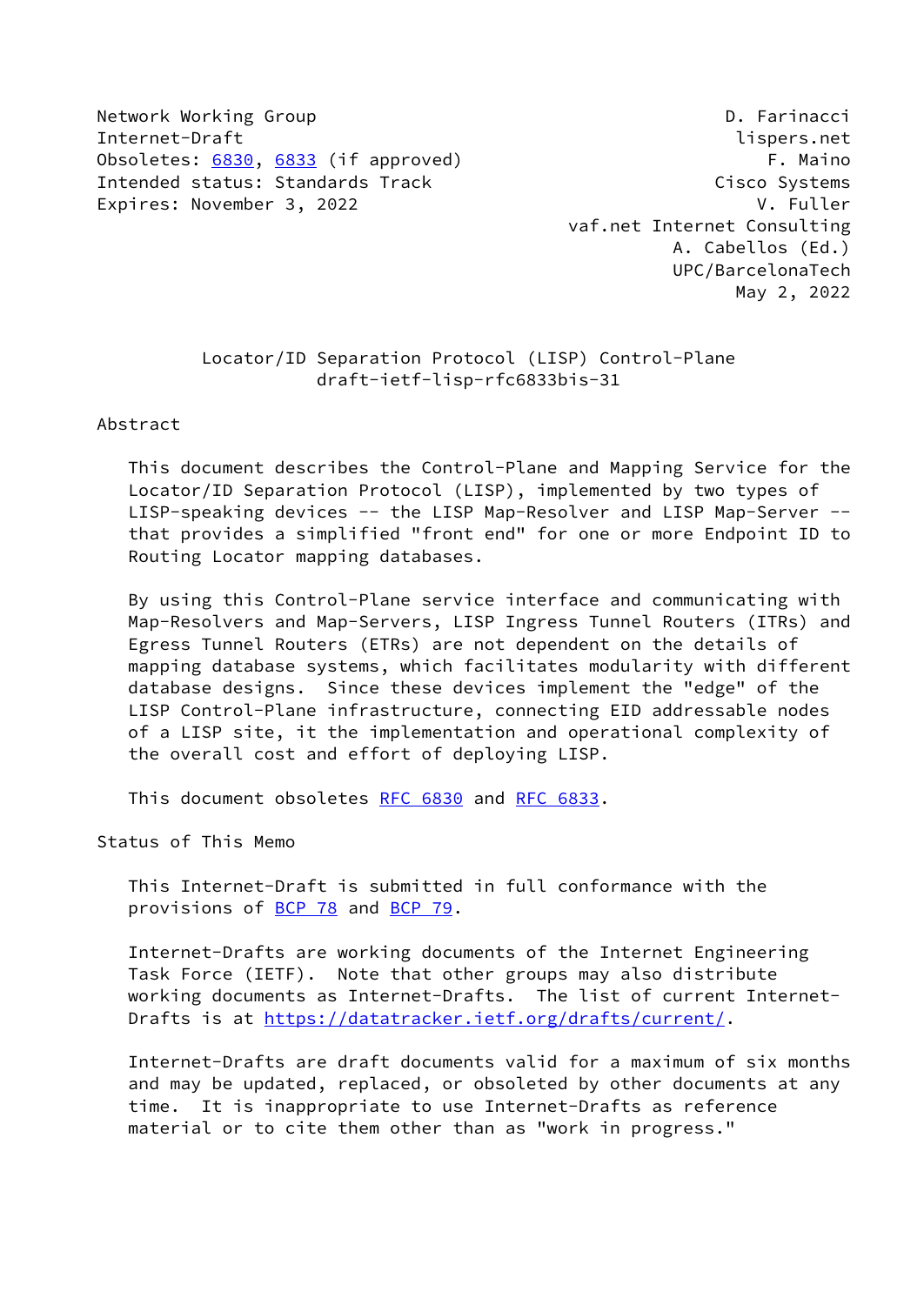Network Working Group **D. Farinacci** Internet-Draft lispers.net Obsoletes: [6830](https://datatracker.ietf.org/doc/pdf/rfc6830), [6833](https://datatracker.ietf.org/doc/pdf/rfc6833) (if approved) F. Maino Intended status: Standards Track Cisco Systems Expires: November 3, 2022 V. Fuller

 vaf.net Internet Consulting A. Cabellos (Ed.) UPC/BarcelonaTech May 2, 2022

 Locator/ID Separation Protocol (LISP) Control-Plane draft-ietf-lisp-rfc6833bis-31

Abstract

 This document describes the Control-Plane and Mapping Service for the Locator/ID Separation Protocol (LISP), implemented by two types of LISP-speaking devices -- the LISP Map-Resolver and LISP Map-Server - that provides a simplified "front end" for one or more Endpoint ID to Routing Locator mapping databases.

 By using this Control-Plane service interface and communicating with Map-Resolvers and Map-Servers, LISP Ingress Tunnel Routers (ITRs) and Egress Tunnel Routers (ETRs) are not dependent on the details of mapping database systems, which facilitates modularity with different database designs. Since these devices implement the "edge" of the LISP Control-Plane infrastructure, connecting EID addressable nodes of a LISP site, it the implementation and operational complexity of the overall cost and effort of deploying LISP.

This document obsoletes [RFC 6830](https://datatracker.ietf.org/doc/pdf/rfc6830) and [RFC 6833](https://datatracker.ietf.org/doc/pdf/rfc6833).

Status of This Memo

 This Internet-Draft is submitted in full conformance with the provisions of <u>BCP 78</u> and **BCP 79.** 

 Internet-Drafts are working documents of the Internet Engineering Task Force (IETF). Note that other groups may also distribute working documents as Internet-Drafts. The list of current Internet- Drafts is at<https://datatracker.ietf.org/drafts/current/>.

 Internet-Drafts are draft documents valid for a maximum of six months and may be updated, replaced, or obsoleted by other documents at any time. It is inappropriate to use Internet-Drafts as reference material or to cite them other than as "work in progress."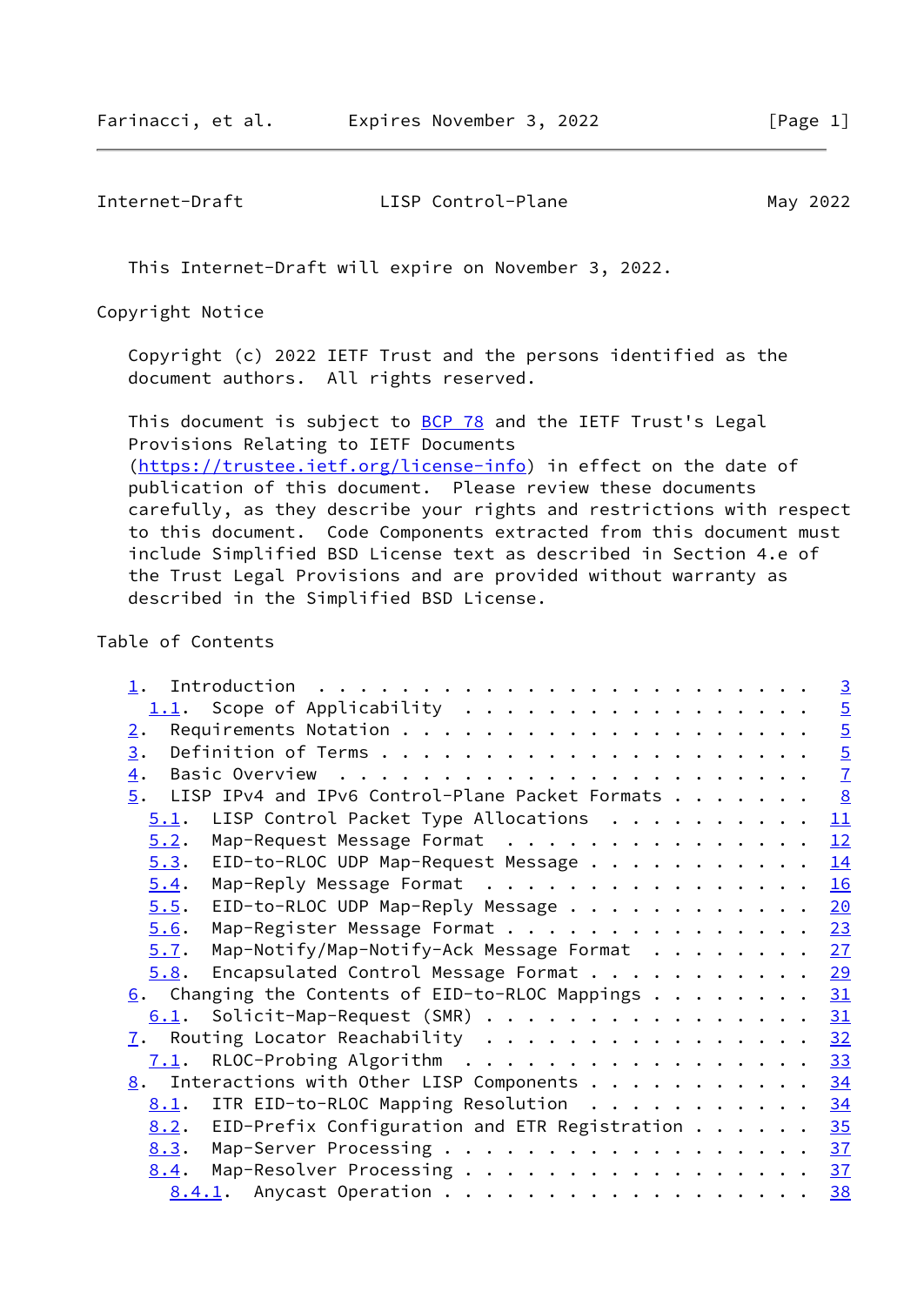This Internet-Draft will expire on November 3, 2022.

Copyright Notice

 Copyright (c) 2022 IETF Trust and the persons identified as the document authors. All rights reserved.

This document is subject to **[BCP 78](https://datatracker.ietf.org/doc/pdf/bcp78)** and the IETF Trust's Legal Provisions Relating to IETF Documents [\(https://trustee.ietf.org/license-info](https://trustee.ietf.org/license-info)) in effect on the date of publication of this document. Please review these documents carefully, as they describe your rights and restrictions with respect to this document. Code Components extracted from this document must include Simplified BSD License text as described in Section 4.e of the Trust Legal Provisions and are provided without warranty as described in the Simplified BSD License.

## Table of Contents

|                                                                          |  |  |  | $\overline{3}$ |
|--------------------------------------------------------------------------|--|--|--|----------------|
|                                                                          |  |  |  |                |
| 2.                                                                       |  |  |  |                |
| 3.                                                                       |  |  |  | $\frac{5}{7}$  |
| $\overline{4}$ .                                                         |  |  |  |                |
| LISP IPv4 and IPv6 Control-Plane Packet Formats<br>5.                    |  |  |  | $\frac{8}{2}$  |
| LISP Control Packet Type Allocations<br>5.1.                             |  |  |  | 11             |
| Map-Request Message Format<br>5.2.                                       |  |  |  | 12             |
| EID-to-RLOC UDP Map-Request Message<br>5.3.                              |  |  |  | 14             |
| Map-Reply Message Format<br>5.4.                                         |  |  |  | 16             |
| EID-to-RLOC UDP Map-Reply Message<br>5.5.                                |  |  |  | 20             |
| Map-Register Message Format 23<br>5.6.                                   |  |  |  |                |
| Map-Notify/Map-Notify-Ack Message Format 27<br>5.7.                      |  |  |  |                |
| Encapsulated Control Message Format 29<br>5.8.                           |  |  |  |                |
| $6.$ Changing the Contents of EID-to-RLOC Mappings $.$                   |  |  |  | 31             |
| Solicit-Map-Request (SMR)<br>6.1.                                        |  |  |  | 31             |
| $\underline{7}$ . Routing Locator Reachability                           |  |  |  | 32             |
| RLOC-Probing Algorithm<br>7.1.                                           |  |  |  | 33             |
| $\underline{8}$ . Interactions with Other LISP Components                |  |  |  | 34             |
| ITR EID-to-RLOC Mapping Resolution<br>8.1.                               |  |  |  | 34             |
| EID-Prefix Configuration and ETR Registration $\ldots \ldots$ 35<br>8.2. |  |  |  |                |
| Map-Server Processing 37<br>8.3.                                         |  |  |  |                |
| Map-Resolver Processing<br>8.4.                                          |  |  |  | 37             |
| 8.4.1. Anycast Operation                                                 |  |  |  | 38             |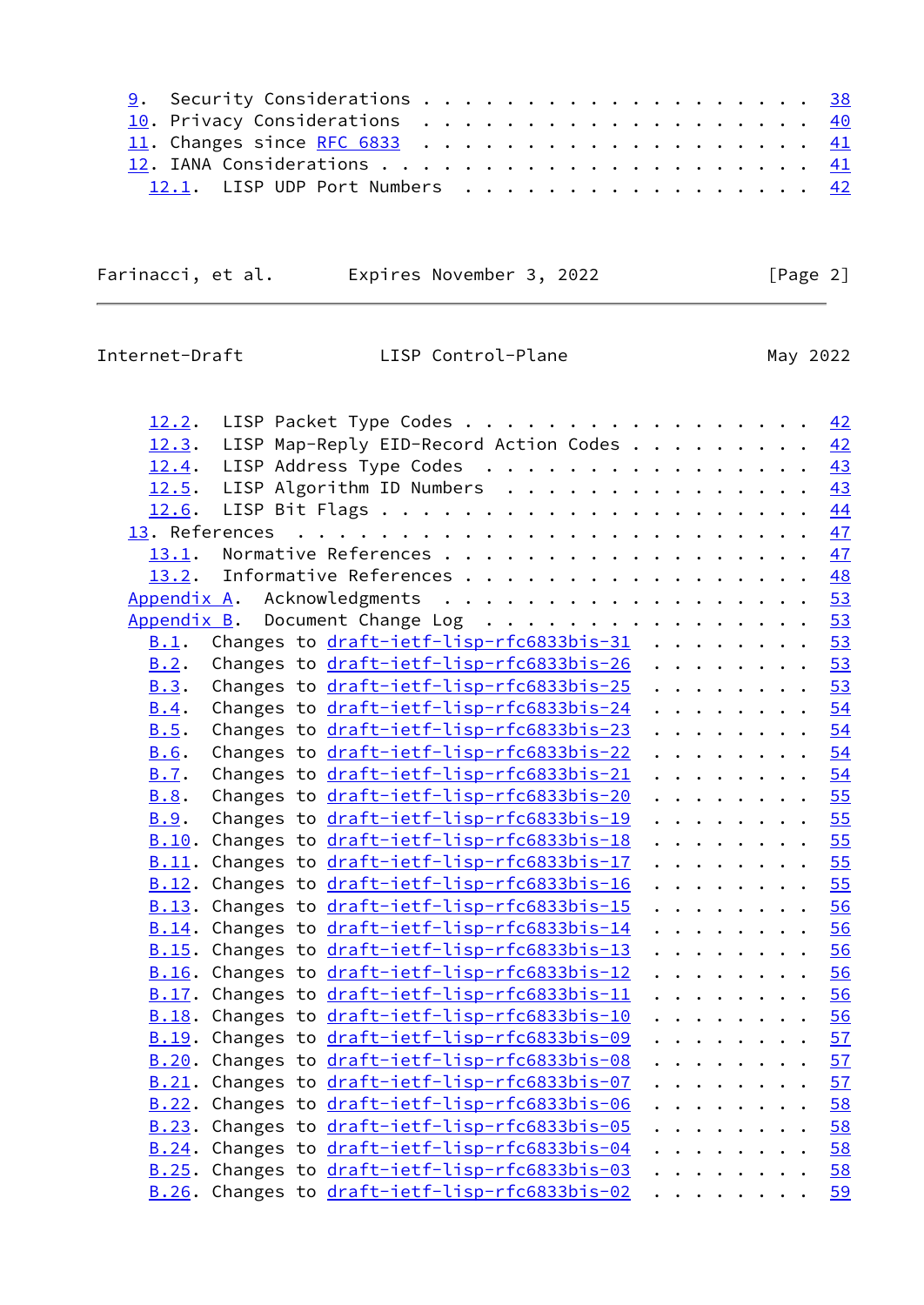|  |  |  |  |  |  |  |  |  | <u>9</u> . Security Considerations 38<br>10. Privacy Considerations 40<br>12.1. LISP UDP Port Numbers 42 |
|--|--|--|--|--|--|--|--|--|----------------------------------------------------------------------------------------------------------|

Farinacci, et al. Expires November 3, 2022 [Page 2]

<span id="page-2-0"></span>Internet-Draft LISP Control-Plane

| May | 2022 |
|-----|------|
|     |      |

| LISP Packet Type Codes<br><u>12.2</u> .                 |  |  |  |                                                                               |                                                                               | 42   |
|---------------------------------------------------------|--|--|--|-------------------------------------------------------------------------------|-------------------------------------------------------------------------------|------|
| LISP Map-Reply EID-Record Action Codes<br>12.3.         |  |  |  |                                                                               |                                                                               | 42   |
| LISP Address Type Codes<br>12.4.                        |  |  |  |                                                                               |                                                                               | 43   |
| 12.5. LISP Algorithm ID Numbers                         |  |  |  |                                                                               |                                                                               | 43   |
|                                                         |  |  |  |                                                                               |                                                                               | 44   |
|                                                         |  |  |  |                                                                               |                                                                               | 47   |
| 13.1.                                                   |  |  |  |                                                                               |                                                                               | 47   |
| Informative References<br>13.2.                         |  |  |  |                                                                               |                                                                               | 48   |
| Appendix A. Acknowledgments                             |  |  |  |                                                                               |                                                                               | 53   |
| Appendix B. Document Change Log                         |  |  |  |                                                                               |                                                                               | 53   |
| Changes to draft-ietf-lisp-rfc6833bis-31<br>B.1.        |  |  |  |                                                                               |                                                                               | 53   |
| Changes to draft-ietf-lisp-rfc6833bis-26<br>B.2.        |  |  |  |                                                                               |                                                                               | 53   |
| Changes to draft-ietf-lisp-rfc6833bis-25<br>B.3.        |  |  |  | $\begin{array}{cccccccccccccc} . & . & . & . & . & . & . & . & . \end{array}$ |                                                                               | 53   |
| Changes to draft-ietf-lisp-rfc6833bis-24<br>B.4.        |  |  |  | $\begin{array}{cccccccccccccc} . & . & . & . & . & . & . & . & . \end{array}$ |                                                                               | 54   |
| Changes to draft-ietf-lisp-rfc6833bis-23<br>B.5.        |  |  |  | $\begin{array}{cccccccccccccc} . & . & . & . & . & . & . & . & . \end{array}$ |                                                                               | 54   |
| Changes to draft-ietf-lisp-rfc6833bis-22<br>B.6.        |  |  |  |                                                                               | .                                                                             | 54   |
| Changes to draft-ietf-lisp-rfc6833bis-21<br><b>B.7.</b> |  |  |  |                                                                               |                                                                               | 54   |
| Changes to draft-ietf-lisp-rfc6833bis-20<br>B.8.        |  |  |  |                                                                               | $\begin{array}{cccccccccccccc} . & . & . & . & . & . & . & . & . \end{array}$ | 55   |
| Changes to draft-ietf-lisp-rfc6833bis-19<br>B.9.        |  |  |  |                                                                               |                                                                               | . 55 |
| B.10. Changes to draft-ietf-lisp-rfc6833bis-18          |  |  |  |                                                                               | .                                                                             | 55   |
| B.11. Changes to draft-ietf-lisp-rfc6833bis-17          |  |  |  |                                                                               | .                                                                             | 55   |
| B.12. Changes to draft-ietf-lisp-rfc6833bis-16          |  |  |  |                                                                               | .                                                                             | 55   |
| B.13. Changes to draft-ietf-lisp-rfc6833bis-15          |  |  |  | .                                                                             |                                                                               | 56   |
| B.14. Changes to draft-ietf-lisp-rfc6833bis-14          |  |  |  | $\begin{array}{cccccccccccccc} . & . & . & . & . & . & . & . & . \end{array}$ |                                                                               | 56   |
| B.15. Changes to draft-ietf-lisp-rfc6833bis-13          |  |  |  | $\begin{array}{cccccccccccccc} . & . & . & . & . & . & . & . & . \end{array}$ |                                                                               | 56   |
| B.16. Changes to draft-ietf-lisp-rfc6833bis-12          |  |  |  | $\begin{array}{cccccccccccccc} . & . & . & . & . & . & . & . & . \end{array}$ |                                                                               | 56   |
| B.17. Changes to draft-ietf-lisp-rfc6833bis-11          |  |  |  | .                                                                             |                                                                               | 56   |
| B.18. Changes to draft-ietf-lisp-rfc6833bis-10          |  |  |  | .                                                                             |                                                                               | 56   |
| B.19. Changes to draft-ietf-lisp-rfc6833bis-09          |  |  |  | $\begin{array}{cccccccccccccc} . & . & . & . & . & . & . & . & . \end{array}$ |                                                                               | 57   |
| B.20. Changes to draft-ietf-lisp-rfc6833bis-08          |  |  |  | .                                                                             |                                                                               | 57   |
| B.21. Changes to draft-ietf-lisp-rfc6833bis-07          |  |  |  | .                                                                             |                                                                               | 57   |
| B.22. Changes to draft-ietf-lisp-rfc6833bis-06          |  |  |  | .                                                                             |                                                                               | 58   |
| B.23. Changes to draft-ietf-lisp-rfc6833bis-05          |  |  |  |                                                                               | .                                                                             | 58   |
| B.24. Changes to draft-ietf-lisp-rfc6833bis-04          |  |  |  | $\begin{array}{cccccccccccccc} . & . & . & . & . & . & . & . & . \end{array}$ |                                                                               | 58   |
| B.25. Changes to draft-ietf-lisp-rfc6833bis-03          |  |  |  | .                                                                             |                                                                               | 58   |
| B.26. Changes to draft-ietf-lisp-rfc6833bis-02          |  |  |  | $\cdots$                                                                      |                                                                               | 59   |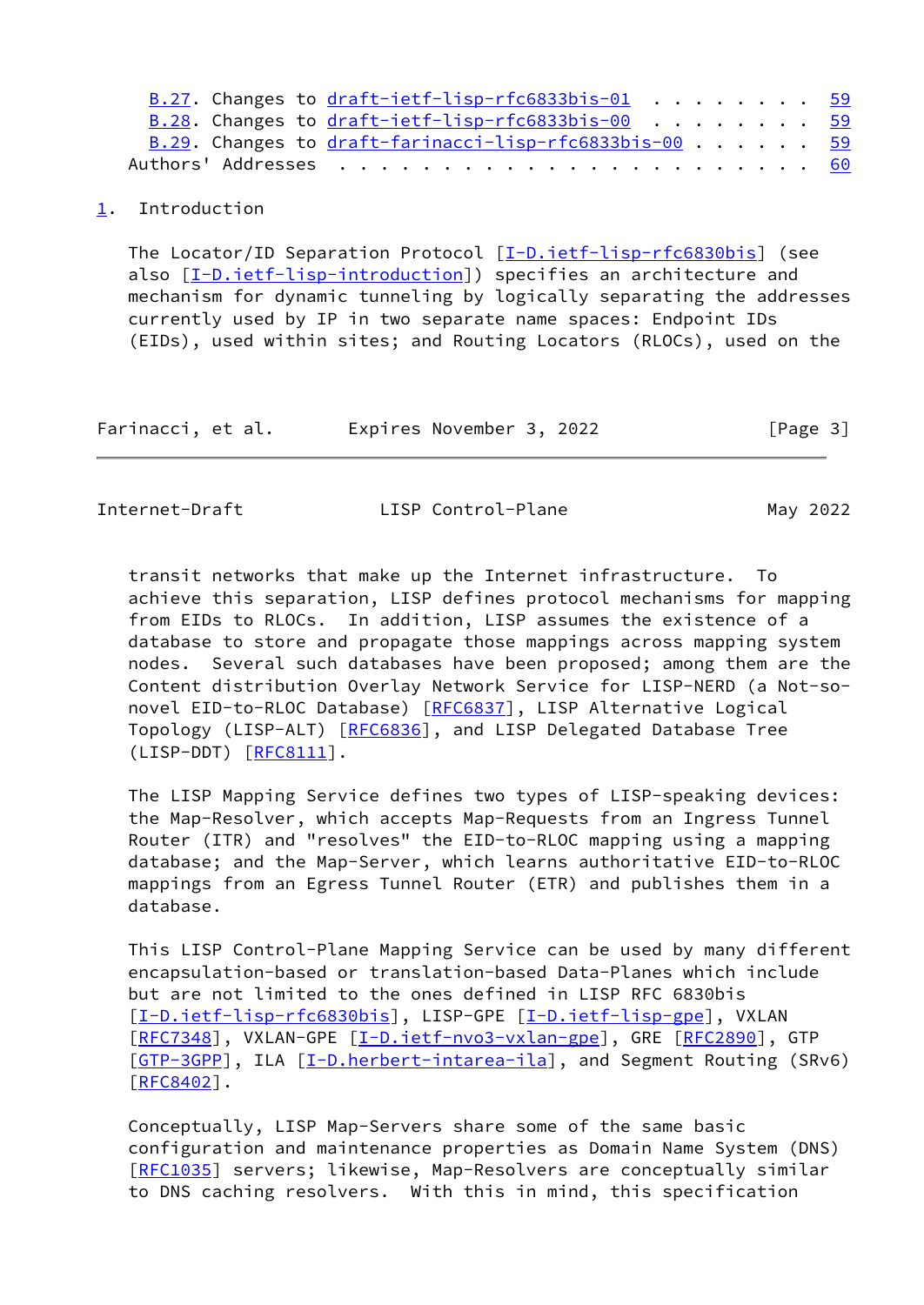| B.27. Changes to $draft-ietf-lisp-rfc6833bis-01$ 59    |  |  |  |  |  |
|--------------------------------------------------------|--|--|--|--|--|
| B.28. Changes to draft-ietf-lisp-rfc6833bis-00 59      |  |  |  |  |  |
| B.29. Changes to draft-farinacci-lisp-rfc6833bis-00 59 |  |  |  |  |  |
|                                                        |  |  |  |  |  |

## <span id="page-3-0"></span>[1](#page-3-0). Introduction

 The Locator/ID Separation Protocol [[I-D.ietf-lisp-rfc6830bis\]](#page-52-3) (see also [\[I-D.ietf-lisp-introduction\]](#page-55-0)) specifies an architecture and mechanism for dynamic tunneling by logically separating the addresses currently used by IP in two separate name spaces: Endpoint IDs (EIDs), used within sites; and Routing Locators (RLOCs), used on the

| Farinacci, et al. | Expires November 3, 2022 | [Page 3] |
|-------------------|--------------------------|----------|
|-------------------|--------------------------|----------|

Internet-Draft LISP Control-Plane May 2022

 transit networks that make up the Internet infrastructure. To achieve this separation, LISP defines protocol mechanisms for mapping from EIDs to RLOCs. In addition, LISP assumes the existence of a database to store and propagate those mappings across mapping system nodes. Several such databases have been proposed; among them are the Content distribution Overlay Network Service for LISP-NERD (a Not-so- novel EID-to-RLOC Database) [\[RFC6837](https://datatracker.ietf.org/doc/pdf/rfc6837)], LISP Alternative Logical Topology (LISP-ALT) [\[RFC6836](https://datatracker.ietf.org/doc/pdf/rfc6836)], and LISP Delegated Database Tree (LISP-DDT) [[RFC8111\]](https://datatracker.ietf.org/doc/pdf/rfc8111).

 The LISP Mapping Service defines two types of LISP-speaking devices: the Map-Resolver, which accepts Map-Requests from an Ingress Tunnel Router (ITR) and "resolves" the EID-to-RLOC mapping using a mapping database; and the Map-Server, which learns authoritative EID-to-RLOC mappings from an Egress Tunnel Router (ETR) and publishes them in a database.

 This LISP Control-Plane Mapping Service can be used by many different encapsulation-based or translation-based Data-Planes which include but are not limited to the ones defined in LISP RFC 6830bis [\[I-D.ietf-lisp-rfc6830bis](#page-52-3)], LISP-GPE [\[I-D.ietf-lisp-gpe\]](#page-55-1), VXLAN [\[RFC7348](https://datatracker.ietf.org/doc/pdf/rfc7348)], VXLAN-GPE [\[I-D.ietf-nvo3-vxlan-gpe](#page-55-2)], GRE [\[RFC2890](https://datatracker.ietf.org/doc/pdf/rfc2890)], GTP [\[GTP-3GPP](#page-54-1)], ILA [\[I-D.herbert-intarea-ila](#page-54-2)], and Segment Routing (SRv6) [\[RFC8402](https://datatracker.ietf.org/doc/pdf/rfc8402)].

 Conceptually, LISP Map-Servers share some of the same basic configuration and maintenance properties as Domain Name System (DNS) [\[RFC1035](https://datatracker.ietf.org/doc/pdf/rfc1035)] servers; likewise, Map-Resolvers are conceptually similar to DNS caching resolvers. With this in mind, this specification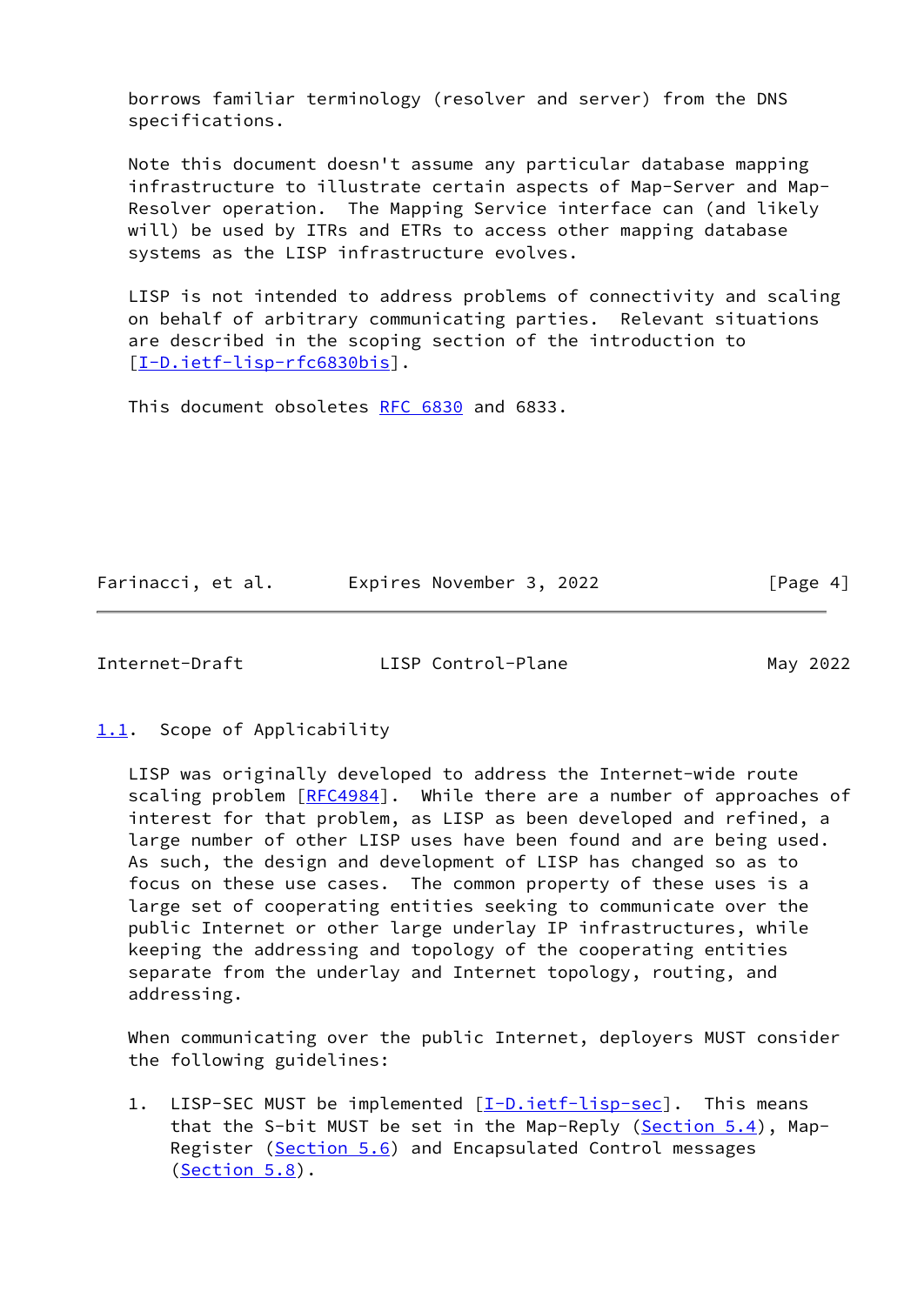borrows familiar terminology (resolver and server) from the DNS specifications.

 Note this document doesn't assume any particular database mapping infrastructure to illustrate certain aspects of Map-Server and Map- Resolver operation. The Mapping Service interface can (and likely will) be used by ITRs and ETRs to access other mapping database systems as the LISP infrastructure evolves.

 LISP is not intended to address problems of connectivity and scaling on behalf of arbitrary communicating parties. Relevant situations are described in the scoping section of the introduction to [\[I-D.ietf-lisp-rfc6830bis](#page-52-3)].

This document obsoletes [RFC 6830](https://datatracker.ietf.org/doc/pdf/rfc6830) and 6833.

Farinacci, et al. **Expires November 3, 2022** [Page 4]

<span id="page-4-1"></span>Internet-Draft LISP Control-Plane May 2022

<span id="page-4-0"></span>[1.1](#page-4-0). Scope of Applicability

 LISP was originally developed to address the Internet-wide route scaling problem [\[RFC4984](https://datatracker.ietf.org/doc/pdf/rfc4984)]. While there are a number of approaches of interest for that problem, as LISP as been developed and refined, a large number of other LISP uses have been found and are being used. As such, the design and development of LISP has changed so as to focus on these use cases. The common property of these uses is a large set of cooperating entities seeking to communicate over the public Internet or other large underlay IP infrastructures, while keeping the addressing and topology of the cooperating entities separate from the underlay and Internet topology, routing, and addressing.

 When communicating over the public Internet, deployers MUST consider the following guidelines:

1. LISP-SEC MUST be implemented [\[I-D.ietf-lisp-sec\]](#page-53-1). This means that the S-bit MUST be set in the Map-Reply [\(Section 5.4](#page-17-0)), Map- Register [\(Section 5.6](#page-25-0)) and Encapsulated Control messages [\(Section 5.8](#page-31-0)).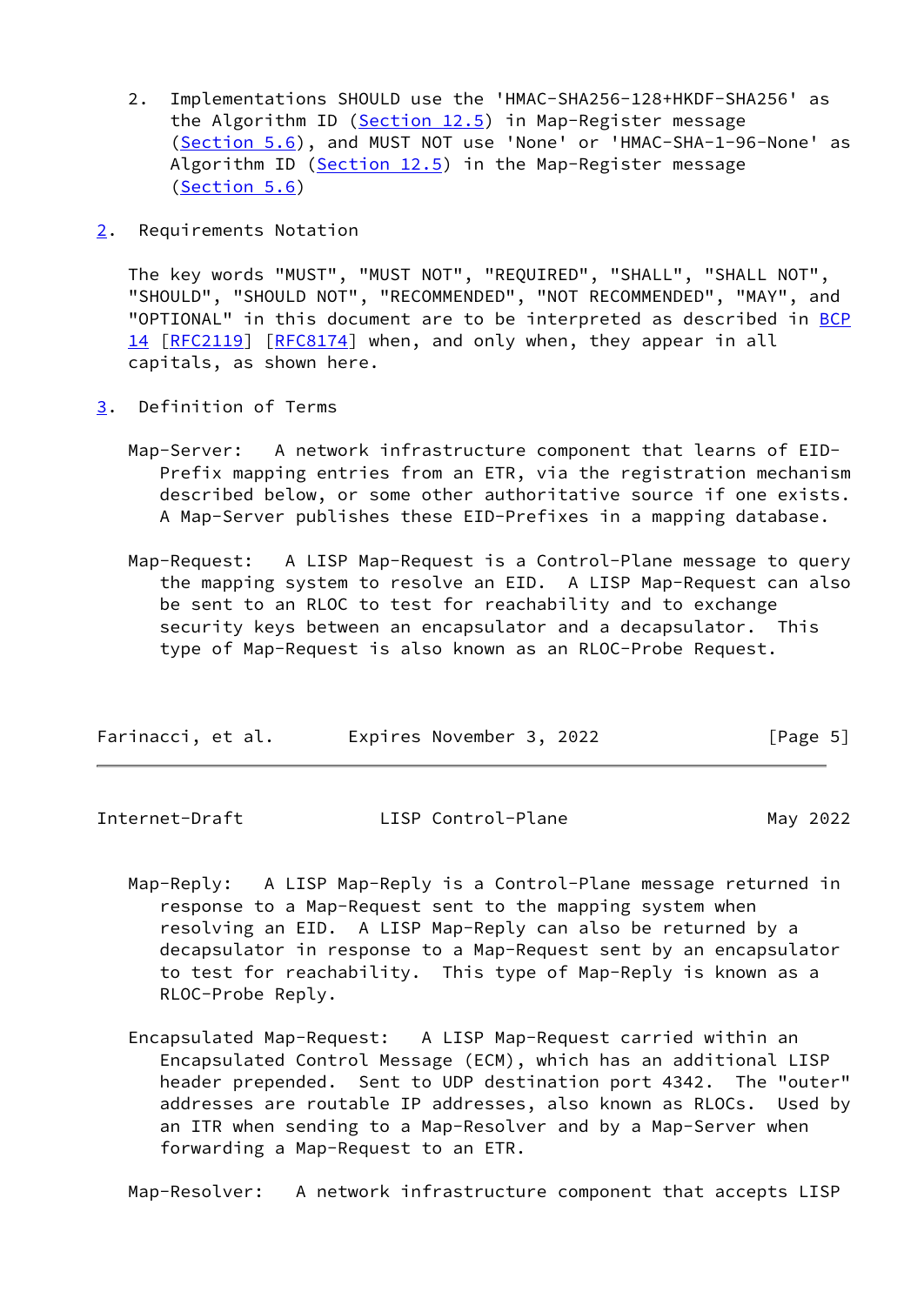- 2. Implementations SHOULD use the 'HMAC-SHA256-128+HKDF-SHA256' as the Algorithm ID [\(Section 12.5](#page-48-1)) in Map-Register message [\(Section 5.6](#page-25-0)), and MUST NOT use 'None' or 'HMAC-SHA-1-96-None' as Algorithm ID [\(Section 12.5](#page-48-1)) in the Map-Register message [\(Section 5.6](#page-25-0))
- <span id="page-5-0"></span>[2](#page-5-0). Requirements Notation

 The key words "MUST", "MUST NOT", "REQUIRED", "SHALL", "SHALL NOT", "SHOULD", "SHOULD NOT", "RECOMMENDED", "NOT RECOMMENDED", "MAY", and "OPTIONAL" in this document are to be interpreted as described in [BCP](https://datatracker.ietf.org/doc/pdf/bcp14) [14](https://datatracker.ietf.org/doc/pdf/bcp14) [[RFC2119\]](https://datatracker.ietf.org/doc/pdf/rfc2119) [\[RFC8174](https://datatracker.ietf.org/doc/pdf/rfc8174)] when, and only when, they appear in all capitals, as shown here.

- <span id="page-5-1"></span>[3](#page-5-1). Definition of Terms
	- Map-Server: A network infrastructure component that learns of EID- Prefix mapping entries from an ETR, via the registration mechanism described below, or some other authoritative source if one exists. A Map-Server publishes these EID-Prefixes in a mapping database.
	- Map-Request: A LISP Map-Request is a Control-Plane message to query the mapping system to resolve an EID. A LISP Map-Request can also be sent to an RLOC to test for reachability and to exchange security keys between an encapsulator and a decapsulator. This type of Map-Request is also known as an RLOC-Probe Request.

| Farinacci, et al. | Expires November 3, 2022 | [Page 5] |
|-------------------|--------------------------|----------|
|-------------------|--------------------------|----------|

|  | Internet-Draft | LISP Control-Plane | May 2022 |
|--|----------------|--------------------|----------|
|--|----------------|--------------------|----------|

- Map-Reply: A LISP Map-Reply is a Control-Plane message returned in response to a Map-Request sent to the mapping system when resolving an EID. A LISP Map-Reply can also be returned by a decapsulator in response to a Map-Request sent by an encapsulator to test for reachability. This type of Map-Reply is known as a RLOC-Probe Reply.
- Encapsulated Map-Request: A LISP Map-Request carried within an Encapsulated Control Message (ECM), which has an additional LISP header prepended. Sent to UDP destination port 4342. The "outer" addresses are routable IP addresses, also known as RLOCs. Used by an ITR when sending to a Map-Resolver and by a Map-Server when forwarding a Map-Request to an ETR.

Map-Resolver: A network infrastructure component that accepts LISP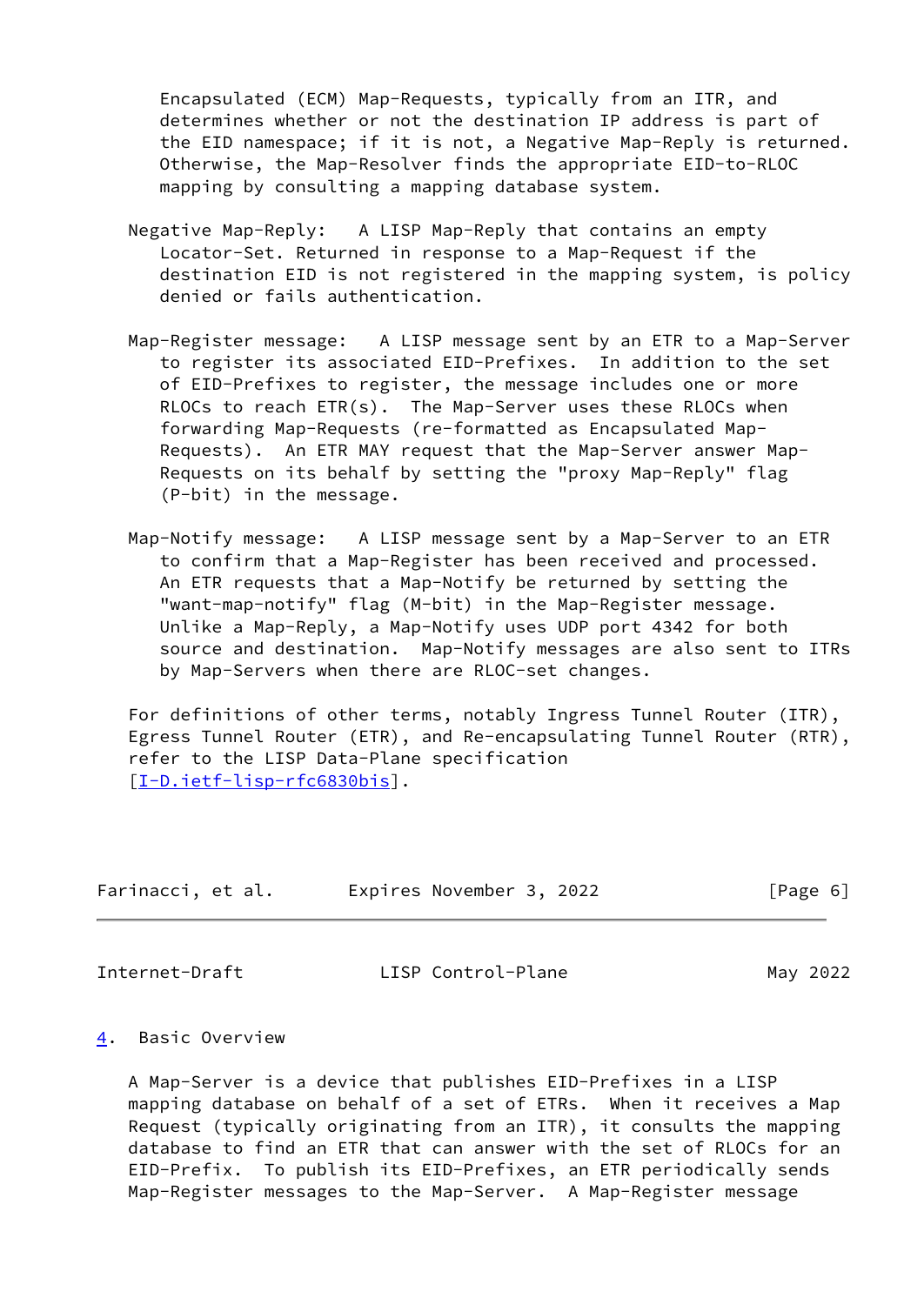Encapsulated (ECM) Map-Requests, typically from an ITR, and determines whether or not the destination IP address is part of the EID namespace; if it is not, a Negative Map-Reply is returned. Otherwise, the Map-Resolver finds the appropriate EID-to-RLOC mapping by consulting a mapping database system.

- Negative Map-Reply: A LISP Map-Reply that contains an empty Locator-Set. Returned in response to a Map-Request if the destination EID is not registered in the mapping system, is policy denied or fails authentication.
- Map-Register message: A LISP message sent by an ETR to a Map-Server to register its associated EID-Prefixes. In addition to the set of EID-Prefixes to register, the message includes one or more RLOCs to reach ETR(s). The Map-Server uses these RLOCs when forwarding Map-Requests (re-formatted as Encapsulated Map- Requests). An ETR MAY request that the Map-Server answer Map- Requests on its behalf by setting the "proxy Map-Reply" flag (P-bit) in the message.
- Map-Notify message: A LISP message sent by a Map-Server to an ETR to confirm that a Map-Register has been received and processed. An ETR requests that a Map-Notify be returned by setting the "want-map-notify" flag (M-bit) in the Map-Register message. Unlike a Map-Reply, a Map-Notify uses UDP port 4342 for both source and destination. Map-Notify messages are also sent to ITRs by Map-Servers when there are RLOC-set changes.

 For definitions of other terms, notably Ingress Tunnel Router (ITR), Egress Tunnel Router (ETR), and Re-encapsulating Tunnel Router (RTR), refer to the LISP Data-Plane specification [\[I-D.ietf-lisp-rfc6830bis](#page-52-3)].

| Farinacci, et al. |  | Expires November 3, 2022 |  | [Page 6] |  |
|-------------------|--|--------------------------|--|----------|--|
|                   |  |                          |  |          |  |

<span id="page-6-1"></span>

Internet-Draft LISP Control-Plane May 2022

## <span id="page-6-0"></span>[4](#page-6-0). Basic Overview

 A Map-Server is a device that publishes EID-Prefixes in a LISP mapping database on behalf of a set of ETRs. When it receives a Map Request (typically originating from an ITR), it consults the mapping database to find an ETR that can answer with the set of RLOCs for an EID-Prefix. To publish its EID-Prefixes, an ETR periodically sends Map-Register messages to the Map-Server. A Map-Register message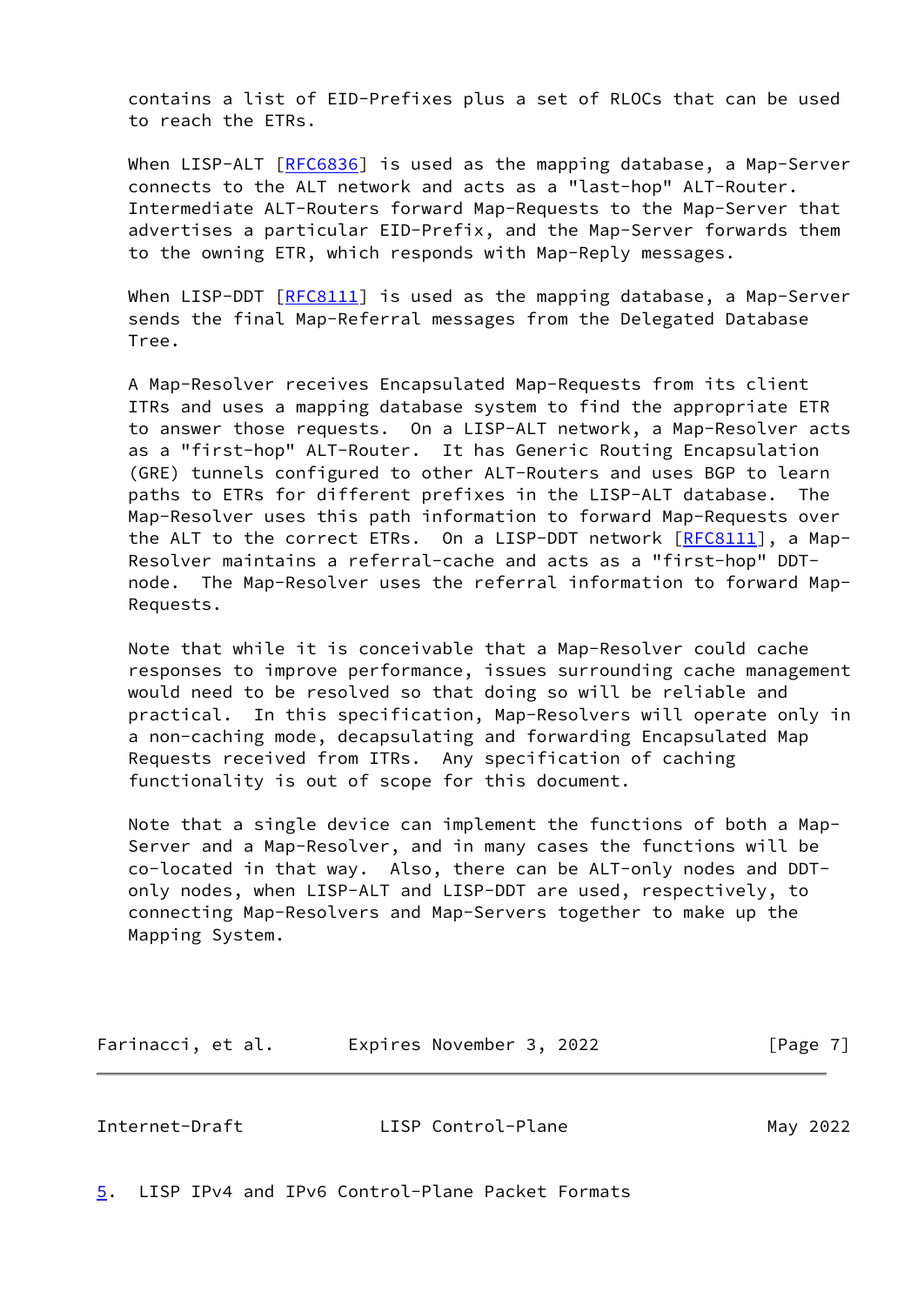contains a list of EID-Prefixes plus a set of RLOCs that can be used to reach the ETRs.

When LISP-ALT [[RFC6836](https://datatracker.ietf.org/doc/pdf/rfc6836)] is used as the mapping database, a Map-Server connects to the ALT network and acts as a "last-hop" ALT-Router. Intermediate ALT-Routers forward Map-Requests to the Map-Server that advertises a particular EID-Prefix, and the Map-Server forwards them to the owning ETR, which responds with Map-Reply messages.

When LISP-DDT  $[REC8111]$  is used as the mapping database, a Map-Server sends the final Map-Referral messages from the Delegated Database Tree.

 A Map-Resolver receives Encapsulated Map-Requests from its client ITRs and uses a mapping database system to find the appropriate ETR to answer those requests. On a LISP-ALT network, a Map-Resolver acts as a "first-hop" ALT-Router. It has Generic Routing Encapsulation (GRE) tunnels configured to other ALT-Routers and uses BGP to learn paths to ETRs for different prefixes in the LISP-ALT database. The Map-Resolver uses this path information to forward Map-Requests over the ALT to the correct ETRs. On a LISP-DDT network  $[REC8111]$ , a Map- Resolver maintains a referral-cache and acts as a "first-hop" DDT node. The Map-Resolver uses the referral information to forward Map- Requests.

 Note that while it is conceivable that a Map-Resolver could cache responses to improve performance, issues surrounding cache management would need to be resolved so that doing so will be reliable and practical. In this specification, Map-Resolvers will operate only in a non-caching mode, decapsulating and forwarding Encapsulated Map Requests received from ITRs. Any specification of caching functionality is out of scope for this document.

 Note that a single device can implement the functions of both a Map- Server and a Map-Resolver, and in many cases the functions will be co-located in that way. Also, there can be ALT-only nodes and DDT only nodes, when LISP-ALT and LISP-DDT are used, respectively, to connecting Map-Resolvers and Map-Servers together to make up the Mapping System.

Farinacci, et al. **Expires November 3, 2022** [Page 7]

<span id="page-7-1"></span>Internet-Draft LISP Control-Plane May 2022

<span id="page-7-0"></span>[5](#page-7-0). LISP IPv4 and IPv6 Control-Plane Packet Formats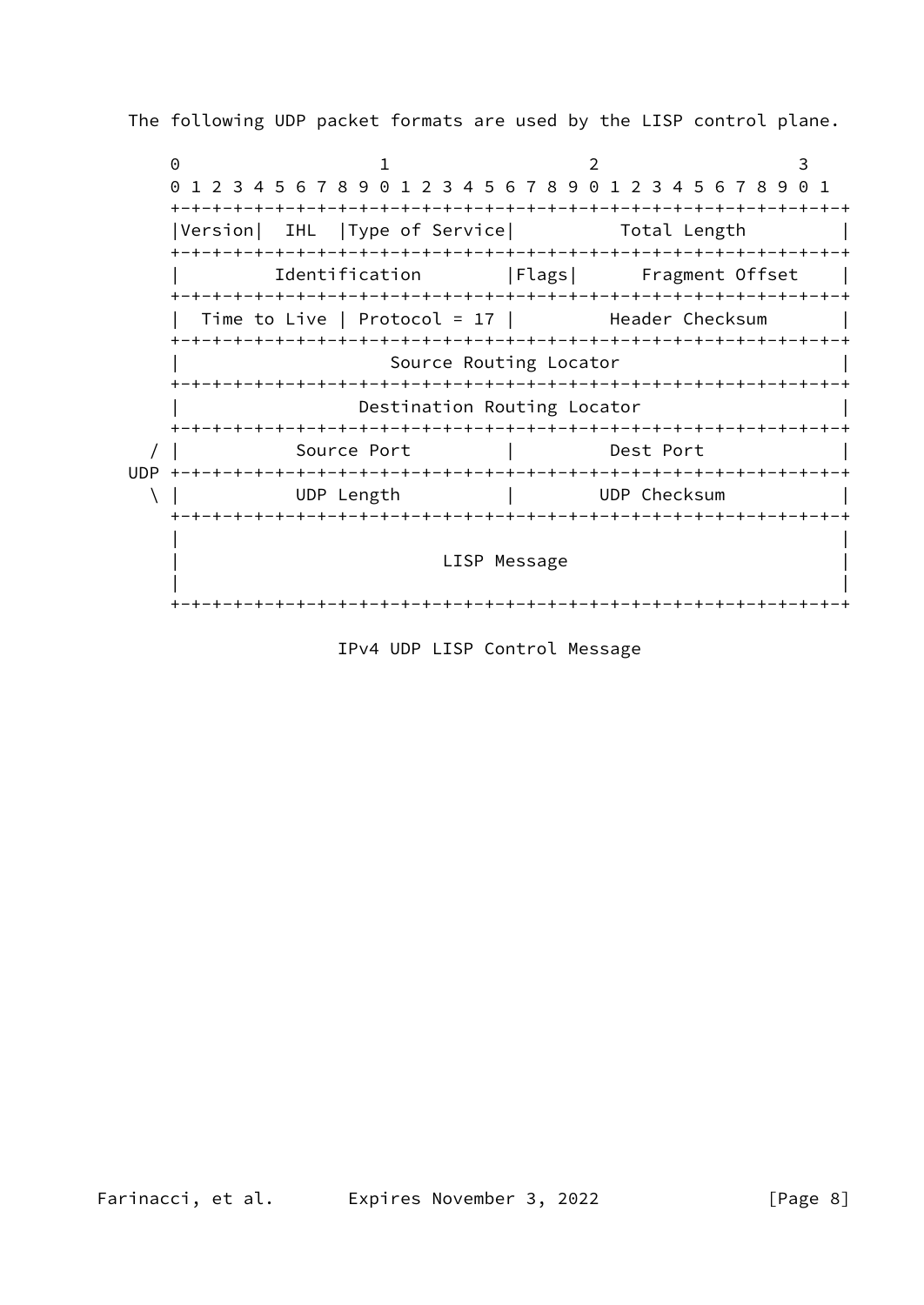The following UDP packet formats are used by the LISP control plane.

0 1 2 3 0 1 2 3 4 5 6 7 8 9 0 1 2 3 4 5 6 7 8 9 0 1 2 3 4 5 6 7 8 9 0 1 +-+-+-+-+-+-+-+-+-+-+-+-+-+-+-+-+-+-+-+-+-+-+-+-+-+-+-+-+-+-+-+-+ |Version| IHL |Type of Service| Total Length +-+-+-+-+-+-+-+-+-+-+-+-+-+-+-+-+-+-+-+-+-+-+-+-+-+-+-+-+-+-+-+-+ Identification | Flags| Fragment Offset | +-+-+-+-+-+-+-+-+-+-+-+-+-+-+-+-+-+-+-+-+-+-+-+-+-+-+-+-+-+-+-+-+ Time to Live | Protocol = 17 | Header Checksum +-+-+-+-+-+-+-+-+-+-+-+-+-+-+-+-+-+-+-+-+-+-+-+-+-+-+-+-+-+-+-+-+ Source Routing Locator +-+-+-+-+-+-+-+-+-+-+-+-+-+-+-+-+-+-+-+-+-+-+-+-+-+-+-+-+-+-+-+-+ Destination Routing Locator +-+-+-+-+-+-+-+-+-+-+-+-+-+-+-+-+-+-+-+-+-+-+-+-+-+-+-+-+-+-+-+-+ / | Source Port | Dest Port | UDP +-+-+-+-+-+-+-+-+-+-+-+-+-+-+-+-+-+-+-+-+-+-+-+-+-+-+-+-+-+-+-+-+ \ | UDP Length | UDP Checksum | +-+-+-+-+-+-+-+-+-+-+-+-+-+-+-+-+-+-+-+-+-+-+-+-+-+-+-+-+-+-+-+-+ | | LISP Message | | +-+-+-+-+-+-+-+-+-+-+-+-+-+-+-+-+-+-+-+-+-+-+-+-+-+-+-+-+-+-+-+-+

IPv4 UDP LISP Control Message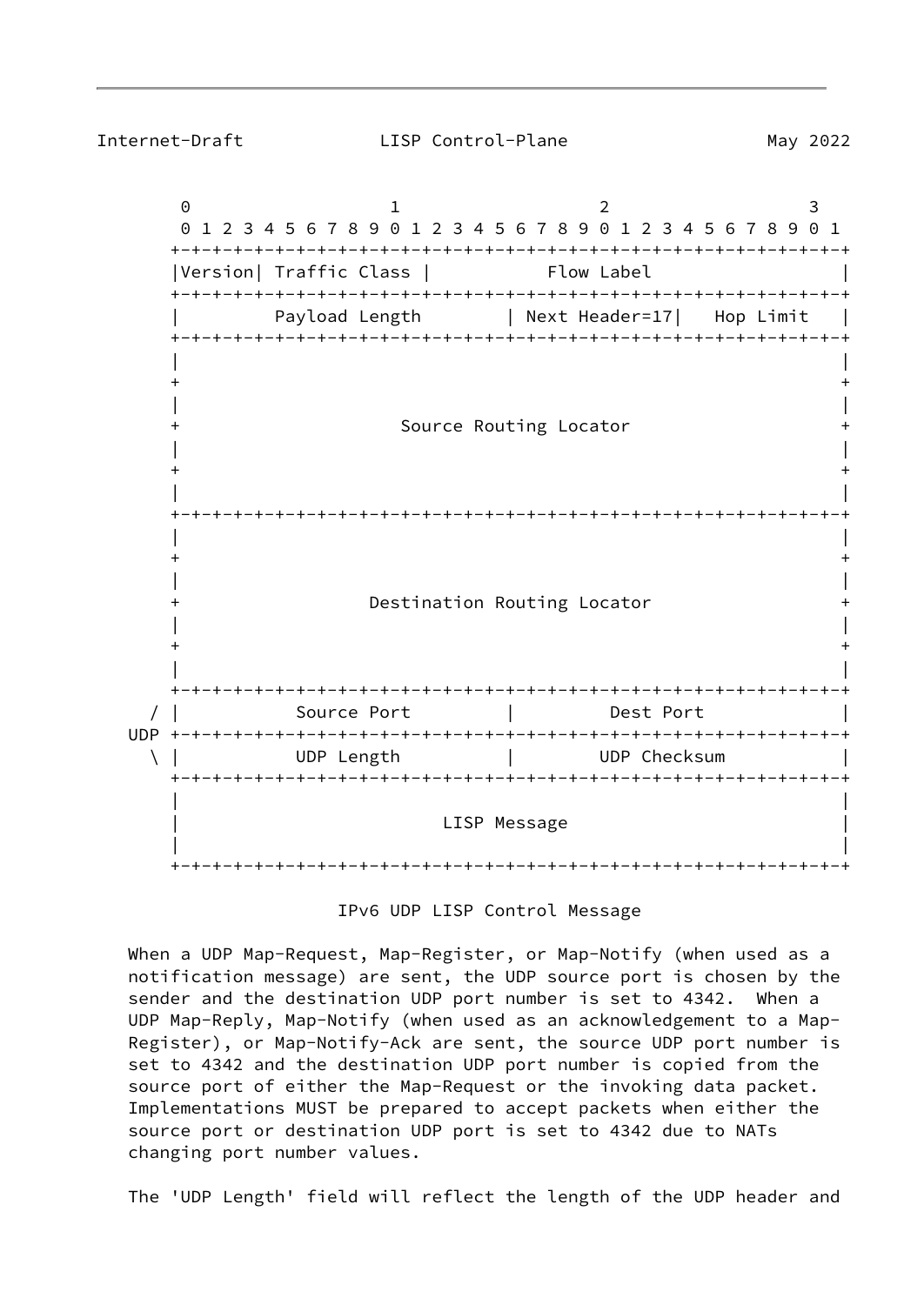$0$  1 2 3 0 1 2 3 4 5 6 7 8 9 0 1 2 3 4 5 6 7 8 9 0 1 2 3 4 5 6 7 8 9 0 1 +-+-+-+-+-+-+-+-+-+-+-+-+-+-+-+-+-+-+-+-+-+-+-+-+-+-+-+-+-+-+-+-+ |Version| Traffic Class | Flow Label +-+-+-+-+-+-+-+-+-+-+-+-+-+-+-+-+-+-+-+-+-+-+-+-+-+-+-+-+-+-+-+-+ Payload Length | Next Header=17| Hop Limit +-+-+-+-+-+-+-+-+-+-+-+-+-+-+-+-+-+-+-+-+-+-+-+-+-+-+-+-+-+-+-+-+ | |  $+$  +  $+$  +  $+$  +  $+$  +  $+$  +  $+$  +  $+$  +  $+$  +  $+$  +  $+$  +  $+$  +  $+$  +  $+$  +  $+$  +  $+$  +  $+$  +  $+$  +  $+$  +  $+$  +  $+$  +  $+$  +  $+$  +  $+$  +  $+$  +  $+$  +  $+$  +  $+$  +  $+$  +  $+$  +  $+$  +  $+$  +  $+$  +  $+$  +  $+$  +  $+$  +  $+$  +  $+$  + | | Source Routing Locator | |  $+$  +  $+$  +  $+$  +  $+$  +  $+$  +  $+$  +  $+$  +  $+$  +  $+$  +  $+$  +  $+$  +  $+$  +  $+$  +  $+$  +  $+$  +  $+$  +  $+$  +  $+$  +  $+$  +  $+$  +  $+$  +  $+$  +  $+$  +  $+$  +  $+$  +  $+$  +  $+$  +  $+$  +  $+$  +  $+$  +  $+$  +  $+$  +  $+$  +  $+$  +  $+$  +  $+$  +  $+$  + | | +-+-+-+-+-+-+-+-+-+-+-+-+-+-+-+-+-+-+-+-+-+-+-+-+-+-+-+-+-+-+-+-+ | |  $+$  +  $+$  +  $+$  +  $+$  +  $+$  +  $+$  +  $+$  +  $+$  +  $+$  +  $+$  +  $+$  +  $+$  +  $+$  +  $+$  +  $+$  +  $+$  +  $+$  +  $+$  +  $+$  +  $+$  +  $+$  +  $+$  +  $+$  +  $+$  +  $+$  +  $+$  +  $+$  +  $+$  +  $+$  +  $+$  +  $+$  +  $+$  +  $+$  +  $+$  +  $+$  +  $+$  +  $+$  + | | Destination Routing Locator | |  $+$  +  $+$  +  $+$  +  $+$  +  $+$  +  $+$  +  $+$  +  $+$  +  $+$  +  $+$  +  $+$  +  $+$  +  $+$  +  $+$  +  $+$  +  $+$  +  $+$  +  $+$  +  $+$  +  $+$  +  $+$  +  $+$  +  $+$  +  $+$  +  $+$  +  $+$  +  $+$  +  $+$  +  $+$  +  $+$  +  $+$  +  $+$  +  $+$  +  $+$  +  $+$  +  $+$  +  $+$  + | | +-+-+-+-+-+-+-+-+-+-+-+-+-+-+-+-+-+-+-+-+-+-+-+-+-+-+-+-+-+-+-+-+ / | Source Port | Dest Port | UDP +-+-+-+-+-+-+-+-+-+-+-+-+-+-+-+-+-+-+-+-+-+-+-+-+-+-+-+-+-+-+-+-+ \ | UDP Length | UDP Checksum | +-+-+-+-+-+-+-+-+-+-+-+-+-+-+-+-+-+-+-+-+-+-+-+-+-+-+-+-+-+-+-+-+ | | LISP Message | | +-+-+-+-+-+-+-+-+-+-+-+-+-+-+-+-+-+-+-+-+-+-+-+-+-+-+-+-+-+-+-+-+

IPv6 UDP LISP Control Message

 When a UDP Map-Request, Map-Register, or Map-Notify (when used as a notification message) are sent, the UDP source port is chosen by the sender and the destination UDP port number is set to 4342. When a UDP Map-Reply, Map-Notify (when used as an acknowledgement to a Map- Register), or Map-Notify-Ack are sent, the source UDP port number is set to 4342 and the destination UDP port number is copied from the source port of either the Map-Request or the invoking data packet. Implementations MUST be prepared to accept packets when either the source port or destination UDP port is set to 4342 due to NATs changing port number values.

The 'UDP Length' field will reflect the length of the UDP header and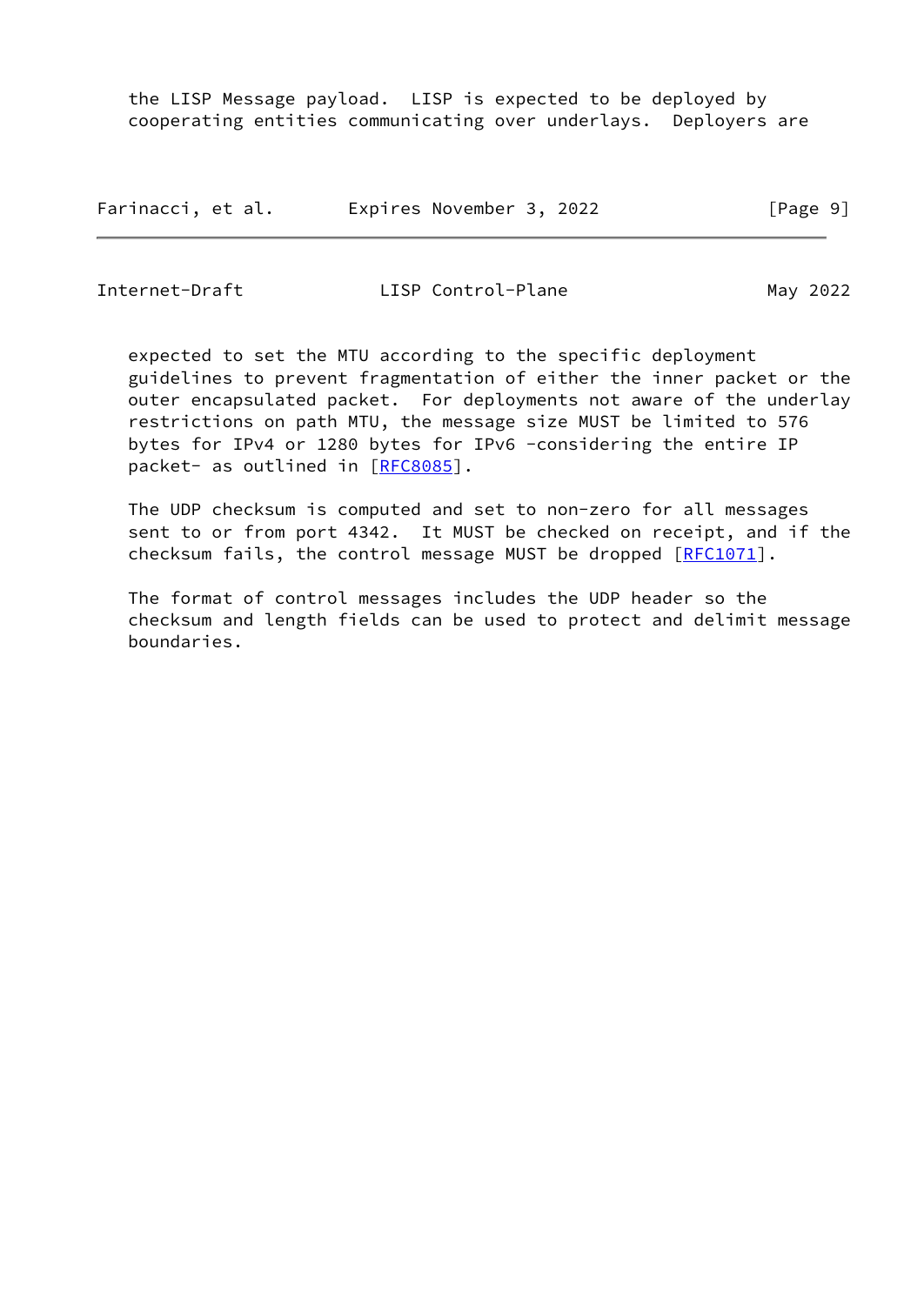the LISP Message payload. LISP is expected to be deployed by cooperating entities communicating over underlays. Deployers are

| Farinacci, et al. | Expires November 3, 2022 | [Page 9] |
|-------------------|--------------------------|----------|
|-------------------|--------------------------|----------|

Internet-Draft LISP Control-Plane May 2022

 expected to set the MTU according to the specific deployment guidelines to prevent fragmentation of either the inner packet or the outer encapsulated packet. For deployments not aware of the underlay restrictions on path MTU, the message size MUST be limited to 576 bytes for IPv4 or 1280 bytes for IPv6 -considering the entire IP packet- as outlined in [\[RFC8085](https://datatracker.ietf.org/doc/pdf/rfc8085)].

 The UDP checksum is computed and set to non-zero for all messages sent to or from port 4342. It MUST be checked on receipt, and if the checksum fails, the control message MUST be dropped [\[RFC1071](https://datatracker.ietf.org/doc/pdf/rfc1071)].

 The format of control messages includes the UDP header so the checksum and length fields can be used to protect and delimit message boundaries.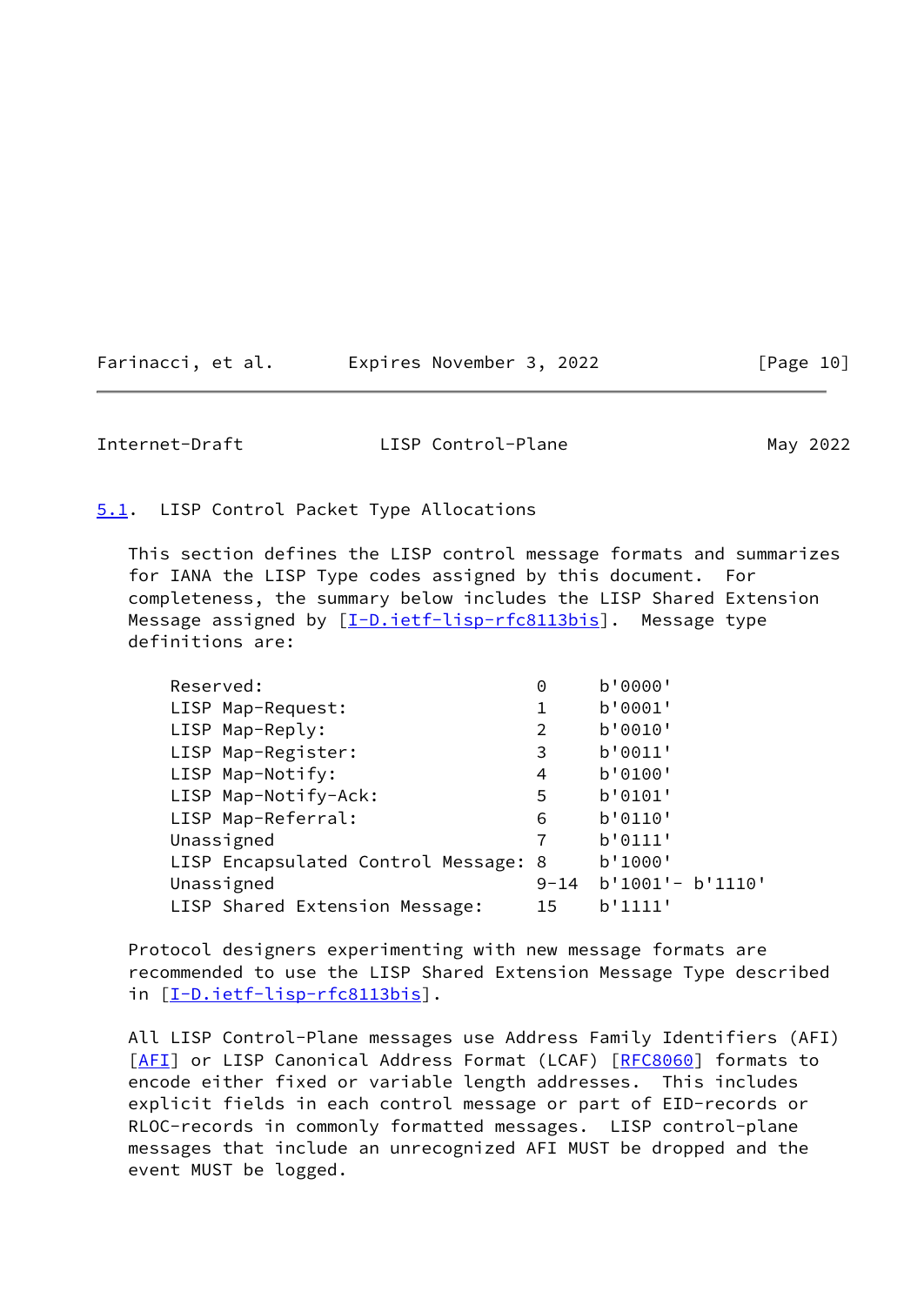<span id="page-11-1"></span>

| Farinacci, et al. | Expires November 3, 2022 | [Page 10] |
|-------------------|--------------------------|-----------|
|-------------------|--------------------------|-----------|

<span id="page-11-0"></span>[5.1](#page-11-0). LISP Control Packet Type Allocations

 This section defines the LISP control message formats and summarizes for IANA the LISP Type codes assigned by this document. For completeness, the summary below includes the LISP Shared Extension Message assigned by  $[I-D.iett-ligp-rfc8113bis]$ . Message type definitions are:

| Reserved:                            | 0        | b'0000'             |
|--------------------------------------|----------|---------------------|
| LISP Map-Request:                    |          | b'0001'             |
| LISP Map-Reply:                      | 2        | b'0010'             |
| LISP Map-Register:                   | 3        | b'0011'             |
| LISP Map-Notify:                     | 4        | b'0100'             |
| LISP Map-Notify-Ack:                 | 5        | b'0101'             |
| LISP Map-Referral:                   | 6        | b'0110'             |
| Unassigned                           | 7        | b'0111'             |
| LISP Encapsulated Control Message: 8 |          | b'1000'             |
| Unassigned                           | $9 - 14$ | $b'1001' - b'1110'$ |
| LISP Shared Extension Message:       | 15       | b'1111'             |

 Protocol designers experimenting with new message formats are recommended to use the LISP Shared Extension Message Type described in [[I-D.ietf-lisp-rfc8113bis\]](#page-52-4).

 All LISP Control-Plane messages use Address Family Identifiers (AFI) [\[AFI](#page-54-3)] or LISP Canonical Address Format (LCAF) [[RFC8060](https://datatracker.ietf.org/doc/pdf/rfc8060)] formats to encode either fixed or variable length addresses. This includes explicit fields in each control message or part of EID-records or RLOC-records in commonly formatted messages. LISP control-plane messages that include an unrecognized AFI MUST be dropped and the event MUST be logged.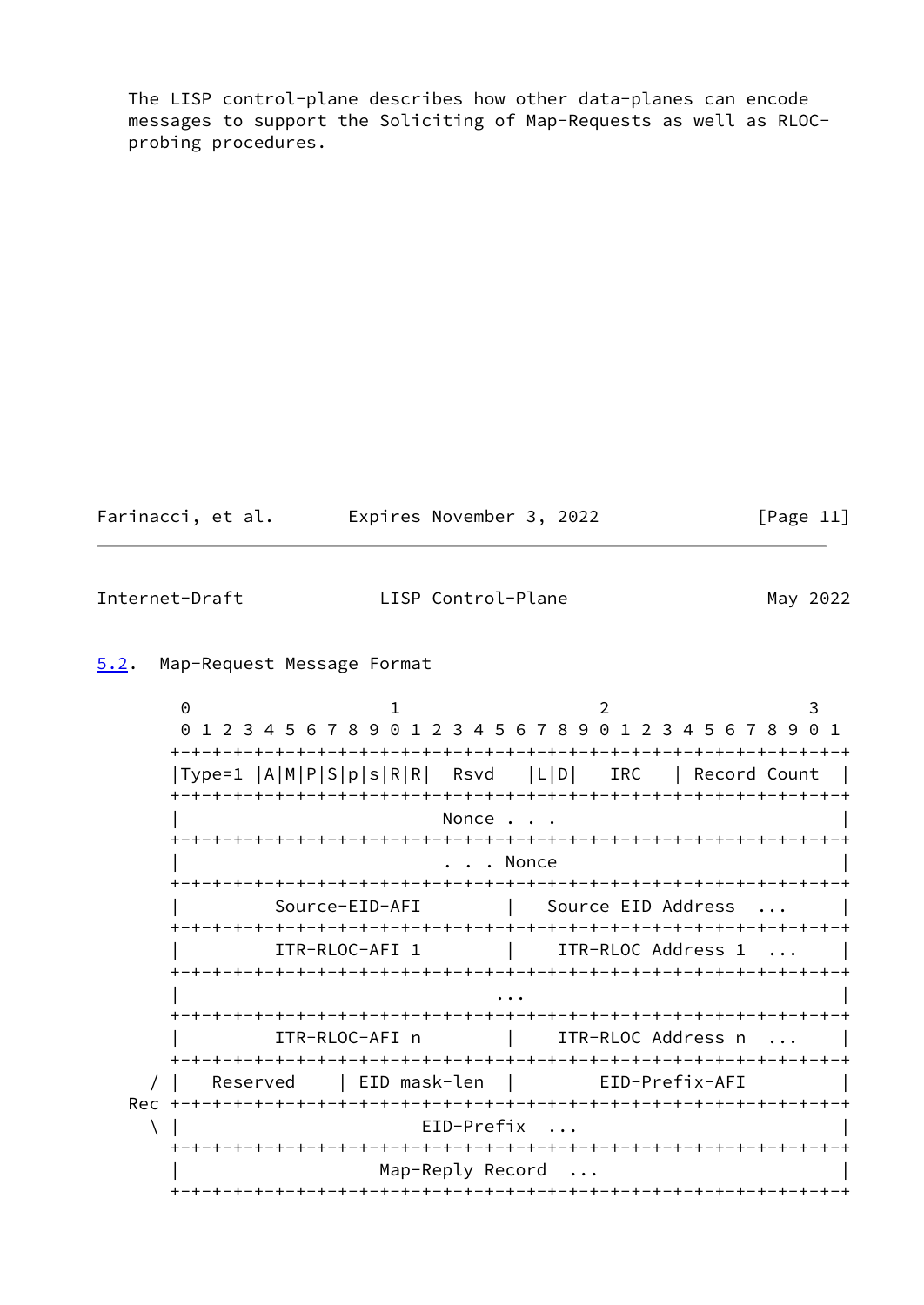The LISP control-plane describes how other data-planes can encode messages to support the Soliciting of Map-Requests as well as RLOC probing procedures.

Farinacci, et al. Expires November 3, 2022 [Page 11]

<span id="page-12-1"></span>Internet-Draft LISP Control-Plane May 2022

#### <span id="page-12-0"></span>[5.2](#page-12-0). Map-Request Message Format

 $0$  1 2 3 0 1 2 3 4 5 6 7 8 9 0 1 2 3 4 5 6 7 8 9 0 1 2 3 4 5 6 7 8 9 0 1 +-+-+-+-+-+-+-+-+-+-+-+-+-+-+-+-+-+-+-+-+-+-+-+-+-+-+-+-+-+-+-+-+ |Type=1 |A|M|P|S|p|s|R|R| Rsvd |L|D| IRC | Record Count | +-+-+-+-+-+-+-+-+-+-+-+-+-+-+-+-+-+-+-+-+-+-+-+-+-+-+-+-+-+-+-+-+ Nonce . . . +-+-+-+-+-+-+-+-+-+-+-+-+-+-+-+-+-+-+-+-+-+-+-+-+-+-+-+-+-+-+-+-+ . . . Nonce +-+-+-+-+-+-+-+-+-+-+-+-+-+-+-+-+-+-+-+-+-+-+-+-+-+-+-+-+-+-+-+-+ | Source-EID-AFI | Source EID Address ... | +-+-+-+-+-+-+-+-+-+-+-+-+-+-+-+-+-+-+-+-+-+-+-+-+-+-+-+-+-+-+-+-+ ITR-RLOC-AFI 1 | ITR-RLOC Address 1 ... | +-+-+-+-+-+-+-+-+-+-+-+-+-+-+-+-+-+-+-+-+-+-+-+-+-+-+-+-+-+-+-+-+ | ... | ... | ... | ... | ... | ... | ... | ... | ... | ... | ... | ... | ... | ... | ... | ... | ... | ... | . +-+-+-+-+-+-+-+-+-+-+-+-+-+-+-+-+-+-+-+-+-+-+-+-+-+-+-+-+-+-+-+-+ | ITR-RLOC-AFI n | ITR-RLOC Address n ... | +-+-+-+-+-+-+-+-+-+-+-+-+-+-+-+-+-+-+-+-+-+-+-+-+-+-+-+-+-+-+-+-+ / | Reserved | EID mask-len | EID-Prefix-AFI | Rec +-+-+-+-+-+-+-+-+-+-+-+-+-+-+-+-+-+-+-+-+-+-+-+-+-+-+-+-+-+-+-+-+  $\setminus$  | EID-Prefix ... +-+-+-+-+-+-+-+-+-+-+-+-+-+-+-+-+-+-+-+-+-+-+-+-+-+-+-+-+-+-+-+-+ Map-Reply Record ... +-+-+-+-+-+-+-+-+-+-+-+-+-+-+-+-+-+-+-+-+-+-+-+-+-+-+-+-+-+-+-+-+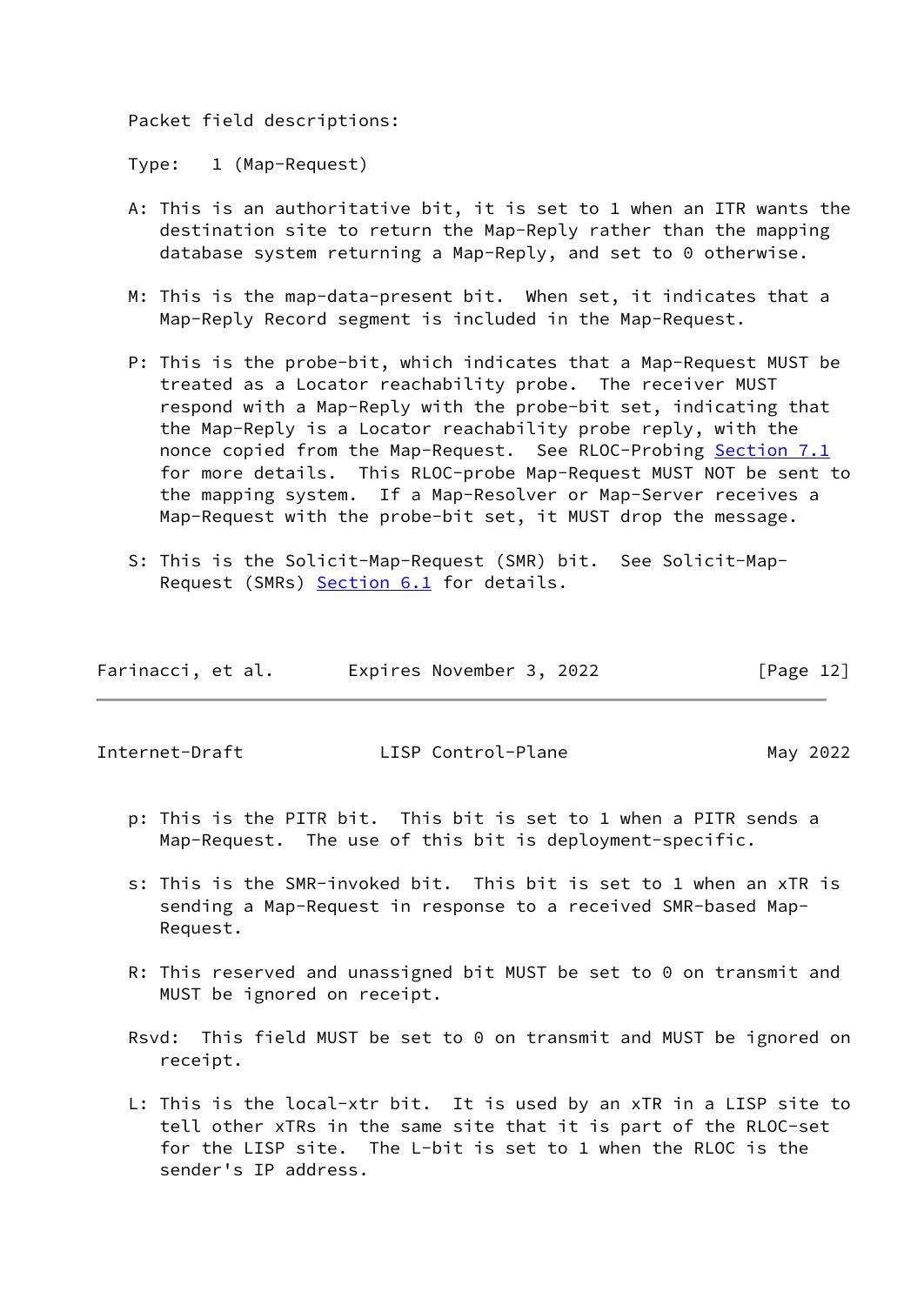Packet field descriptions:

Type: 1 (Map-Request)

- A: This is an authoritative bit, it is set to 1 when an ITR wants the destination site to return the Map-Reply rather than the mapping database system returning a Map-Reply, and set to 0 otherwise.
- M: This is the map-data-present bit. When set, it indicates that a Map-Reply Record segment is included in the Map-Request.
- P: This is the probe-bit, which indicates that a Map-Request MUST be treated as a Locator reachability probe. The receiver MUST respond with a Map-Reply with the probe-bit set, indicating that the Map-Reply is a Locator reachability probe reply, with the nonce copied from the Map-Request. See RLOC-Probing [Section 7.1](#page-36-0) for more details. This RLOC-probe Map-Request MUST NOT be sent to the mapping system. If a Map-Resolver or Map-Server receives a Map-Request with the probe-bit set, it MUST drop the message.
- S: This is the Solicit-Map-Request (SMR) bit. See Solicit-Map- Request (SMRs) [Section 6.1](#page-34-2) for details.

| Farinacci, et al. | Expires November 3, 2022 | [Page 12] |
|-------------------|--------------------------|-----------|
|                   |                          |           |

Internet-Draft LISP Control-Plane May 2022

- p: This is the PITR bit. This bit is set to 1 when a PITR sends a Map-Request. The use of this bit is deployment-specific.
- s: This is the SMR-invoked bit. This bit is set to 1 when an xTR is sending a Map-Request in response to a received SMR-based Map- Request.
- R: This reserved and unassigned bit MUST be set to 0 on transmit and MUST be ignored on receipt.
- Rsvd: This field MUST be set to 0 on transmit and MUST be ignored on receipt.
- L: This is the local-xtr bit. It is used by an xTR in a LISP site to tell other xTRs in the same site that it is part of the RLOC-set for the LISP site. The L-bit is set to 1 when the RLOC is the sender's IP address.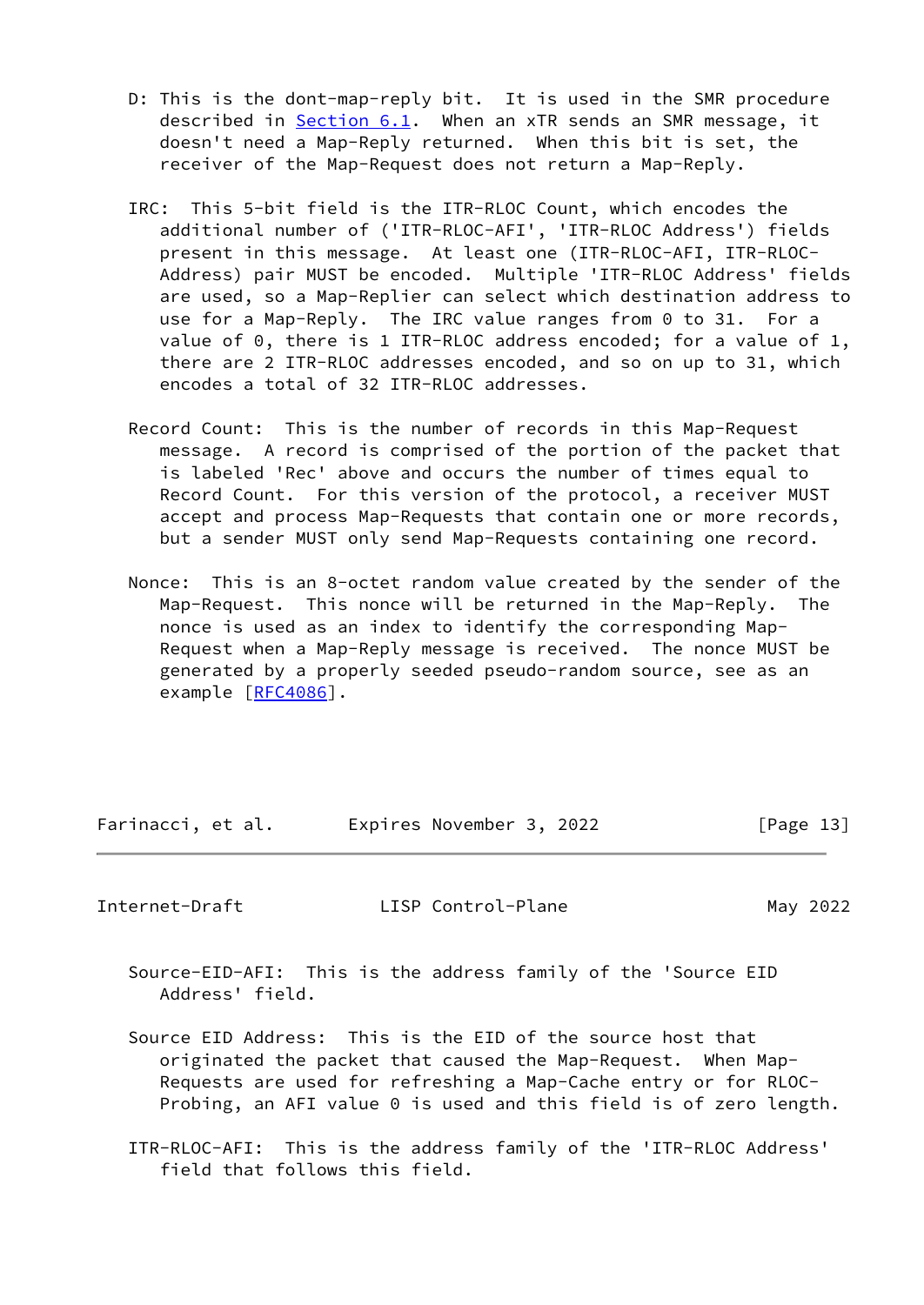- D: This is the dont-map-reply bit. It is used in the SMR procedure described in [Section 6.1](#page-34-2). When an xTR sends an SMR message, it doesn't need a Map-Reply returned. When this bit is set, the receiver of the Map-Request does not return a Map-Reply.
- IRC: This 5-bit field is the ITR-RLOC Count, which encodes the additional number of ('ITR-RLOC-AFI', 'ITR-RLOC Address') fields present in this message. At least one (ITR-RLOC-AFI, ITR-RLOC- Address) pair MUST be encoded. Multiple 'ITR-RLOC Address' fields are used, so a Map-Replier can select which destination address to use for a Map-Reply. The IRC value ranges from 0 to 31. For a value of 0, there is 1 ITR-RLOC address encoded; for a value of 1, there are 2 ITR-RLOC addresses encoded, and so on up to 31, which encodes a total of 32 ITR-RLOC addresses.
- Record Count: This is the number of records in this Map-Request message. A record is comprised of the portion of the packet that is labeled 'Rec' above and occurs the number of times equal to Record Count. For this version of the protocol, a receiver MUST accept and process Map-Requests that contain one or more records, but a sender MUST only send Map-Requests containing one record.
- Nonce: This is an 8-octet random value created by the sender of the Map-Request. This nonce will be returned in the Map-Reply. The nonce is used as an index to identify the corresponding Map- Request when a Map-Reply message is received. The nonce MUST be generated by a properly seeded pseudo-random source, see as an example [[RFC4086\]](https://datatracker.ietf.org/doc/pdf/rfc4086).

Farinacci, et al. Expires November 3, 2022 [Page 13]

<span id="page-14-0"></span>Internet-Draft LISP Control-Plane May 2022

 Source-EID-AFI: This is the address family of the 'Source EID Address' field.

- Source EID Address: This is the EID of the source host that originated the packet that caused the Map-Request. When Map- Requests are used for refreshing a Map-Cache entry or for RLOC- Probing, an AFI value 0 is used and this field is of zero length.
- ITR-RLOC-AFI: This is the address family of the 'ITR-RLOC Address' field that follows this field.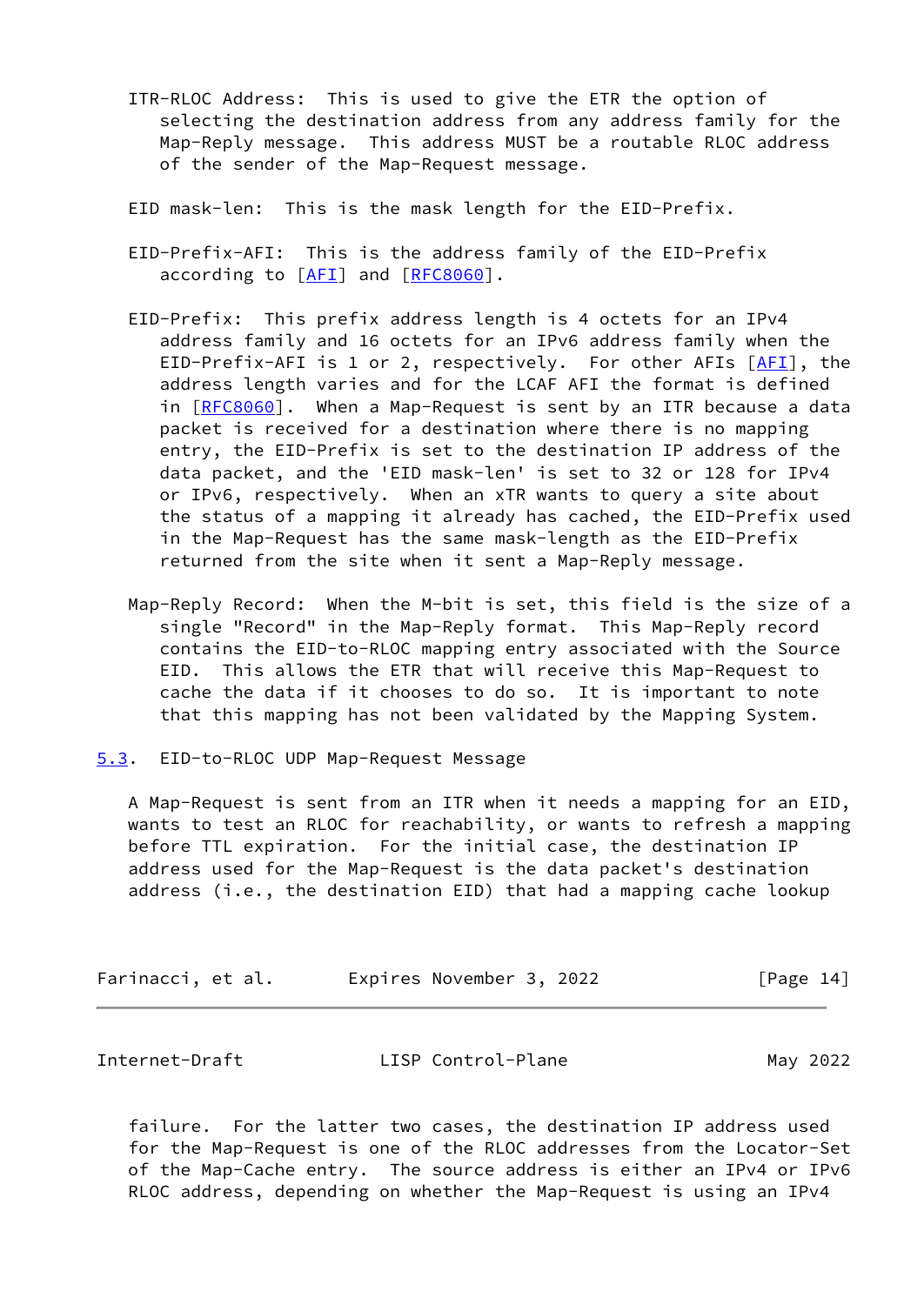- ITR-RLOC Address: This is used to give the ETR the option of selecting the destination address from any address family for the Map-Reply message. This address MUST be a routable RLOC address of the sender of the Map-Request message.
- EID mask-len: This is the mask length for the EID-Prefix.
- EID-Prefix-AFI: This is the address family of the EID-Prefix according to [\[AFI](#page-54-3)] and [[RFC8060](https://datatracker.ietf.org/doc/pdf/rfc8060)].
- EID-Prefix: This prefix address length is 4 octets for an IPv4 address family and 16 octets for an IPv6 address family when the EID-Prefix-AFI is 1 or 2, respectively. For other AFIs [[AFI\]](#page-54-3), the address length varies and for the LCAF AFI the format is defined in [[RFC8060](https://datatracker.ietf.org/doc/pdf/rfc8060)]. When a Map-Request is sent by an ITR because a data packet is received for a destination where there is no mapping entry, the EID-Prefix is set to the destination IP address of the data packet, and the 'EID mask-len' is set to 32 or 128 for IPv4 or IPv6, respectively. When an xTR wants to query a site about the status of a mapping it already has cached, the EID-Prefix used in the Map-Request has the same mask-length as the EID-Prefix returned from the site when it sent a Map-Reply message.
- Map-Reply Record: When the M-bit is set, this field is the size of a single "Record" in the Map-Reply format. This Map-Reply record contains the EID-to-RLOC mapping entry associated with the Source EID. This allows the ETR that will receive this Map-Request to cache the data if it chooses to do so. It is important to note that this mapping has not been validated by the Mapping System.
- <span id="page-15-0"></span>[5.3](#page-15-0). EID-to-RLOC UDP Map-Request Message

 A Map-Request is sent from an ITR when it needs a mapping for an EID, wants to test an RLOC for reachability, or wants to refresh a mapping before TTL expiration. For the initial case, the destination IP address used for the Map-Request is the data packet's destination address (i.e., the destination EID) that had a mapping cache lookup

| Farinacci, et al. | Expires November 3, 2022 | [Page 14] |
|-------------------|--------------------------|-----------|
|-------------------|--------------------------|-----------|

| Internet-Draft | LISP Control-Plane | May 2022 |
|----------------|--------------------|----------|
|----------------|--------------------|----------|

 failure. For the latter two cases, the destination IP address used for the Map-Request is one of the RLOC addresses from the Locator-Set of the Map-Cache entry. The source address is either an IPv4 or IPv6 RLOC address, depending on whether the Map-Request is using an IPv4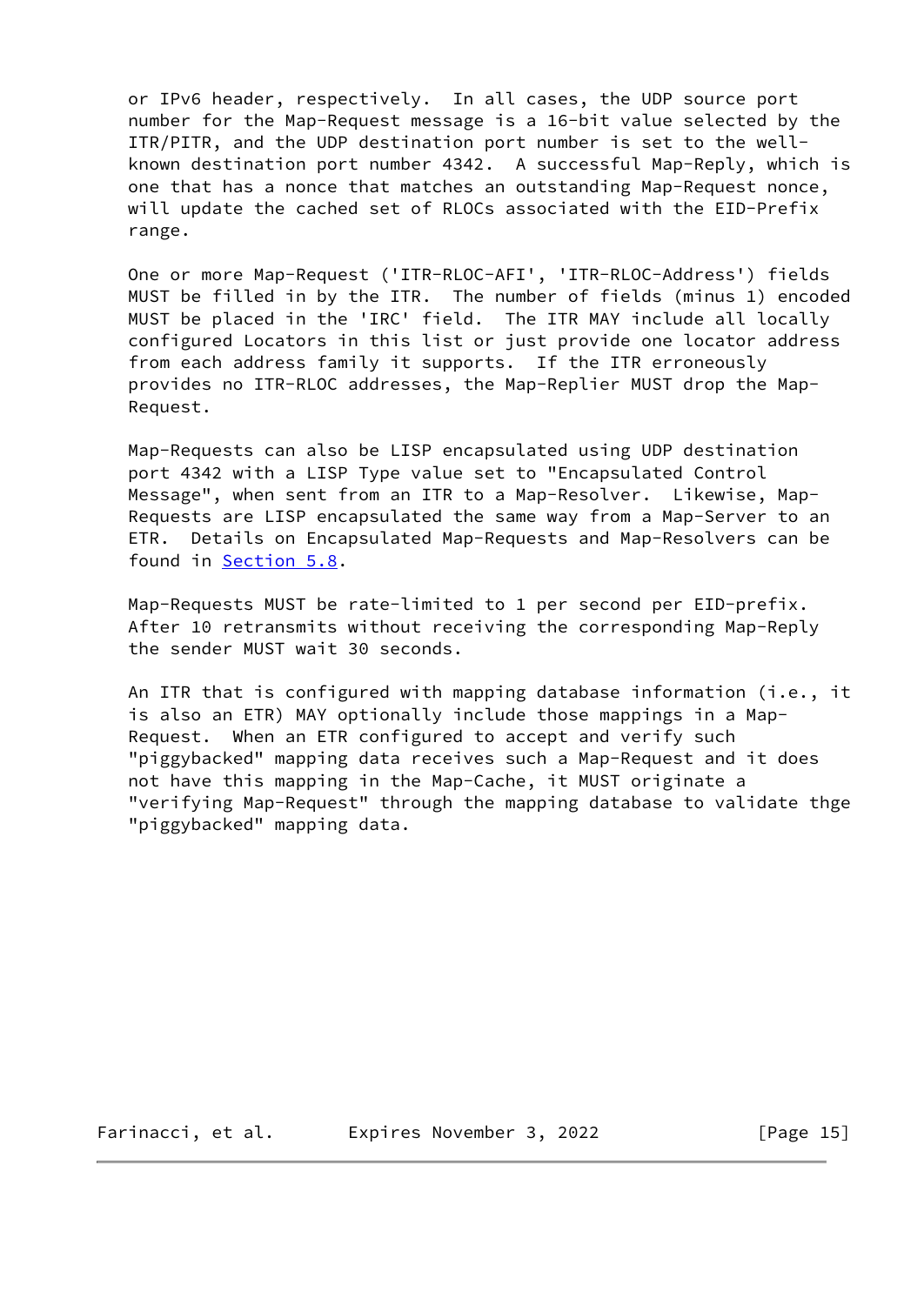or IPv6 header, respectively. In all cases, the UDP source port number for the Map-Request message is a 16-bit value selected by the ITR/PITR, and the UDP destination port number is set to the well known destination port number 4342. A successful Map-Reply, which is one that has a nonce that matches an outstanding Map-Request nonce, will update the cached set of RLOCs associated with the EID-Prefix range.

 One or more Map-Request ('ITR-RLOC-AFI', 'ITR-RLOC-Address') fields MUST be filled in by the ITR. The number of fields (minus 1) encoded MUST be placed in the 'IRC' field. The ITR MAY include all locally configured Locators in this list or just provide one locator address from each address family it supports. If the ITR erroneously provides no ITR-RLOC addresses, the Map-Replier MUST drop the Map- Request.

 Map-Requests can also be LISP encapsulated using UDP destination port 4342 with a LISP Type value set to "Encapsulated Control Message", when sent from an ITR to a Map-Resolver. Likewise, Map- Requests are LISP encapsulated the same way from a Map-Server to an ETR. Details on Encapsulated Map-Requests and Map-Resolvers can be found in [Section 5.8](#page-31-0).

 Map-Requests MUST be rate-limited to 1 per second per EID-prefix. After 10 retransmits without receiving the corresponding Map-Reply the sender MUST wait 30 seconds.

 An ITR that is configured with mapping database information (i.e., it is also an ETR) MAY optionally include those mappings in a Map- Request. When an ETR configured to accept and verify such "piggybacked" mapping data receives such a Map-Request and it does not have this mapping in the Map-Cache, it MUST originate a "verifying Map-Request" through the mapping database to validate thge "piggybacked" mapping data.

Farinacci, et al. Expires November 3, 2022 [Page 15]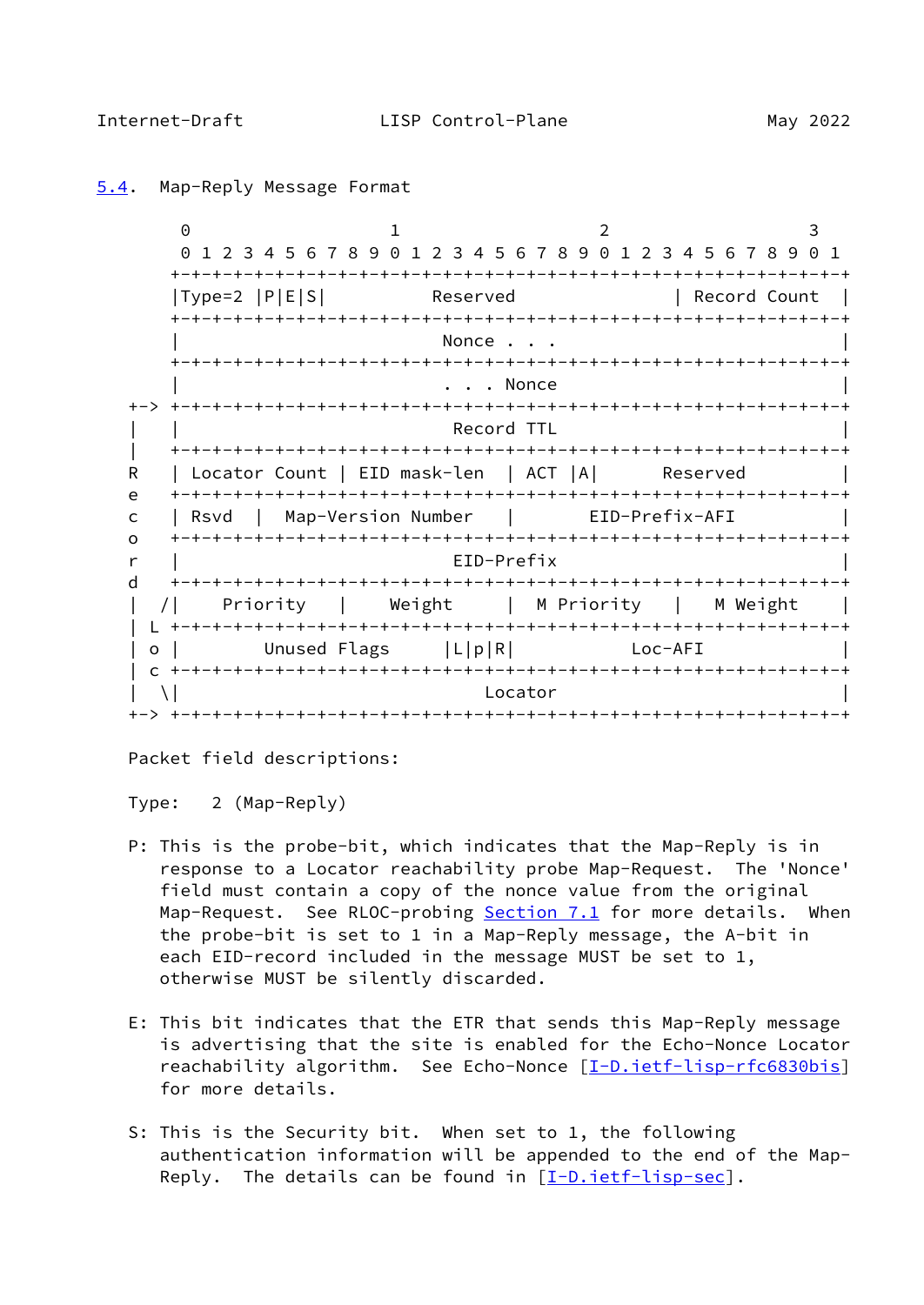$0$  1 2 3 0 1 2 3 4 5 6 7 8 9 0 1 2 3 4 5 6 7 8 9 0 1 2 3 4 5 6 7 8 9 0 1 +-+-+-+-+-+-+-+-+-+-+-+-+-+-+-+-+-+-+-+-+-+-+-+-+-+-+-+-+-+-+-+-+ |Type=2 |P|E|S| Reserved | Record Count +-+-+-+-+-+-+-+-+-+-+-+-+-+-+-+-+-+-+-+-+-+-+-+-+-+-+-+-+-+-+-+-+ Nonce . . . +-+-+-+-+-+-+-+-+-+-+-+-+-+-+-+-+-+-+-+-+-+-+-+-+-+-+-+-+-+-+-+-+ . . . Nonce +-> +-+-+-+-+-+-+-+-+-+-+-+-+-+-+-+-+-+-+-+-+-+-+-+-+-+-+-+-+-+-+-+-+ Record TTL | +-+-+-+-+-+-+-+-+-+-+-+-+-+-+-+-+-+-+-+-+-+-+-+-+-+-+-+-+-+-+-+-+ R | Locator Count | EID mask-len | ACT |A| Reserved e +-+-+-+-+-+-+-+-+-+-+-+-+-+-+-+-+-+-+-+-+-+-+-+-+-+-+-+-+-+-+-+-+ c | Rsvd | Map-Version Number | EID-Prefix-AFI | o +-+-+-+-+-+-+-+-+-+-+-+-+-+-+-+-+-+-+-+-+-+-+-+-+-+-+-+-+-+-+-+-+ r | EID-Prefix | d +-+-+-+-+-+-+-+-+-+-+-+-+-+-+-+-+-+-+-+-+-+-+-+-+-+-+-+-+-+-+-+-+ | /| Priority | Weight | M Priority | M Weight | | L +-+-+-+-+-+-+-+-+-+-+-+-+-+-+-+-+-+-+-+-+-+-+-+-+-+-+-+-+-+-+-+-+ | o | Unused Flags | | | | p| R| Loc-AFI | c +-+-+-+-+-+-+-+-+-+-+-+-+-+-+-+-+-+-+-+-+-+-+-+-+-+-+-+-+-+-+-+-+  $|\n\begin{array}{ccc} \set{\end{array}}\n\begin{array}{ccc} \set{\end{array}}\n\end{array}$ +-> +-+-+-+-+-+-+-+-+-+-+-+-+-+-+-+-+-+-+-+-+-+-+-+-+-+-+-+-+-+-+-+-+

## <span id="page-17-1"></span><span id="page-17-0"></span>[5.4](#page-17-0). Map-Reply Message Format

Packet field descriptions:

Type: 2 (Map-Reply)

- P: This is the probe-bit, which indicates that the Map-Reply is in response to a Locator reachability probe Map-Request. The 'Nonce' field must contain a copy of the nonce value from the original Map-Request. See RLOC-probing [Section 7.1](#page-36-0) for more details. When the probe-bit is set to 1 in a Map-Reply message, the A-bit in each EID-record included in the message MUST be set to 1, otherwise MUST be silently discarded.
- E: This bit indicates that the ETR that sends this Map-Reply message is advertising that the site is enabled for the Echo-Nonce Locator reachability algorithm. See Echo-Nonce [[I-D.ietf-lisp-rfc6830bis\]](#page-52-3) for more details.
- S: This is the Security bit. When set to 1, the following authentication information will be appended to the end of the Map- Reply. The details can be found in  $[I-D.ietf-lisp-sec]$  $[I-D.ietf-lisp-sec]$ .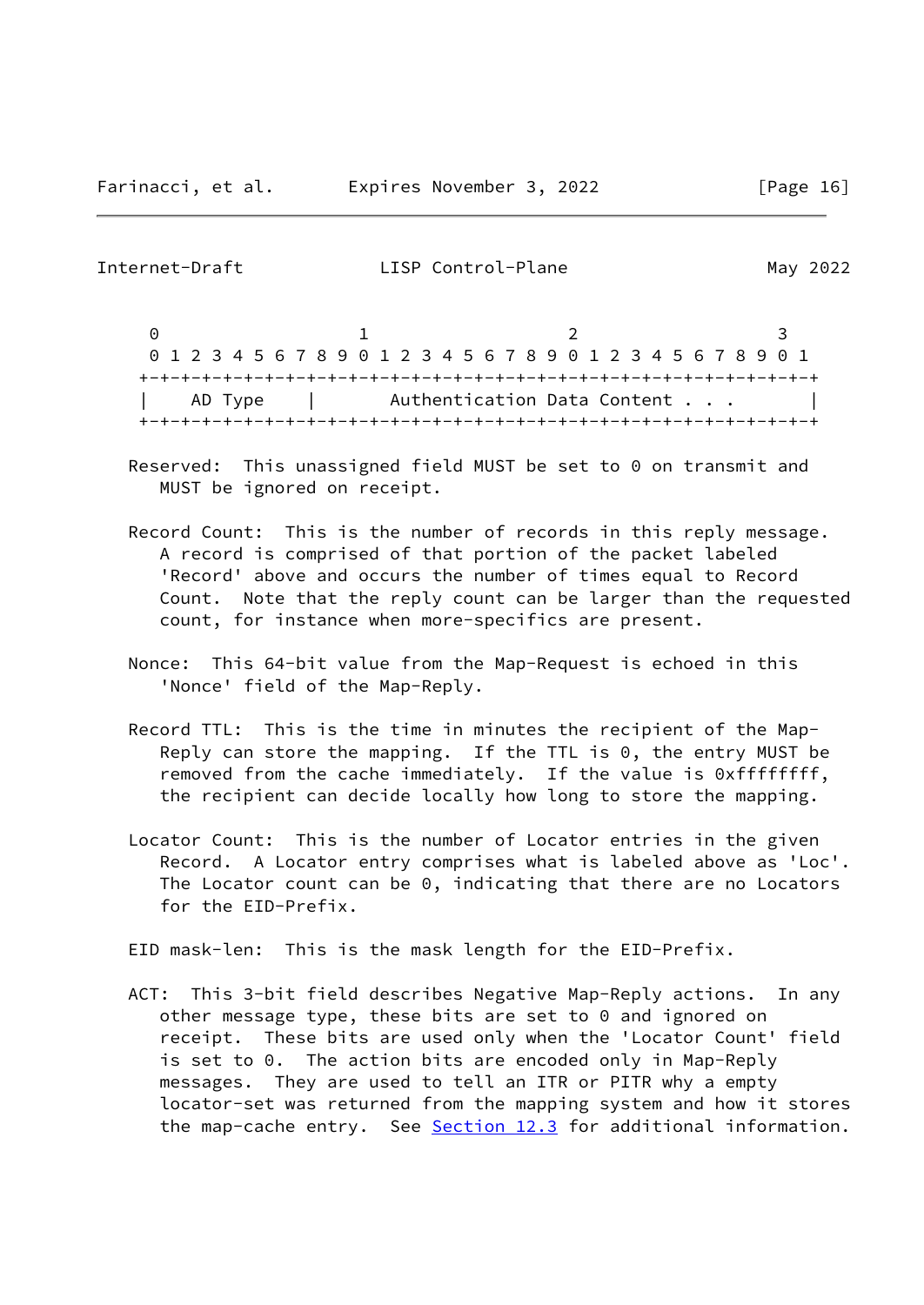0 1 2 3 0 1 2 3 4 5 6 7 8 9 0 1 2 3 4 5 6 7 8 9 0 1 2 3 4 5 6 7 8 9 0 1 +-+-+-+-+-+-+-+-+-+-+-+-+-+-+-+-+-+-+-+-+-+-+-+-+-+-+-+-+-+-+-+-+ AD Type | Authentication Data Content . . . +-+-+-+-+-+-+-+-+-+-+-+-+-+-+-+-+-+-+-+-+-+-+-+-+-+-+-+-+-+-+-+-+

- Reserved: This unassigned field MUST be set to 0 on transmit and MUST be ignored on receipt.
- Record Count: This is the number of records in this reply message. A record is comprised of that portion of the packet labeled 'Record' above and occurs the number of times equal to Record Count. Note that the reply count can be larger than the requested count, for instance when more-specifics are present.
- Nonce: This 64-bit value from the Map-Request is echoed in this 'Nonce' field of the Map-Reply.
- Record TTL: This is the time in minutes the recipient of the Map- Reply can store the mapping. If the TTL is 0, the entry MUST be removed from the cache immediately. If the value is 0xffffffff, the recipient can decide locally how long to store the mapping.
- Locator Count: This is the number of Locator entries in the given Record. A Locator entry comprises what is labeled above as 'Loc'. The Locator count can be 0, indicating that there are no Locators for the EID-Prefix.

EID mask-len: This is the mask length for the EID-Prefix.

 ACT: This 3-bit field describes Negative Map-Reply actions. In any other message type, these bits are set to 0 and ignored on receipt. These bits are used only when the 'Locator Count' field is set to 0. The action bits are encoded only in Map-Reply messages. They are used to tell an ITR or PITR why a empty locator-set was returned from the mapping system and how it stores the map-cache entry. See [Section 12.3](#page-47-0) for additional information.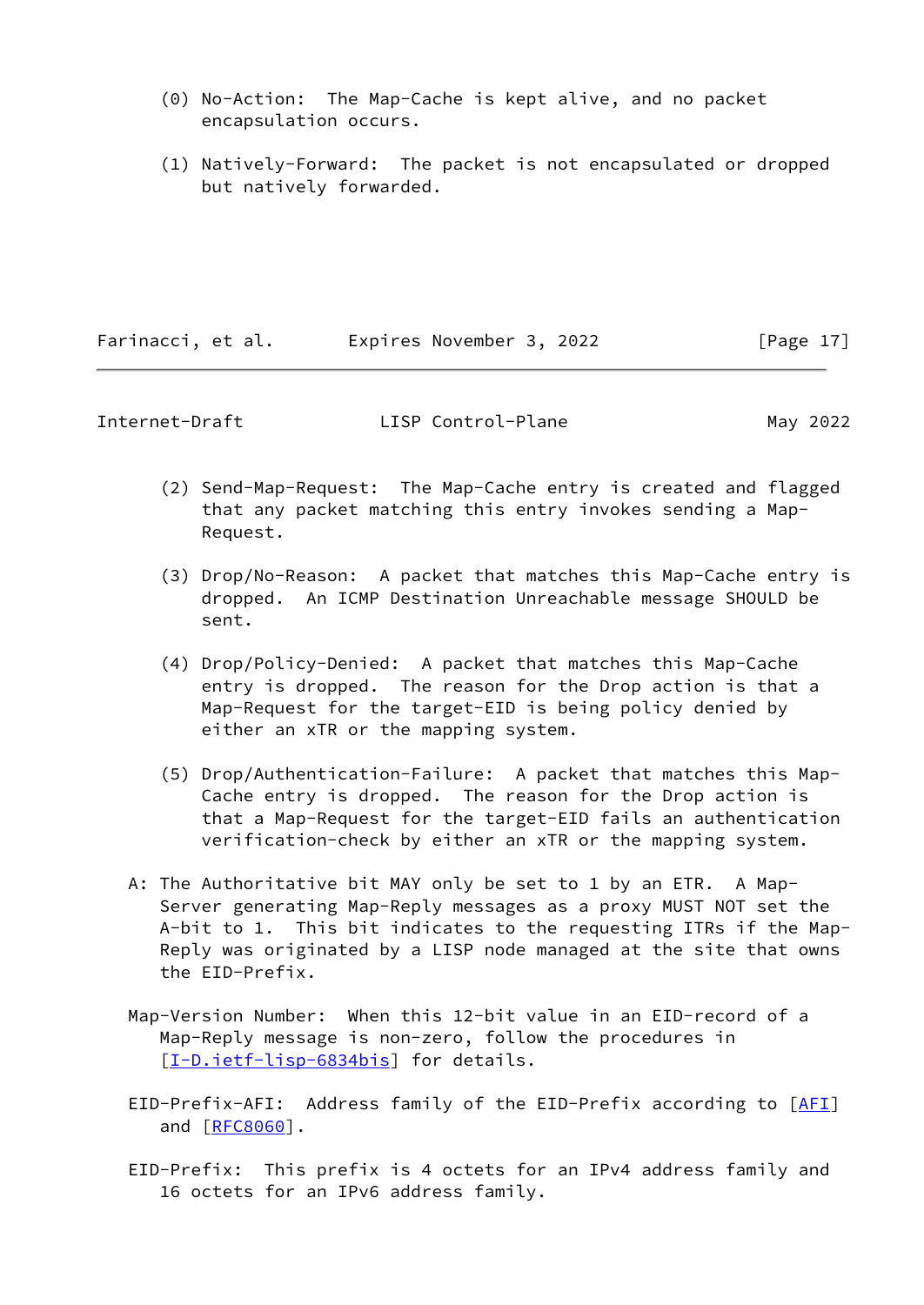- (0) No-Action: The Map-Cache is kept alive, and no packet encapsulation occurs.
- (1) Natively-Forward: The packet is not encapsulated or dropped but natively forwarded.

Farinacci, et al. Expires November 3, 2022 [Page 17]

Internet-Draft LISP Control-Plane May 2022

- (2) Send-Map-Request: The Map-Cache entry is created and flagged that any packet matching this entry invokes sending a Map- Request.
- (3) Drop/No-Reason: A packet that matches this Map-Cache entry is dropped. An ICMP Destination Unreachable message SHOULD be sent.
- (4) Drop/Policy-Denied: A packet that matches this Map-Cache entry is dropped. The reason for the Drop action is that a Map-Request for the target-EID is being policy denied by either an xTR or the mapping system.
- (5) Drop/Authentication-Failure: A packet that matches this Map- Cache entry is dropped. The reason for the Drop action is that a Map-Request for the target-EID fails an authentication verification-check by either an xTR or the mapping system.
- A: The Authoritative bit MAY only be set to 1 by an ETR. A Map- Server generating Map-Reply messages as a proxy MUST NOT set the A-bit to 1. This bit indicates to the requesting ITRs if the Map- Reply was originated by a LISP node managed at the site that owns the EID-Prefix.
- Map-Version Number: When this 12-bit value in an EID-record of a Map-Reply message is non-zero, follow the procedures in [[I-D.ietf-lisp-6834bis\]](#page-52-5) for details.
- EID-Prefix-AFI: Address family of the EID-Prefix according to [\[AFI](#page-54-3)] and [\[RFC8060](https://datatracker.ietf.org/doc/pdf/rfc8060)].
- EID-Prefix: This prefix is 4 octets for an IPv4 address family and 16 octets for an IPv6 address family.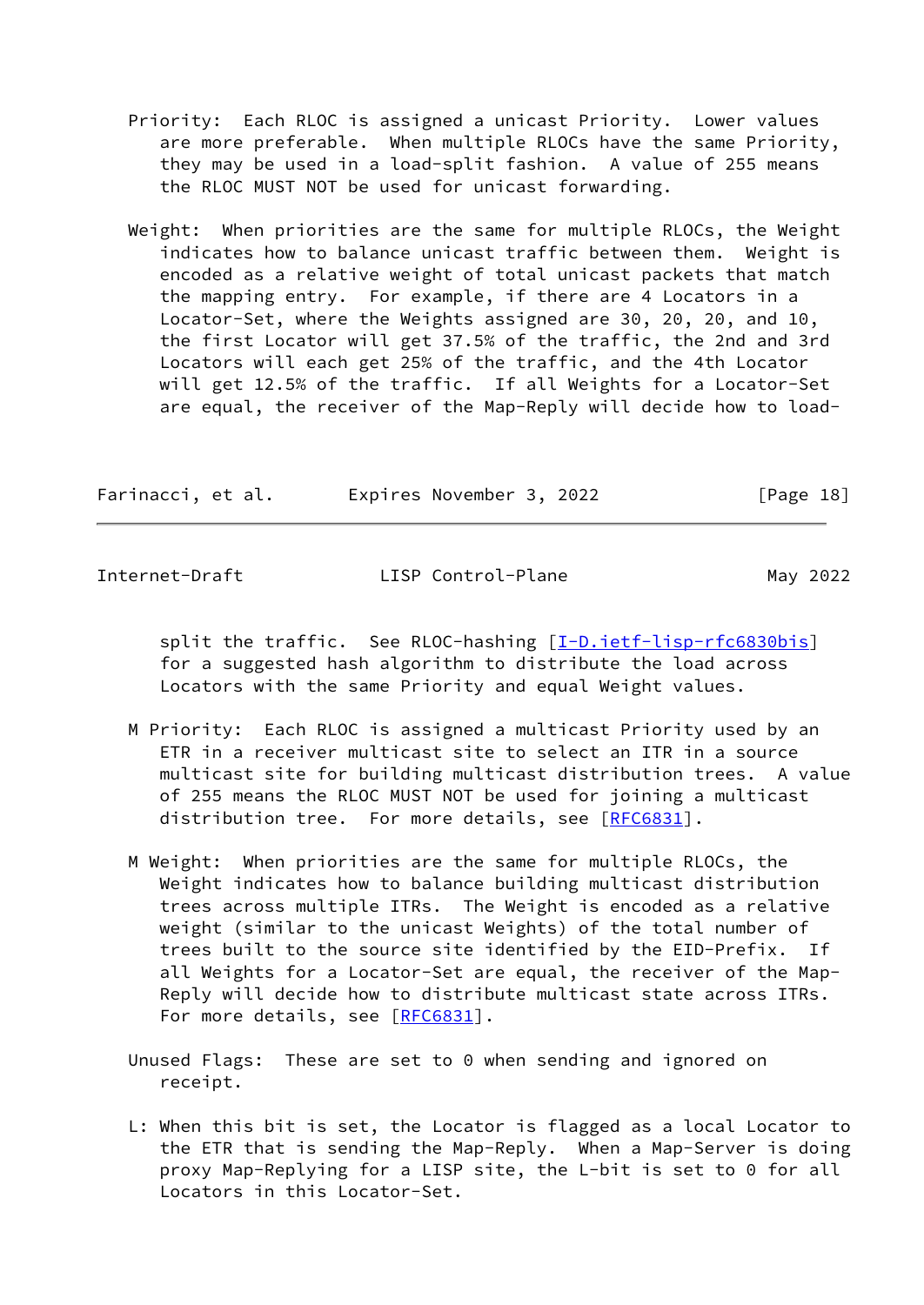- Priority: Each RLOC is assigned a unicast Priority. Lower values are more preferable. When multiple RLOCs have the same Priority, they may be used in a load-split fashion. A value of 255 means the RLOC MUST NOT be used for unicast forwarding.
- Weight: When priorities are the same for multiple RLOCs, the Weight indicates how to balance unicast traffic between them. Weight is encoded as a relative weight of total unicast packets that match the mapping entry. For example, if there are 4 Locators in a Locator-Set, where the Weights assigned are 30, 20, 20, and 10, the first Locator will get 37.5% of the traffic, the 2nd and 3rd Locators will each get 25% of the traffic, and the 4th Locator will get 12.5% of the traffic. If all Weights for a Locator-Set are equal, the receiver of the Map-Reply will decide how to load-

| Farinacci, et al. | Expires November 3, 2022 | [Page 18] |
|-------------------|--------------------------|-----------|
|-------------------|--------------------------|-----------|

split the traffic. See RLOC-hashing [\[I-D.ietf-lisp-rfc6830bis](#page-52-3)] for a suggested hash algorithm to distribute the load across Locators with the same Priority and equal Weight values.

- M Priority: Each RLOC is assigned a multicast Priority used by an ETR in a receiver multicast site to select an ITR in a source multicast site for building multicast distribution trees. A value of 255 means the RLOC MUST NOT be used for joining a multicast distribution tree. For more details, see [\[RFC6831](https://datatracker.ietf.org/doc/pdf/rfc6831)].
- M Weight: When priorities are the same for multiple RLOCs, the Weight indicates how to balance building multicast distribution trees across multiple ITRs. The Weight is encoded as a relative weight (similar to the unicast Weights) of the total number of trees built to the source site identified by the EID-Prefix. If all Weights for a Locator-Set are equal, the receiver of the Map- Reply will decide how to distribute multicast state across ITRs. For more details, see [\[RFC6831](https://datatracker.ietf.org/doc/pdf/rfc6831)].
- Unused Flags: These are set to 0 when sending and ignored on receipt.
- L: When this bit is set, the Locator is flagged as a local Locator to the ETR that is sending the Map-Reply. When a Map-Server is doing proxy Map-Replying for a LISP site, the L-bit is set to 0 for all Locators in this Locator-Set.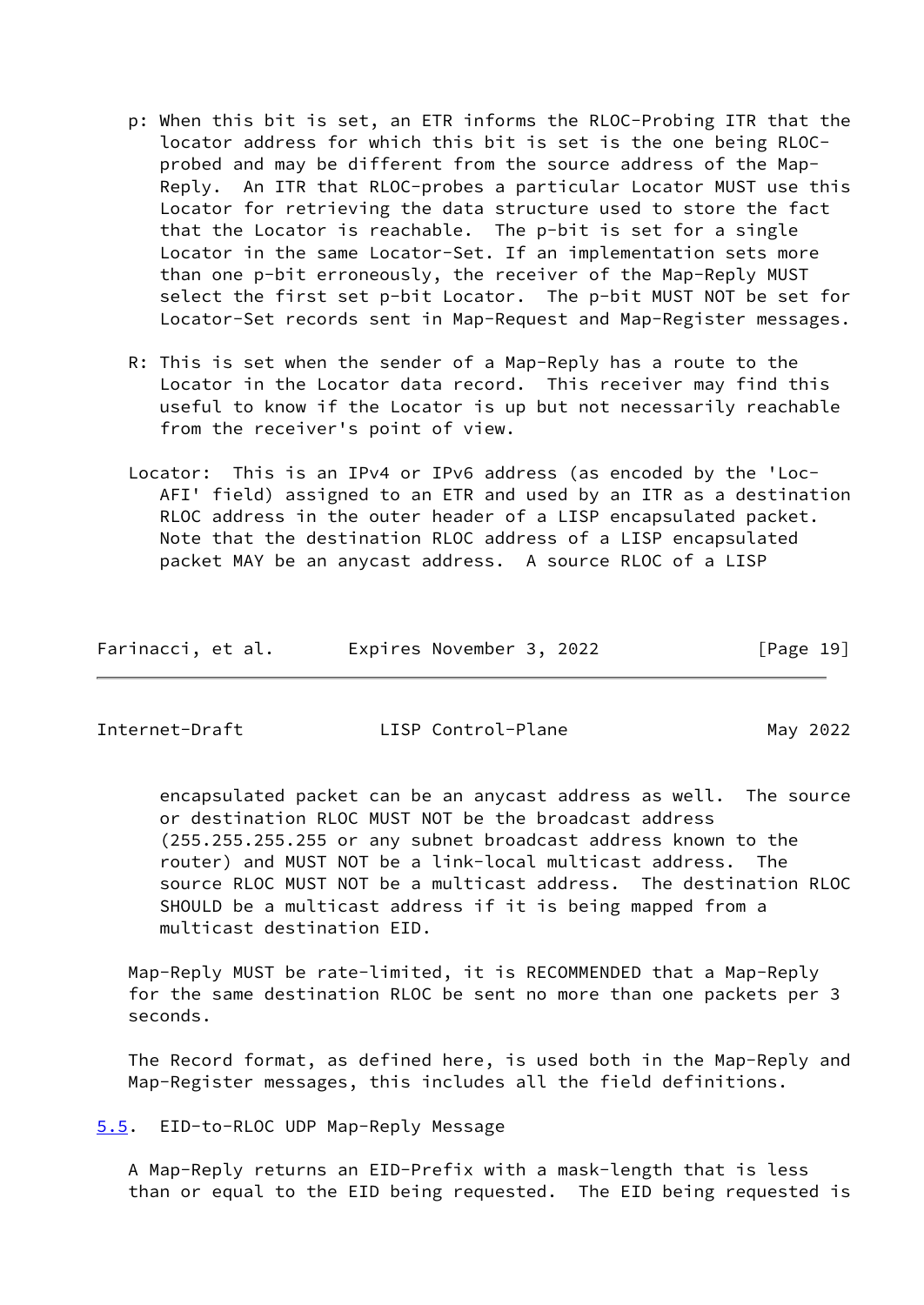- p: When this bit is set, an ETR informs the RLOC-Probing ITR that the locator address for which this bit is set is the one being RLOC probed and may be different from the source address of the Map- Reply. An ITR that RLOC-probes a particular Locator MUST use this Locator for retrieving the data structure used to store the fact that the Locator is reachable. The p-bit is set for a single Locator in the same Locator-Set. If an implementation sets more than one p-bit erroneously, the receiver of the Map-Reply MUST select the first set p-bit Locator. The p-bit MUST NOT be set for Locator-Set records sent in Map-Request and Map-Register messages.
- R: This is set when the sender of a Map-Reply has a route to the Locator in the Locator data record. This receiver may find this useful to know if the Locator is up but not necessarily reachable from the receiver's point of view.
- Locator: This is an IPv4 or IPv6 address (as encoded by the 'Loc- AFI' field) assigned to an ETR and used by an ITR as a destination RLOC address in the outer header of a LISP encapsulated packet. Note that the destination RLOC address of a LISP encapsulated packet MAY be an anycast address. A source RLOC of a LISP

| Farinacci, et al. | Expires November 3, 2022 | [Page 19] |
|-------------------|--------------------------|-----------|
|-------------------|--------------------------|-----------|

<span id="page-21-1"></span>

 encapsulated packet can be an anycast address as well. The source or destination RLOC MUST NOT be the broadcast address (255.255.255.255 or any subnet broadcast address known to the router) and MUST NOT be a link-local multicast address. The source RLOC MUST NOT be a multicast address. The destination RLOC SHOULD be a multicast address if it is being mapped from a multicast destination EID.

 Map-Reply MUST be rate-limited, it is RECOMMENDED that a Map-Reply for the same destination RLOC be sent no more than one packets per 3 seconds.

 The Record format, as defined here, is used both in the Map-Reply and Map-Register messages, this includes all the field definitions.

<span id="page-21-0"></span>[5.5](#page-21-0). EID-to-RLOC UDP Map-Reply Message

 A Map-Reply returns an EID-Prefix with a mask-length that is less than or equal to the EID being requested. The EID being requested is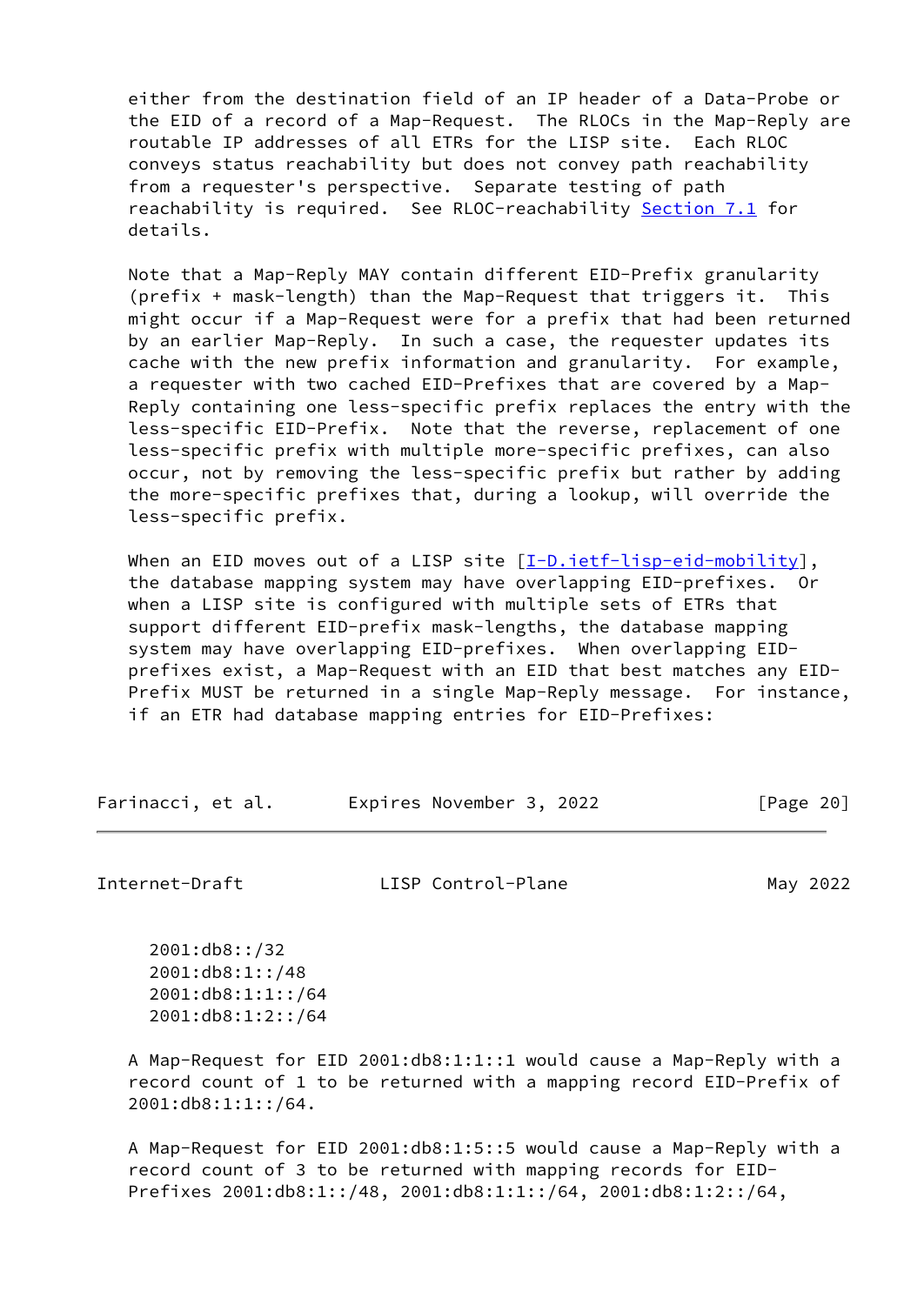either from the destination field of an IP header of a Data-Probe or the EID of a record of a Map-Request. The RLOCs in the Map-Reply are routable IP addresses of all ETRs for the LISP site. Each RLOC conveys status reachability but does not convey path reachability from a requester's perspective. Separate testing of path reachability is required. See RLOC-reachability [Section 7.1](#page-36-0) for details.

 Note that a Map-Reply MAY contain different EID-Prefix granularity (prefix + mask-length) than the Map-Request that triggers it. This might occur if a Map-Request were for a prefix that had been returned by an earlier Map-Reply. In such a case, the requester updates its cache with the new prefix information and granularity. For example, a requester with two cached EID-Prefixes that are covered by a Map- Reply containing one less-specific prefix replaces the entry with the less-specific EID-Prefix. Note that the reverse, replacement of one less-specific prefix with multiple more-specific prefixes, can also occur, not by removing the less-specific prefix but rather by adding the more-specific prefixes that, during a lookup, will override the less-specific prefix.

When an EID moves out of a LISP site  $[I-D.ietf-lisp-eid-mobility]$ , the database mapping system may have overlapping EID-prefixes. Or when a LISP site is configured with multiple sets of ETRs that support different EID-prefix mask-lengths, the database mapping system may have overlapping EID-prefixes. When overlapping EID prefixes exist, a Map-Request with an EID that best matches any EID- Prefix MUST be returned in a single Map-Reply message. For instance, if an ETR had database mapping entries for EID-Prefixes:

| Farinacci, et al. | Expires November 3, 2022 | [Page 20] |
|-------------------|--------------------------|-----------|
|-------------------|--------------------------|-----------|

Internet-Draft LISP Control-Plane May 2022

 2001:db8::/32 2001:db8:1::/48 2001:db8:1:1::/64 2001:db8:1:2::/64

 A Map-Request for EID 2001:db8:1:1::1 would cause a Map-Reply with a record count of 1 to be returned with a mapping record EID-Prefix of 2001:db8:1:1::/64.

 A Map-Request for EID 2001:db8:1:5::5 would cause a Map-Reply with a record count of 3 to be returned with mapping records for EID- Prefixes 2001:db8:1::/48, 2001:db8:1:1::/64, 2001:db8:1:2::/64,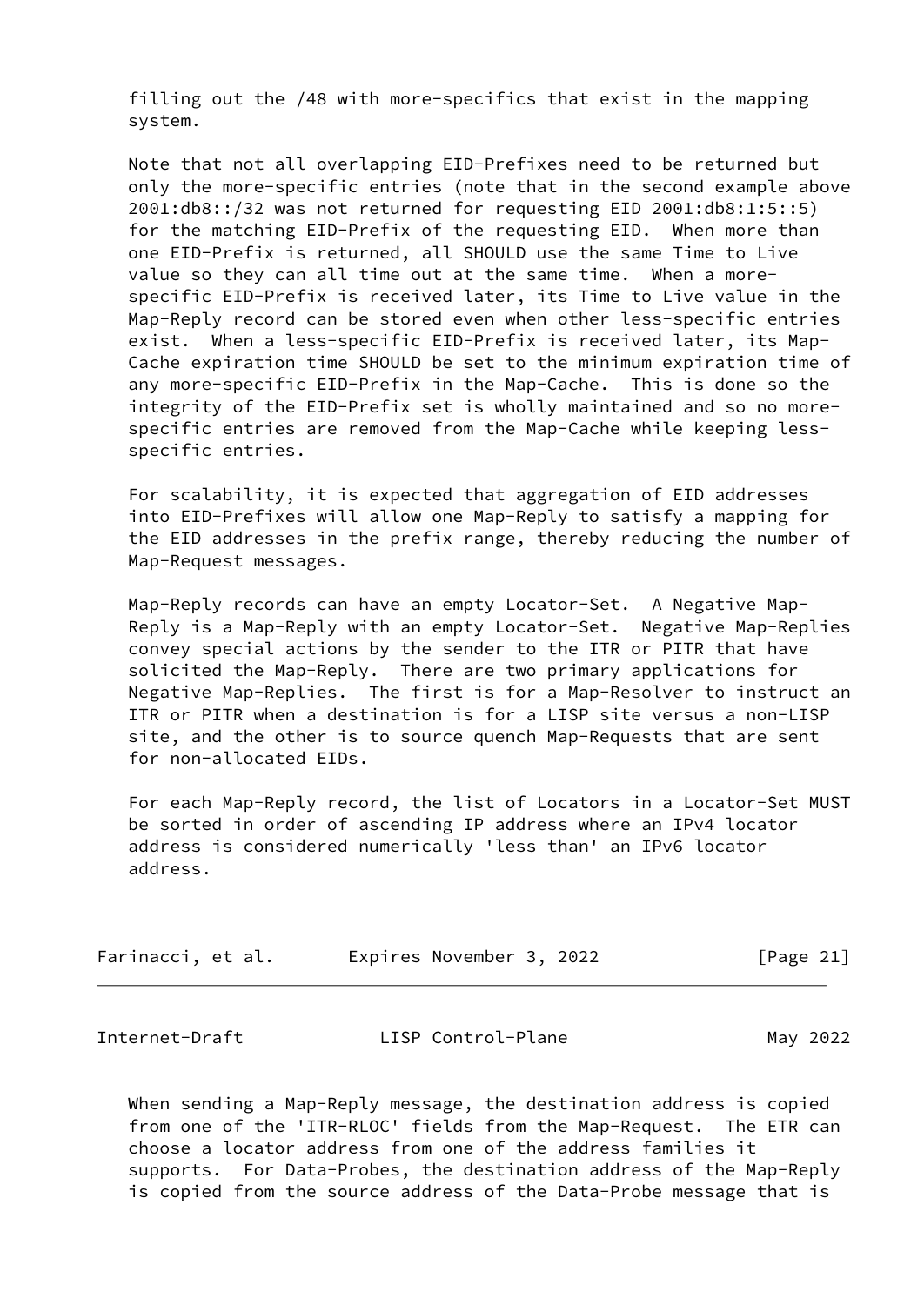filling out the /48 with more-specifics that exist in the mapping system.

 Note that not all overlapping EID-Prefixes need to be returned but only the more-specific entries (note that in the second example above 2001:db8::/32 was not returned for requesting EID 2001:db8:1:5::5) for the matching EID-Prefix of the requesting EID. When more than one EID-Prefix is returned, all SHOULD use the same Time to Live value so they can all time out at the same time. When a more specific EID-Prefix is received later, its Time to Live value in the Map-Reply record can be stored even when other less-specific entries exist. When a less-specific EID-Prefix is received later, its Map- Cache expiration time SHOULD be set to the minimum expiration time of any more-specific EID-Prefix in the Map-Cache. This is done so the integrity of the EID-Prefix set is wholly maintained and so no more specific entries are removed from the Map-Cache while keeping less specific entries.

 For scalability, it is expected that aggregation of EID addresses into EID-Prefixes will allow one Map-Reply to satisfy a mapping for the EID addresses in the prefix range, thereby reducing the number of Map-Request messages.

 Map-Reply records can have an empty Locator-Set. A Negative Map- Reply is a Map-Reply with an empty Locator-Set. Negative Map-Replies convey special actions by the sender to the ITR or PITR that have solicited the Map-Reply. There are two primary applications for Negative Map-Replies. The first is for a Map-Resolver to instruct an ITR or PITR when a destination is for a LISP site versus a non-LISP site, and the other is to source quench Map-Requests that are sent for non-allocated EIDs.

 For each Map-Reply record, the list of Locators in a Locator-Set MUST be sorted in order of ascending IP address where an IPv4 locator address is considered numerically 'less than' an IPv6 locator address.

| Farinacci, et al. | Expires November 3, 2022 | [Page 21] |
|-------------------|--------------------------|-----------|
|-------------------|--------------------------|-----------|

| Internet-Draft | LISP Control-Plane | May 2022 |
|----------------|--------------------|----------|
|----------------|--------------------|----------|

 When sending a Map-Reply message, the destination address is copied from one of the 'ITR-RLOC' fields from the Map-Request. The ETR can choose a locator address from one of the address families it supports. For Data-Probes, the destination address of the Map-Reply is copied from the source address of the Data-Probe message that is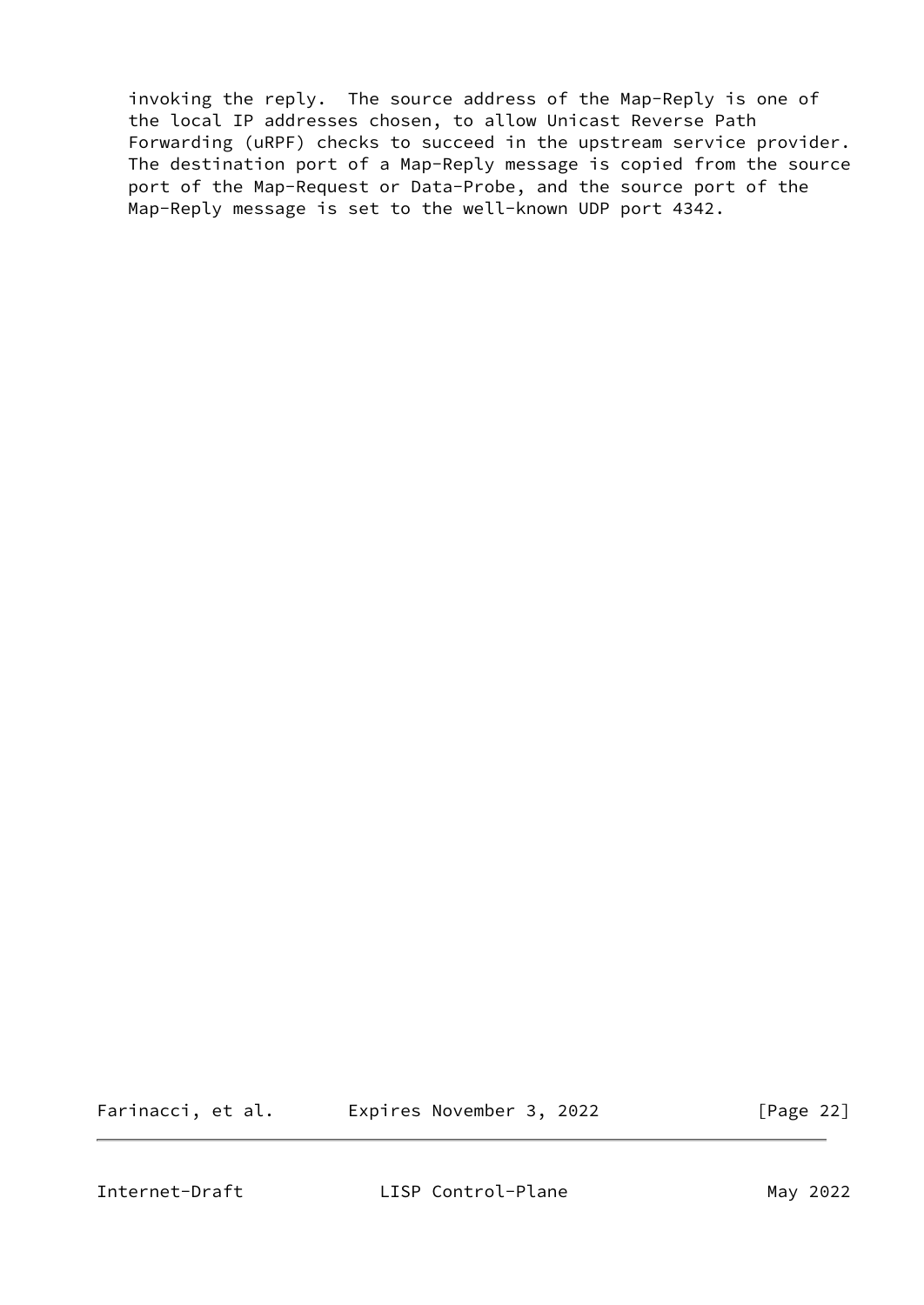invoking the reply. The source address of the Map-Reply is one of the local IP addresses chosen, to allow Unicast Reverse Path Forwarding (uRPF) checks to succeed in the upstream service provider. The destination port of a Map-Reply message is copied from the source port of the Map-Request or Data-Probe, and the source port of the Map-Reply message is set to the well-known UDP port 4342.

Farinacci, et al. Expires November 3, 2022 [Page 22]

<span id="page-24-0"></span>

Internet-Draft LISP Control-Plane May 2022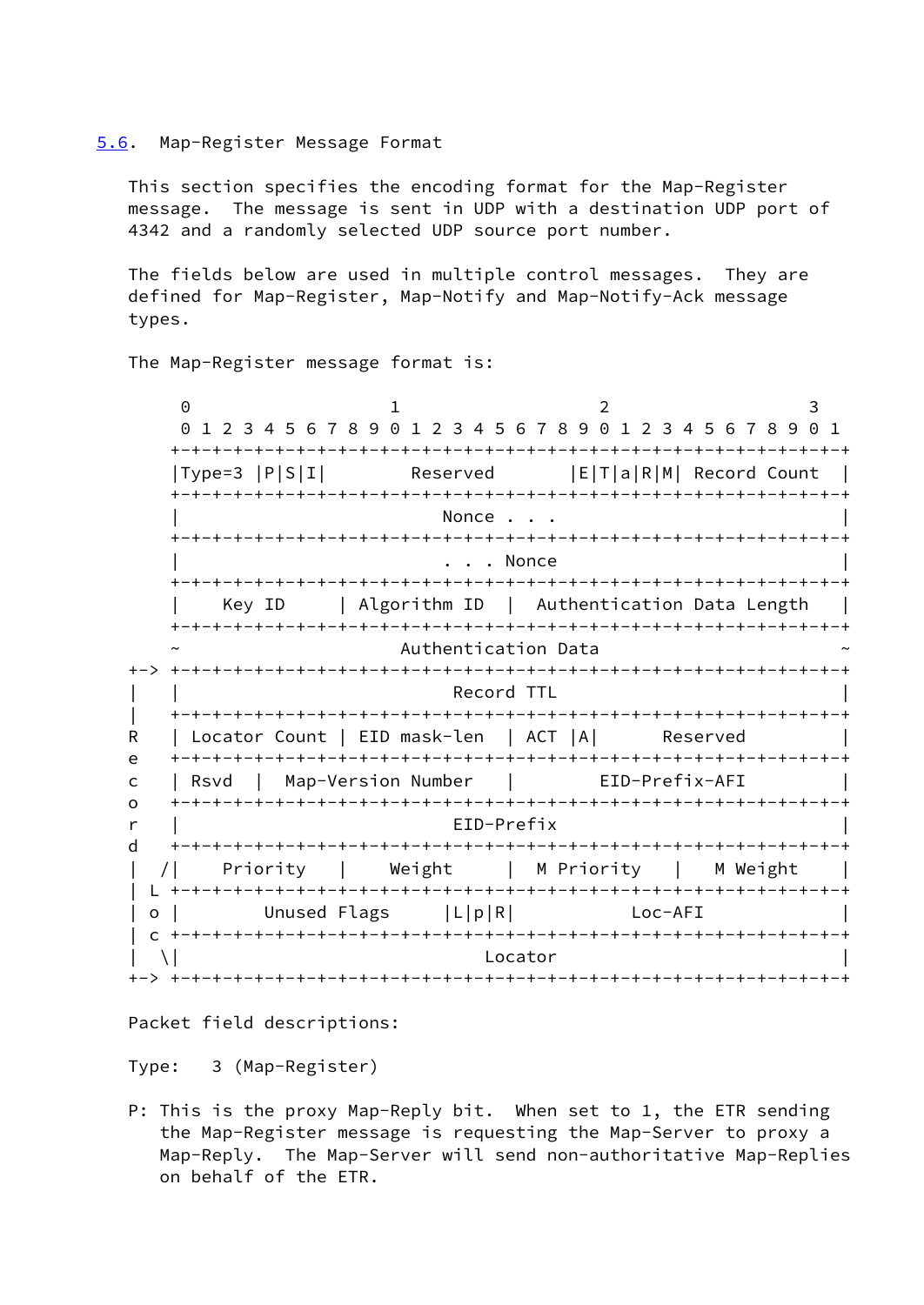#### <span id="page-25-0"></span>[5.6](#page-25-0). Map-Register Message Format

 This section specifies the encoding format for the Map-Register message. The message is sent in UDP with a destination UDP port of 4342 and a randomly selected UDP source port number.

 The fields below are used in multiple control messages. They are defined for Map-Register, Map-Notify and Map-Notify-Ack message types.

The Map-Register message format is:

 $0$  1 2 3 0 1 2 3 4 5 6 7 8 9 0 1 2 3 4 5 6 7 8 9 0 1 2 3 4 5 6 7 8 9 0 1 +-+-+-+-+-+-+-+-+-+-+-+-+-+-+-+-+-+-+-+-+-+-+-+-+-+-+-+-+-+-+-+-+ |Type=3 |P|S|I| Reserved |E|T|a|R|M| Record Count | +-+-+-+-+-+-+-+-+-+-+-+-+-+-+-+-+-+-+-+-+-+-+-+-+-+-+-+-+-+-+-+-+ Nonce . . . +-+-+-+-+-+-+-+-+-+-+-+-+-+-+-+-+-+-+-+-+-+-+-+-+-+-+-+-+-+-+-+-+ . . . Nonce +-+-+-+-+-+-+-+-+-+-+-+-+-+-+-+-+-+-+-+-+-+-+-+-+-+-+-+-+-+-+-+-+ | Key ID | Algorithm ID | Authentication Data Length | +-+-+-+-+-+-+-+-+-+-+-+-+-+-+-+-+-+-+-+-+-+-+-+-+-+-+-+-+-+-+-+-+ Authentication Data +-> +-+-+-+-+-+-+-+-+-+-+-+-+-+-+-+-+-+-+-+-+-+-+-+-+-+-+-+-+-+-+-+-+ Record TTL | +-+-+-+-+-+-+-+-+-+-+-+-+-+-+-+-+-+-+-+-+-+-+-+-+-+-+-+-+-+-+-+-+ R | Locator Count | EID mask-len | ACT | A| Reserved e +-+-+-+-+-+-+-+-+-+-+-+-+-+-+-+-+-+-+-+-+-+-+-+-+-+-+-+-+-+-+-+-+ c | Rsvd | Map-Version Number | EID-Prefix-AFI | o +-+-+-+-+-+-+-+-+-+-+-+-+-+-+-+-+-+-+-+-+-+-+-+-+-+-+-+-+-+-+-+-+ r | EID-Prefix | d +-+-+-+-+-+-+-+-+-+-+-+-+-+-+-+-+-+-+-+-+-+-+-+-+-+-+-+-+-+-+-+-+ | /| Priority | Weight | M Priority | M Weight | | L +-+-+-+-+-+-+-+-+-+-+-+-+-+-+-+-+-+-+-+-+-+-+-+-+-+-+-+-+-+-+-+-+ | o | Unused Flags | L|p|R| Loc-AFI | c +-+-+-+-+-+-+-+-+-+-+-+-+-+-+-+-+-+-+-+-+-+-+-+-+-+-+-+-+-+-+-+-+  $|\n\begin{array}{ccc} \set{\end{array}}\n\begin{array}{ccc} \set{\end{array}}\n\end{array}$ +-> +-+-+-+-+-+-+-+-+-+-+-+-+-+-+-+-+-+-+-+-+-+-+-+-+-+-+-+-+-+-+-+-+

Packet field descriptions:

Type: 3 (Map-Register)

 P: This is the proxy Map-Reply bit. When set to 1, the ETR sending the Map-Register message is requesting the Map-Server to proxy a Map-Reply. The Map-Server will send non-authoritative Map-Replies on behalf of the ETR.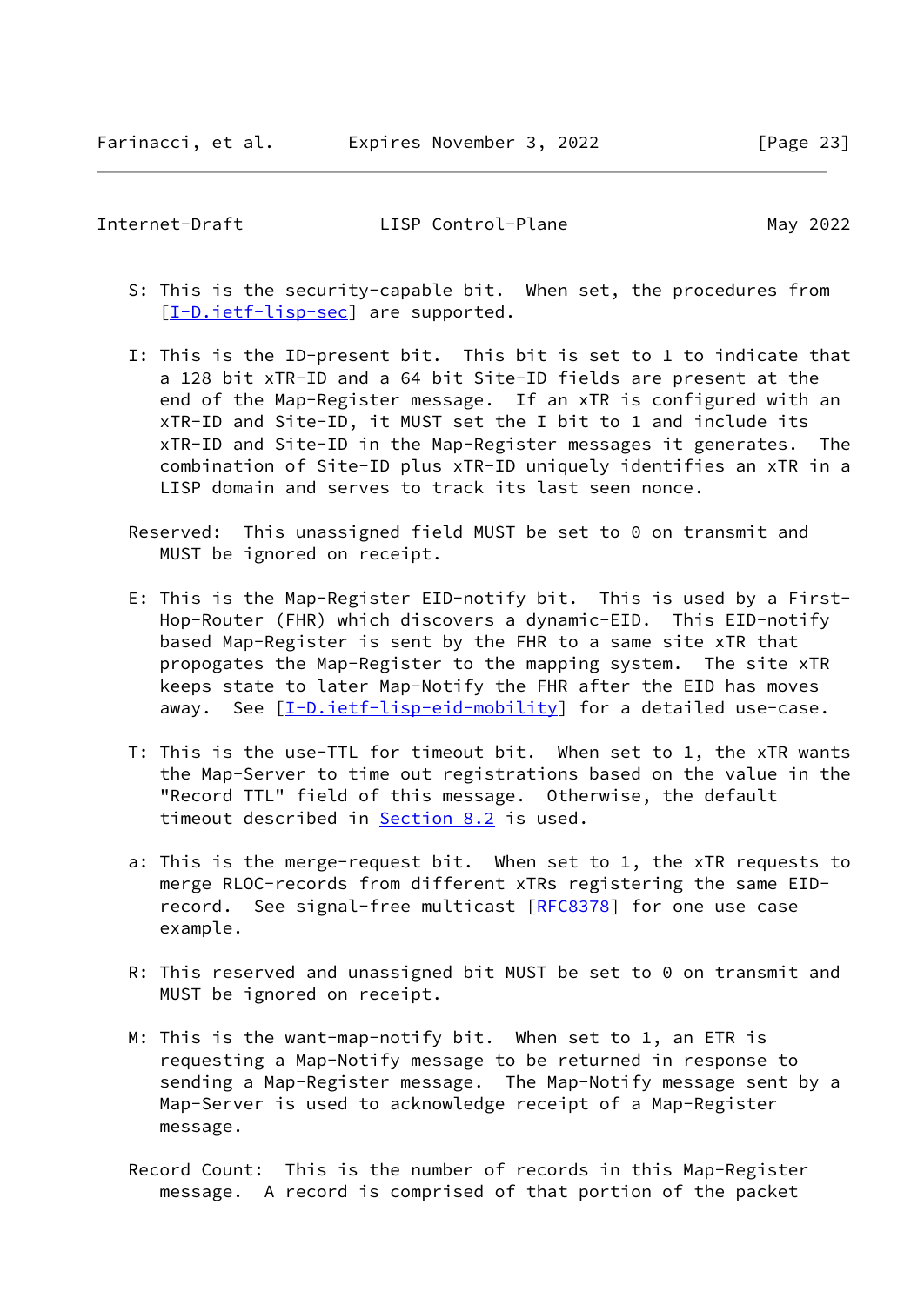- S: This is the security-capable bit. When set, the procedures from [[I-D.ietf-lisp-sec\]](#page-53-1) are supported.
- I: This is the ID-present bit. This bit is set to 1 to indicate that a 128 bit xTR-ID and a 64 bit Site-ID fields are present at the end of the Map-Register message. If an xTR is configured with an xTR-ID and Site-ID, it MUST set the I bit to 1 and include its xTR-ID and Site-ID in the Map-Register messages it generates. The combination of Site-ID plus xTR-ID uniquely identifies an xTR in a LISP domain and serves to track its last seen nonce.
- Reserved: This unassigned field MUST be set to 0 on transmit and MUST be ignored on receipt.
- E: This is the Map-Register EID-notify bit. This is used by a First- Hop-Router (FHR) which discovers a dynamic-EID. This EID-notify based Map-Register is sent by the FHR to a same site xTR that propogates the Map-Register to the mapping system. The site xTR keeps state to later Map-Notify the FHR after the EID has moves away. See [[I-D.ietf-lisp-eid-mobility\]](#page-54-4) for a detailed use-case.
- T: This is the use-TTL for timeout bit. When set to 1, the xTR wants the Map-Server to time out registrations based on the value in the "Record TTL" field of this message. Otherwise, the default timeout described in [Section 8.2](#page-38-0) is used.
- a: This is the merge-request bit. When set to 1, the xTR requests to merge RLOC-records from different xTRs registering the same EID- record. See signal-free multicast [[RFC8378](https://datatracker.ietf.org/doc/pdf/rfc8378)] for one use case example.
- R: This reserved and unassigned bit MUST be set to 0 on transmit and MUST be ignored on receipt.
- M: This is the want-map-notify bit. When set to 1, an ETR is requesting a Map-Notify message to be returned in response to sending a Map-Register message. The Map-Notify message sent by a Map-Server is used to acknowledge receipt of a Map-Register message.
- Record Count: This is the number of records in this Map-Register message. A record is comprised of that portion of the packet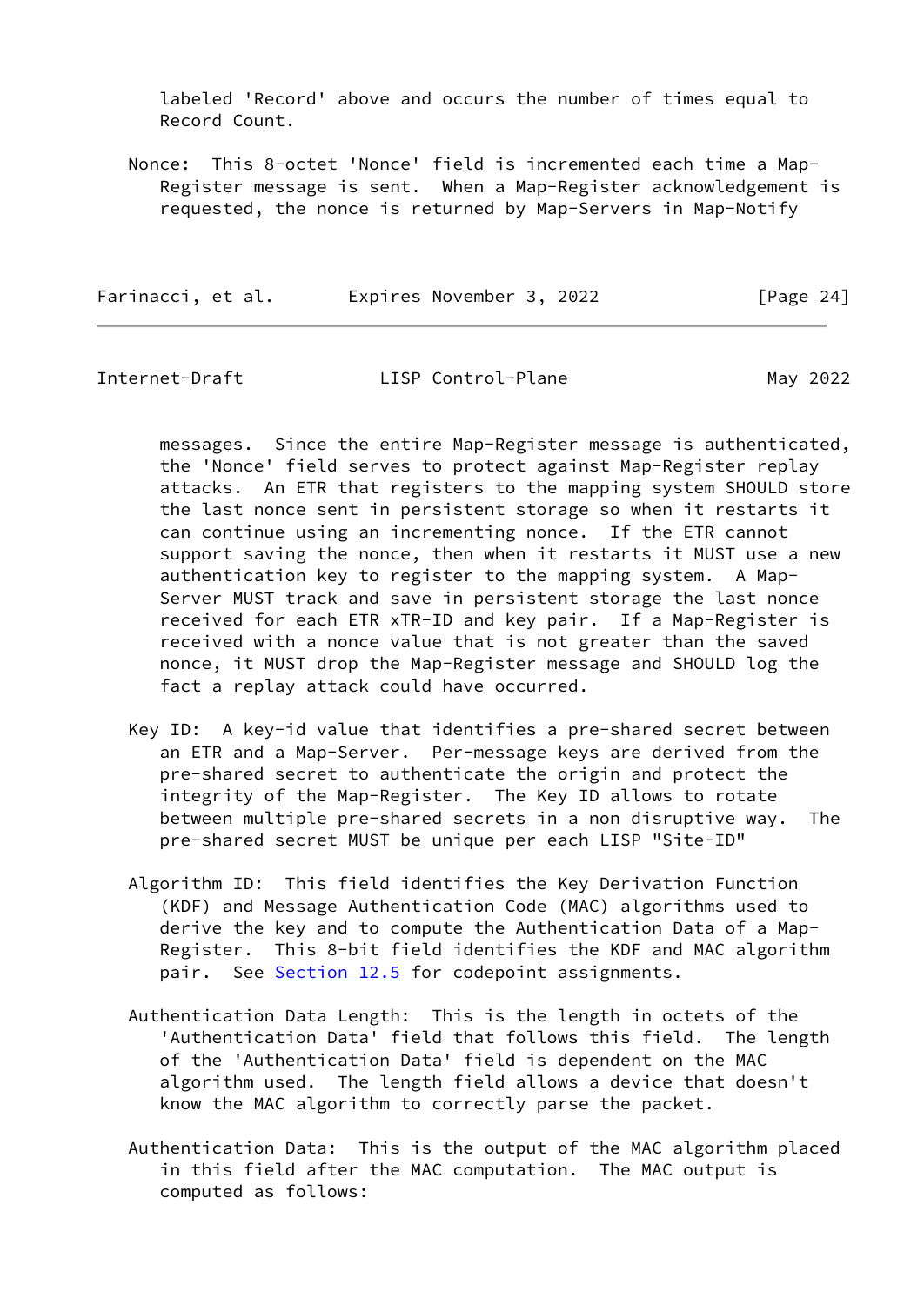labeled 'Record' above and occurs the number of times equal to Record Count.

 Nonce: This 8-octet 'Nonce' field is incremented each time a Map- Register message is sent. When a Map-Register acknowledgement is requested, the nonce is returned by Map-Servers in Map-Notify

| Farinacci, et al. | Expires November 3, 2022 | [Page 24] |
|-------------------|--------------------------|-----------|
|-------------------|--------------------------|-----------|

Internet-Draft **LISP Control-Plane** May 2022

 messages. Since the entire Map-Register message is authenticated, the 'Nonce' field serves to protect against Map-Register replay attacks. An ETR that registers to the mapping system SHOULD store the last nonce sent in persistent storage so when it restarts it can continue using an incrementing nonce. If the ETR cannot support saving the nonce, then when it restarts it MUST use a new authentication key to register to the mapping system. A Map- Server MUST track and save in persistent storage the last nonce received for each ETR xTR-ID and key pair. If a Map-Register is received with a nonce value that is not greater than the saved nonce, it MUST drop the Map-Register message and SHOULD log the fact a replay attack could have occurred.

- Key ID: A key-id value that identifies a pre-shared secret between an ETR and a Map-Server. Per-message keys are derived from the pre-shared secret to authenticate the origin and protect the integrity of the Map-Register. The Key ID allows to rotate between multiple pre-shared secrets in a non disruptive way. The pre-shared secret MUST be unique per each LISP "Site-ID"
- Algorithm ID: This field identifies the Key Derivation Function (KDF) and Message Authentication Code (MAC) algorithms used to derive the key and to compute the Authentication Data of a Map- Register. This 8-bit field identifies the KDF and MAC algorithm pair. See **Section 12.5** for codepoint assignments.
- Authentication Data Length: This is the length in octets of the 'Authentication Data' field that follows this field. The length of the 'Authentication Data' field is dependent on the MAC algorithm used. The length field allows a device that doesn't know the MAC algorithm to correctly parse the packet.
- Authentication Data: This is the output of the MAC algorithm placed in this field after the MAC computation. The MAC output is computed as follows: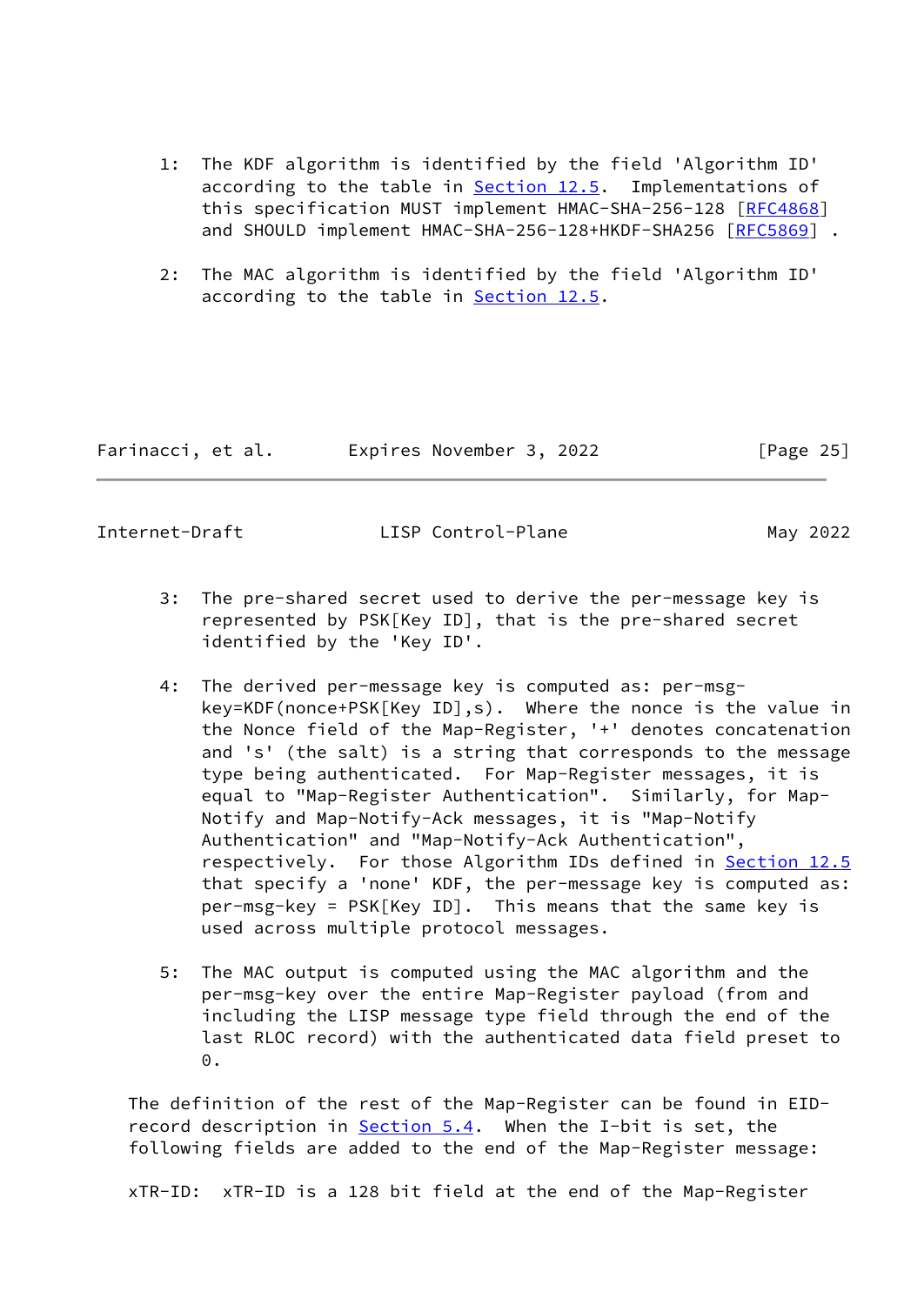- 1: The KDF algorithm is identified by the field 'Algorithm ID' according to the table in **Section 12.5.** Implementations of this specification MUST implement HMAC-SHA-256-128 [[RFC4868](https://datatracker.ietf.org/doc/pdf/rfc4868)] and SHOULD implement HMAC-SHA-256-128+HKDF-SHA256 [\[RFC5869](https://datatracker.ietf.org/doc/pdf/rfc5869)].
- 2: The MAC algorithm is identified by the field 'Algorithm ID' according to the table in [Section 12.5](#page-48-1).

| Farinacci, et al. | Expires November 3, 2022 | [Page 25] |
|-------------------|--------------------------|-----------|
|-------------------|--------------------------|-----------|

- 3: The pre-shared secret used to derive the per-message key is represented by PSK[Key ID], that is the pre-shared secret identified by the 'Key ID'.
- 4: The derived per-message key is computed as: per-msg key=KDF(nonce+PSK[Key ID],s). Where the nonce is the value in the Nonce field of the Map-Register, '+' denotes concatenation and 's' (the salt) is a string that corresponds to the message type being authenticated. For Map-Register messages, it is equal to "Map-Register Authentication". Similarly, for Map- Notify and Map-Notify-Ack messages, it is "Map-Notify Authentication" and "Map-Notify-Ack Authentication", respectively. For those Algorithm IDs defined in [Section 12.5](#page-48-1) that specify a 'none' KDF, the per-message key is computed as: per-msg-key = PSK[Key ID]. This means that the same key is used across multiple protocol messages.
- 5: The MAC output is computed using the MAC algorithm and the per-msg-key over the entire Map-Register payload (from and including the LISP message type field through the end of the last RLOC record) with the authenticated data field preset to 0.

 The definition of the rest of the Map-Register can be found in EID- record description in [Section 5.4](#page-17-0). When the I-bit is set, the following fields are added to the end of the Map-Register message:

xTR-ID: xTR-ID is a 128 bit field at the end of the Map-Register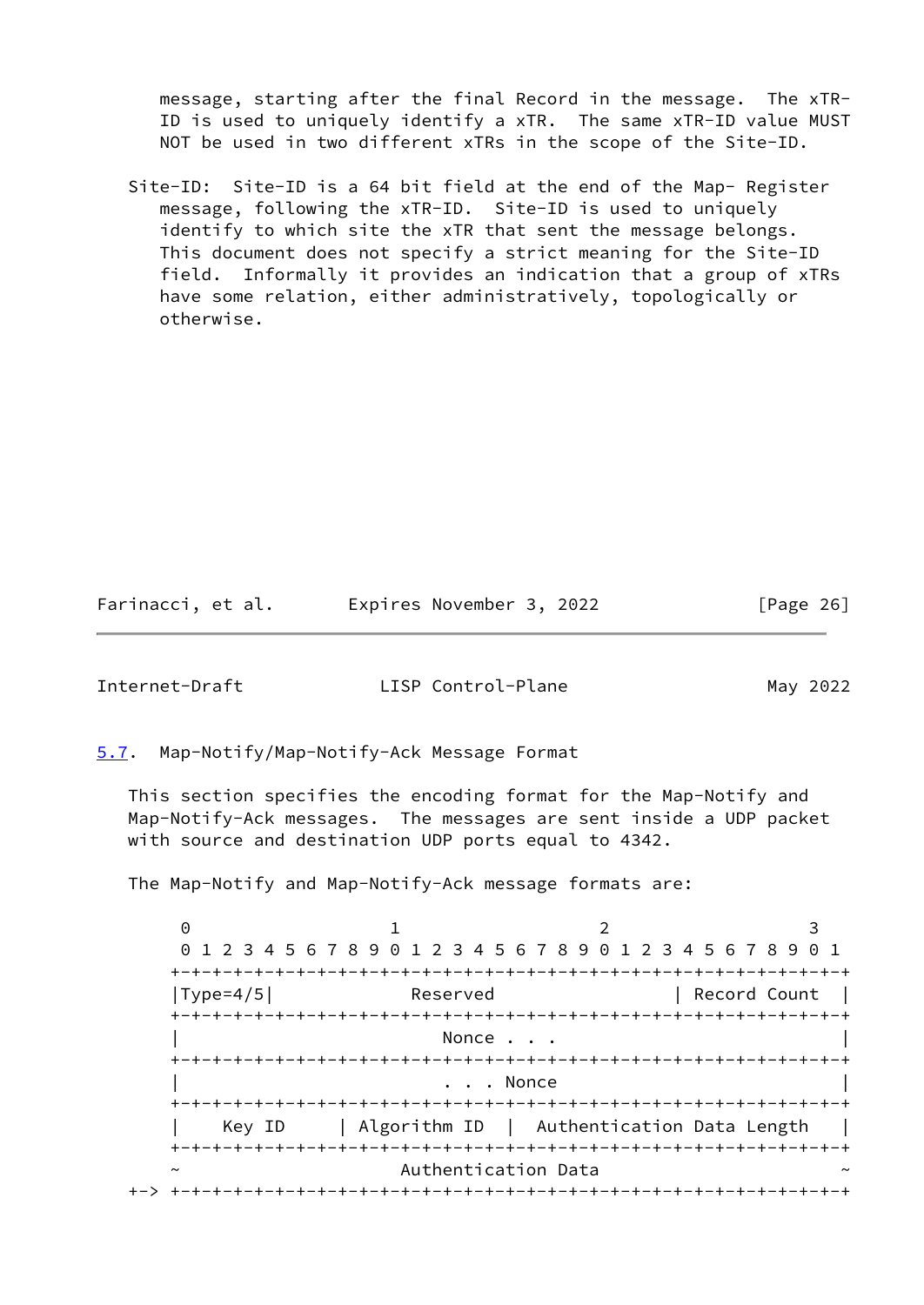message, starting after the final Record in the message. The xTR- ID is used to uniquely identify a xTR. The same xTR-ID value MUST NOT be used in two different xTRs in the scope of the Site-ID.

 Site-ID: Site-ID is a 64 bit field at the end of the Map- Register message, following the xTR-ID. Site-ID is used to uniquely identify to which site the xTR that sent the message belongs. This document does not specify a strict meaning for the Site-ID field. Informally it provides an indication that a group of xTRs have some relation, either administratively, topologically or otherwise.

Farinacci, et al. Expires November 3, 2022 [Page 26]

<span id="page-29-1"></span>Internet-Draft LISP Control-Plane May 2022

<span id="page-29-0"></span>[5.7](#page-29-0). Map-Notify/Map-Notify-Ack Message Format

 This section specifies the encoding format for the Map-Notify and Map-Notify-Ack messages. The messages are sent inside a UDP packet with source and destination UDP ports equal to 4342.

The Map-Notify and Map-Notify-Ack message formats are:

 $0$  1 2 3 0 1 2 3 4 5 6 7 8 9 0 1 2 3 4 5 6 7 8 9 0 1 2 3 4 5 6 7 8 9 0 1 +-+-+-+-+-+-+-+-+-+-+-+-+-+-+-+-+-+-+-+-+-+-+-+-+-+-+-+-+-+-+-+-+ |Type=4/5| Reserved | Record Count | +-+-+-+-+-+-+-+-+-+-+-+-+-+-+-+-+-+-+-+-+-+-+-+-+-+-+-+-+-+-+-+-+ Nonce . . . +-+-+-+-+-+-+-+-+-+-+-+-+-+-+-+-+-+-+-+-+-+-+-+-+-+-+-+-+-+-+-+-+ . . . Nonce +-+-+-+-+-+-+-+-+-+-+-+-+-+-+-+-+-+-+-+-+-+-+-+-+-+-+-+-+-+-+-+-+ | Key ID | Algorithm ID | Authentication Data Length | +-+-+-+-+-+-+-+-+-+-+-+-+-+-+-+-+-+-+-+-+-+-+-+-+-+-+-+-+-+-+-+-+ Authentication Data +-> +-+-+-+-+-+-+-+-+-+-+-+-+-+-+-+-+-+-+-+-+-+-+-+-+-+-+-+-+-+-+-+-+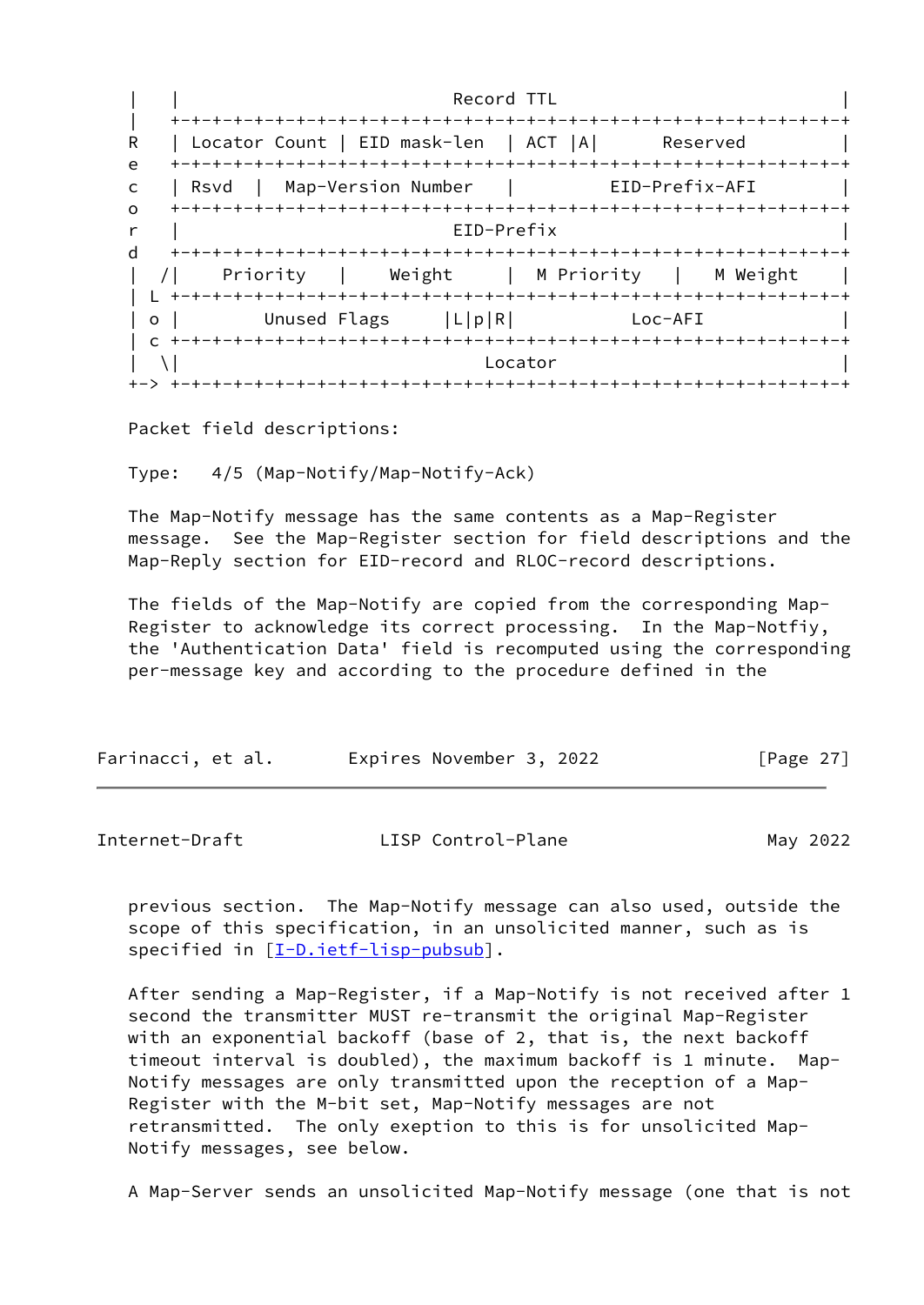| | Record TTL | | +-+-+-+-+-+-+-+-+-+-+-+-+-+-+-+-+-+-+-+-+-+-+-+-+-+-+-+-+-+-+-+-+ R | Locator Count | EID mask-len | ACT |A| Reserved e +-+-+-+-+-+-+-+-+-+-+-+-+-+-+-+-+-+-+-+-+-+-+-+-+-+-+-+-+-+-+-+-+ c | Rsvd | Map-Version Number | EID-Prefix-AFI | o +-+-+-+-+-+-+-+-+-+-+-+-+-+-+-+-+-+-+-+-+-+-+-+-+-+-+-+-+-+-+-+-+ r | EID-Prefix | d +-+-+-+-+-+-+-+-+-+-+-+-+-+-+-+-+-+-+-+-+-+-+-+-+-+-+-+-+-+-+-+-+ | /| Priority | Weight | M Priority | M Weight | | L +-+-+-+-+-+-+-+-+-+-+-+-+-+-+-+-+-+-+-+-+-+-+-+-+-+-+-+-+-+-+-+-+ | o | Unused Flags | L|p|R| Loc-AFI | c +-+-+-+-+-+-+-+-+-+-+-+-+-+-+-+-+-+-+-+-+-+-+-+-+-+-+-+-+-+-+-+-+  $|\n\begin{array}{ccc} \set{\end{array}}\n\begin{array}{ccc} \set{\end{array}}\n\end{array}$ +-> +-+-+-+-+-+-+-+-+-+-+-+-+-+-+-+-+-+-+-+-+-+-+-+-+-+-+-+-+-+-+-+-+

Packet field descriptions:

Type: 4/5 (Map-Notify/Map-Notify-Ack)

 The Map-Notify message has the same contents as a Map-Register message. See the Map-Register section for field descriptions and the Map-Reply section for EID-record and RLOC-record descriptions.

 The fields of the Map-Notify are copied from the corresponding Map- Register to acknowledge its correct processing. In the Map-Notfiy, the 'Authentication Data' field is recomputed using the corresponding per-message key and according to the procedure defined in the

| Farinacci, et al. | Expires November 3, 2022 | [Page $27$ ] |
|-------------------|--------------------------|--------------|
|                   |                          |              |

Internet-Draft LISP Control-Plane May 2022

 previous section. The Map-Notify message can also used, outside the scope of this specification, in an unsolicited manner, such as is specified in [\[I-D.ietf-lisp-pubsub](#page-55-3)].

 After sending a Map-Register, if a Map-Notify is not received after 1 second the transmitter MUST re-transmit the original Map-Register with an exponential backoff (base of 2, that is, the next backoff timeout interval is doubled), the maximum backoff is 1 minute. Map- Notify messages are only transmitted upon the reception of a Map- Register with the M-bit set, Map-Notify messages are not retransmitted. The only exeption to this is for unsolicited Map- Notify messages, see below.

A Map-Server sends an unsolicited Map-Notify message (one that is not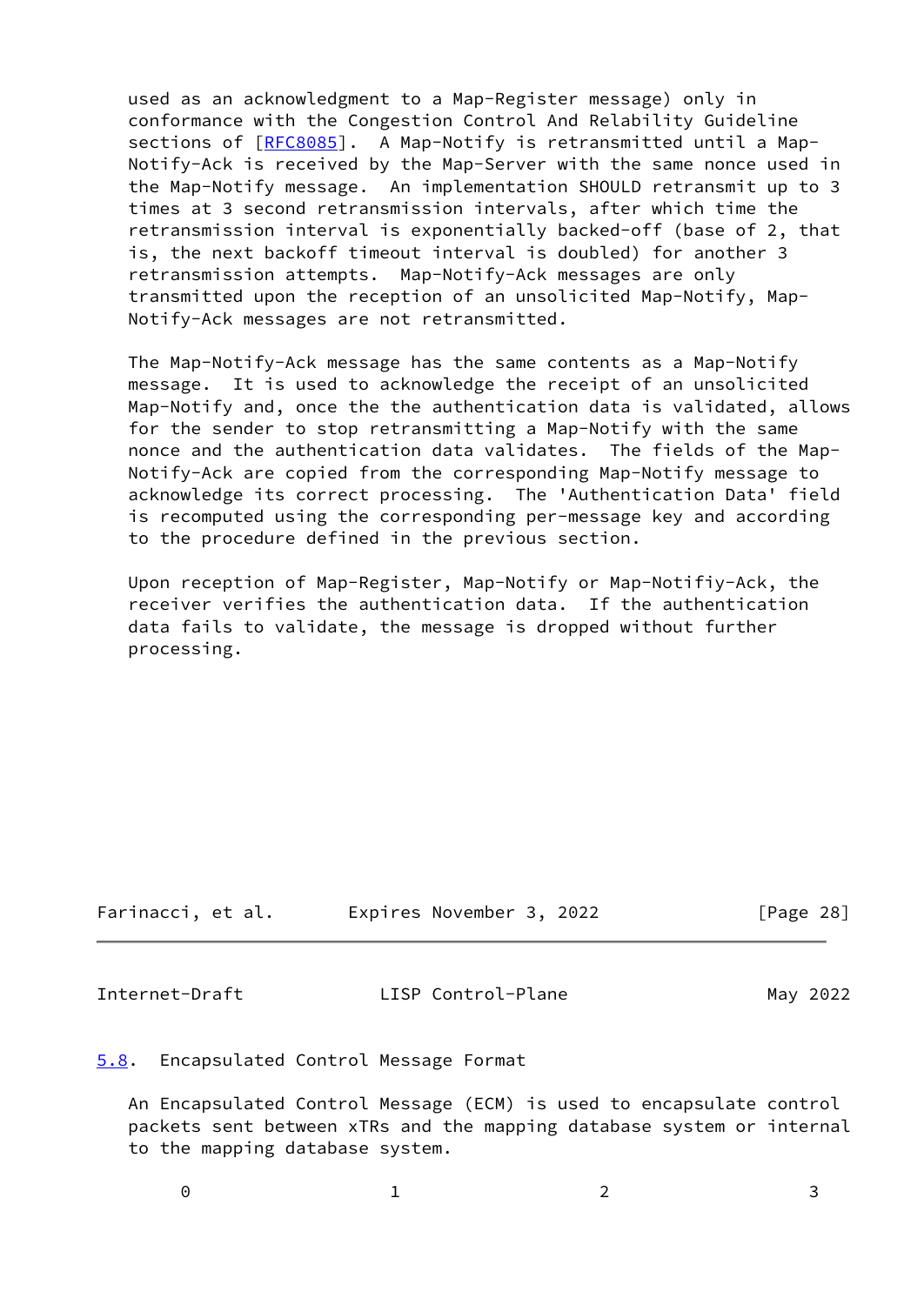used as an acknowledgment to a Map-Register message) only in conformance with the Congestion Control And Relability Guideline sections of [\[RFC8085](https://datatracker.ietf.org/doc/pdf/rfc8085)]. A Map-Notify is retransmitted until a Map- Notify-Ack is received by the Map-Server with the same nonce used in the Map-Notify message. An implementation SHOULD retransmit up to 3 times at 3 second retransmission intervals, after which time the retransmission interval is exponentially backed-off (base of 2, that is, the next backoff timeout interval is doubled) for another 3 retransmission attempts. Map-Notify-Ack messages are only transmitted upon the reception of an unsolicited Map-Notify, Map- Notify-Ack messages are not retransmitted.

 The Map-Notify-Ack message has the same contents as a Map-Notify message. It is used to acknowledge the receipt of an unsolicited Map-Notify and, once the the authentication data is validated, allows for the sender to stop retransmitting a Map-Notify with the same nonce and the authentication data validates. The fields of the Map- Notify-Ack are copied from the corresponding Map-Notify message to acknowledge its correct processing. The 'Authentication Data' field is recomputed using the corresponding per-message key and according to the procedure defined in the previous section.

 Upon reception of Map-Register, Map-Notify or Map-Notifiy-Ack, the receiver verifies the authentication data. If the authentication data fails to validate, the message is dropped without further processing.

| Farinacci, et al. | Expires November 3, 2022 | [Page 28] |
|-------------------|--------------------------|-----------|
|-------------------|--------------------------|-----------|

<span id="page-31-1"></span>Internet-Draft LISP Control-Plane May 2022

# <span id="page-31-0"></span>[5.8](#page-31-0). Encapsulated Control Message Format

 An Encapsulated Control Message (ECM) is used to encapsulate control packets sent between xTRs and the mapping database system or internal to the mapping database system.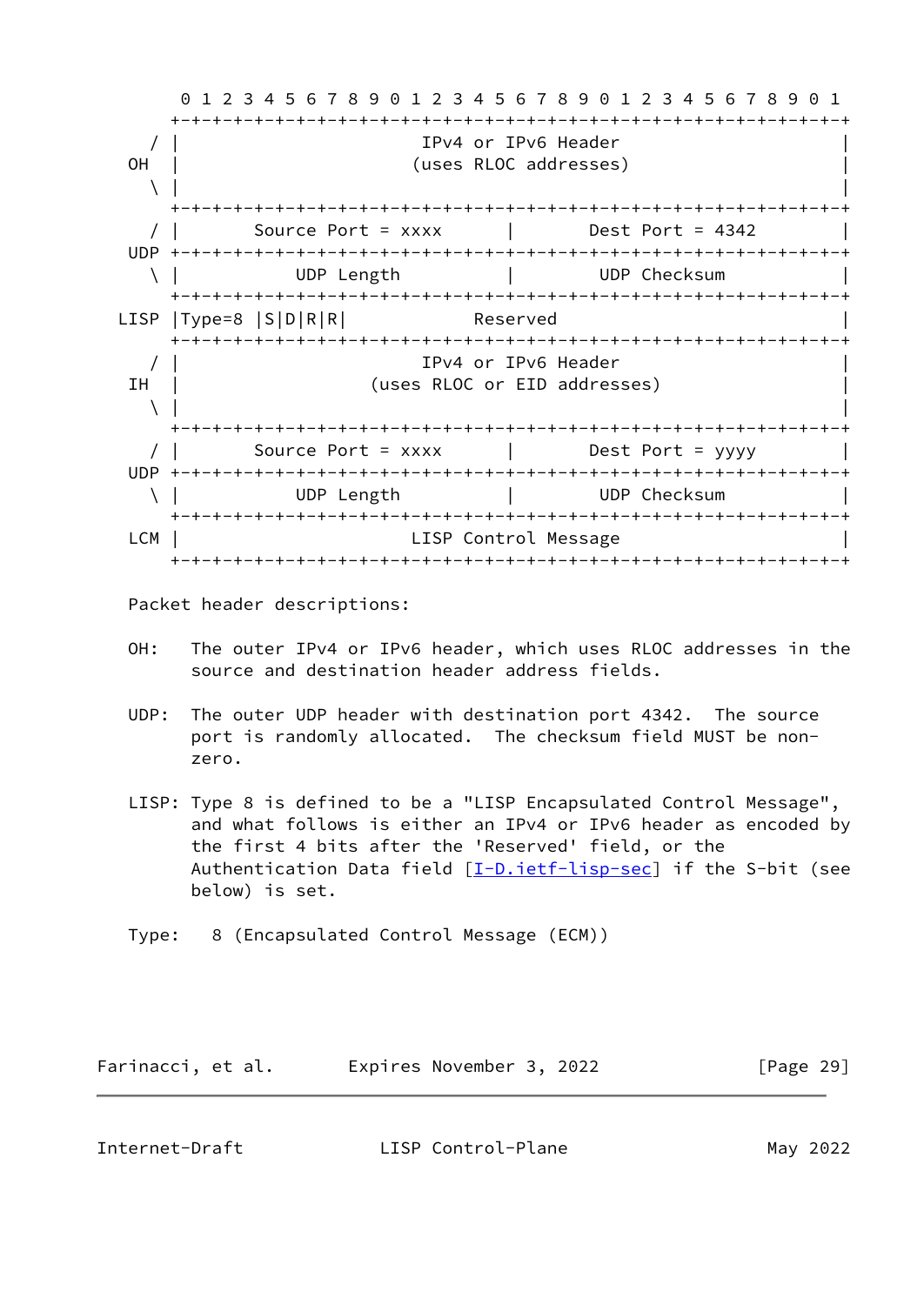0 1 2 3 4 5 6 7 8 9 0 1 2 3 4 5 6 7 8 9 0 1 2 3 4 5 6 7 8 9 0 1 +-+-+-+-+-+-+-+-+-+-+-+-+-+-+-+-+-+-+-+-+-+-+-+-+-+-+-+-+-+-+-+-+ / | IPv4 or IPv6 Header | OH | (uses RLOC addresses)  $\setminus$  |  $\setminus$  |  $\setminus$  |  $\setminus$  |  $\setminus$  |  $\setminus$  |  $\setminus$  |  $\setminus$  |  $\setminus$  |  $\setminus$  |  $\setminus$  |  $\setminus$  |  $\setminus$  |  $\setminus$  |  $\setminus$   $\setminus$  |  $\setminus$   $\setminus$   $\setminus$   $\setminus$   $\setminus$   $\setminus$   $\setminus$   $\setminus$   $\setminus$   $\setminus$   $\setminus$   $\setminus$   $\setminus$   $\setminus$   $\setminus$   $\setminus$  +-+-+-+-+-+-+-+-+-+-+-+-+-+-+-+-+-+-+-+-+-+-+-+-+-+-+-+-+-+-+-+-+ / | Source Port = xxxx | Dest Port = 4342 | UDP +-+-+-+-+-+-+-+-+-+-+-+-+-+-+-+-+-+-+-+-+-+-+-+-+-+-+-+-+-+-+-+-+ \ | UDP Length | UDP Checksum | +-+-+-+-+-+-+-+-+-+-+-+-+-+-+-+-+-+-+-+-+-+-+-+-+-+-+-+-+-+-+-+-+ LISP |Type=8 |S|D|R|R| Reserved | +-+-+-+-+-+-+-+-+-+-+-+-+-+-+-+-+-+-+-+-+-+-+-+-+-+-+-+-+-+-+-+-+ / | IPv4 or IPv6 Header | IH | (uses RLOC or EID addresses)  $\setminus$  |  $\setminus$  |  $\setminus$  |  $\setminus$  |  $\setminus$  |  $\setminus$  |  $\setminus$  |  $\setminus$  |  $\setminus$  |  $\setminus$  |  $\setminus$  |  $\setminus$  |  $\setminus$  |  $\setminus$  |  $\setminus$   $\setminus$  |  $\setminus$   $\setminus$   $\setminus$   $\setminus$   $\setminus$   $\setminus$   $\setminus$   $\setminus$   $\setminus$   $\setminus$   $\setminus$   $\setminus$   $\setminus$   $\setminus$   $\setminus$   $\setminus$  +-+-+-+-+-+-+-+-+-+-+-+-+-+-+-+-+-+-+-+-+-+-+-+-+-+-+-+-+-+-+-+-+ Source Port = xxxx | Dest Port = yyyy UDP +-+-+-+-+-+-+-+-+-+-+-+-+-+-+-+-+-+-+-+-+-+-+-+-+-+-+-+-+-+-+-+-+ \ | UDP Length | UDP Checksum | +-+-+-+-+-+-+-+-+-+-+-+-+-+-+-+-+-+-+-+-+-+-+-+-+-+-+-+-+-+-+-+-+ LCM | LISP Control Message +-+-+-+-+-+-+-+-+-+-+-+-+-+-+-+-+-+-+-+-+-+-+-+-+-+-+-+-+-+-+-+-+

Packet header descriptions:

- OH: The outer IPv4 or IPv6 header, which uses RLOC addresses in the source and destination header address fields.
- UDP: The outer UDP header with destination port 4342. The source port is randomly allocated. The checksum field MUST be non zero.
- LISP: Type 8 is defined to be a "LISP Encapsulated Control Message", and what follows is either an IPv4 or IPv6 header as encoded by the first 4 bits after the 'Reserved' field, or the Authentication Data field [\[I-D.ietf-lisp-sec](#page-53-1)] if the S-bit (see below) is set.
- Type: 8 (Encapsulated Control Message (ECM))

| Farinacci, et al. | Expires November 3, 2022 | [Page 29] |
|-------------------|--------------------------|-----------|
|-------------------|--------------------------|-----------|

Internet-Draft LISP Control-Plane May 2022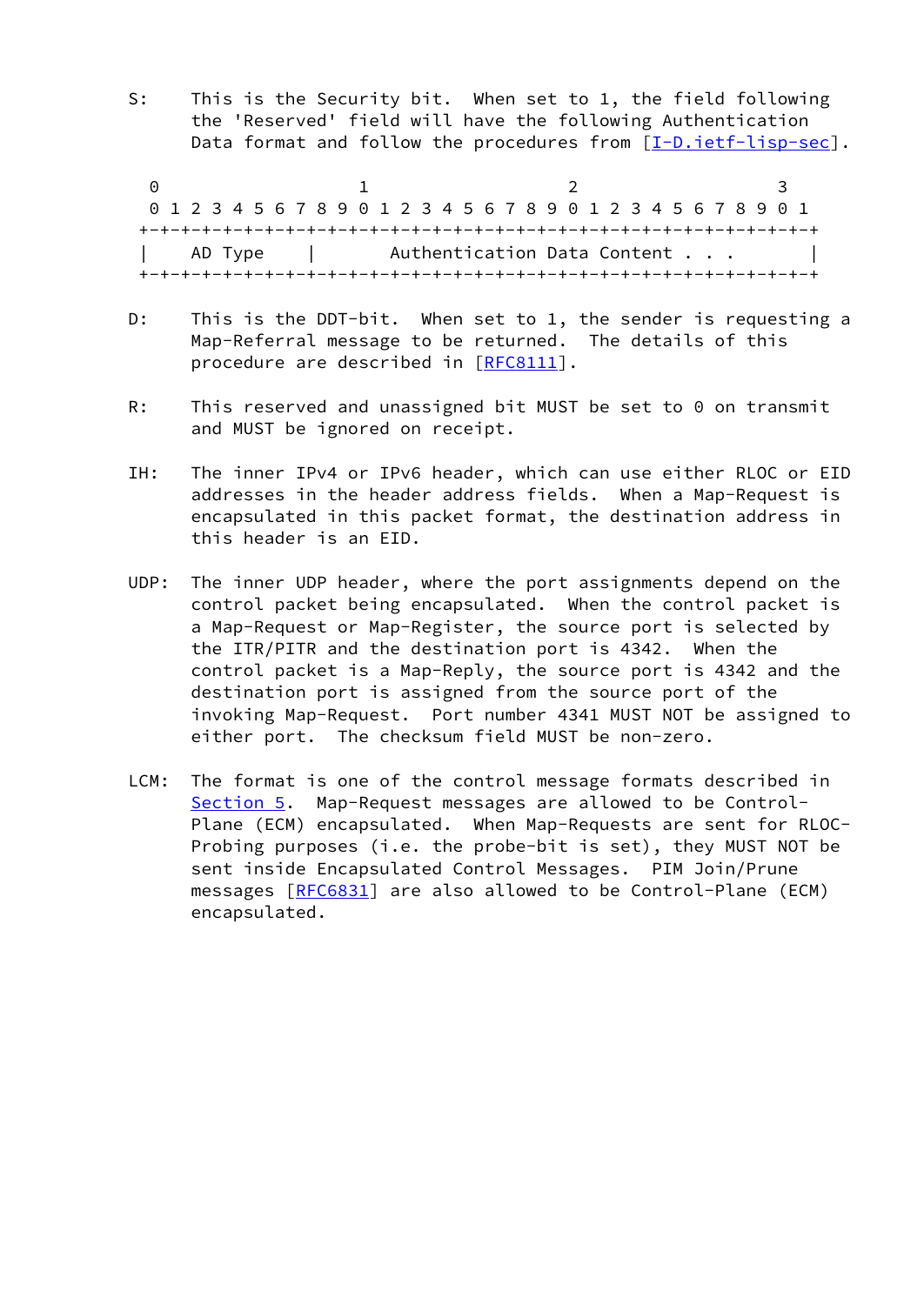S: This is the Security bit. When set to 1, the field following the 'Reserved' field will have the following Authentication Data format and follow the procedures from [\[I-D.ietf-lisp-sec\]](#page-53-1).

0 1 2 3 0 1 2 3 4 5 6 7 8 9 0 1 2 3 4 5 6 7 8 9 0 1 2 3 4 5 6 7 8 9 0 1 +-+-+-+-+-+-+-+-+-+-+-+-+-+-+-+-+-+-+-+-+-+-+-+-+-+-+-+-+-+-+-+-+ AD Type | Authentication Data Content . . . +-+-+-+-+-+-+-+-+-+-+-+-+-+-+-+-+-+-+-+-+-+-+-+-+-+-+-+-+-+-+-+-+

- D: This is the DDT-bit. When set to 1, the sender is requesting a Map-Referral message to be returned. The details of this procedure are described in [\[RFC8111](https://datatracker.ietf.org/doc/pdf/rfc8111)].
- R: This reserved and unassigned bit MUST be set to 0 on transmit and MUST be ignored on receipt.
- IH: The inner IPv4 or IPv6 header, which can use either RLOC or EID addresses in the header address fields. When a Map-Request is encapsulated in this packet format, the destination address in this header is an EID.
- UDP: The inner UDP header, where the port assignments depend on the control packet being encapsulated. When the control packet is a Map-Request or Map-Register, the source port is selected by the ITR/PITR and the destination port is 4342. When the control packet is a Map-Reply, the source port is 4342 and the destination port is assigned from the source port of the invoking Map-Request. Port number 4341 MUST NOT be assigned to either port. The checksum field MUST be non-zero.
- LCM: The format is one of the control message formats described in [Section 5.](#page-7-0) Map-Request messages are allowed to be Control- Plane (ECM) encapsulated. When Map-Requests are sent for RLOC- Probing purposes (i.e. the probe-bit is set), they MUST NOT be sent inside Encapsulated Control Messages. PIM Join/Prune messages [\[RFC6831](https://datatracker.ietf.org/doc/pdf/rfc6831)] are also allowed to be Control-Plane (ECM) encapsulated.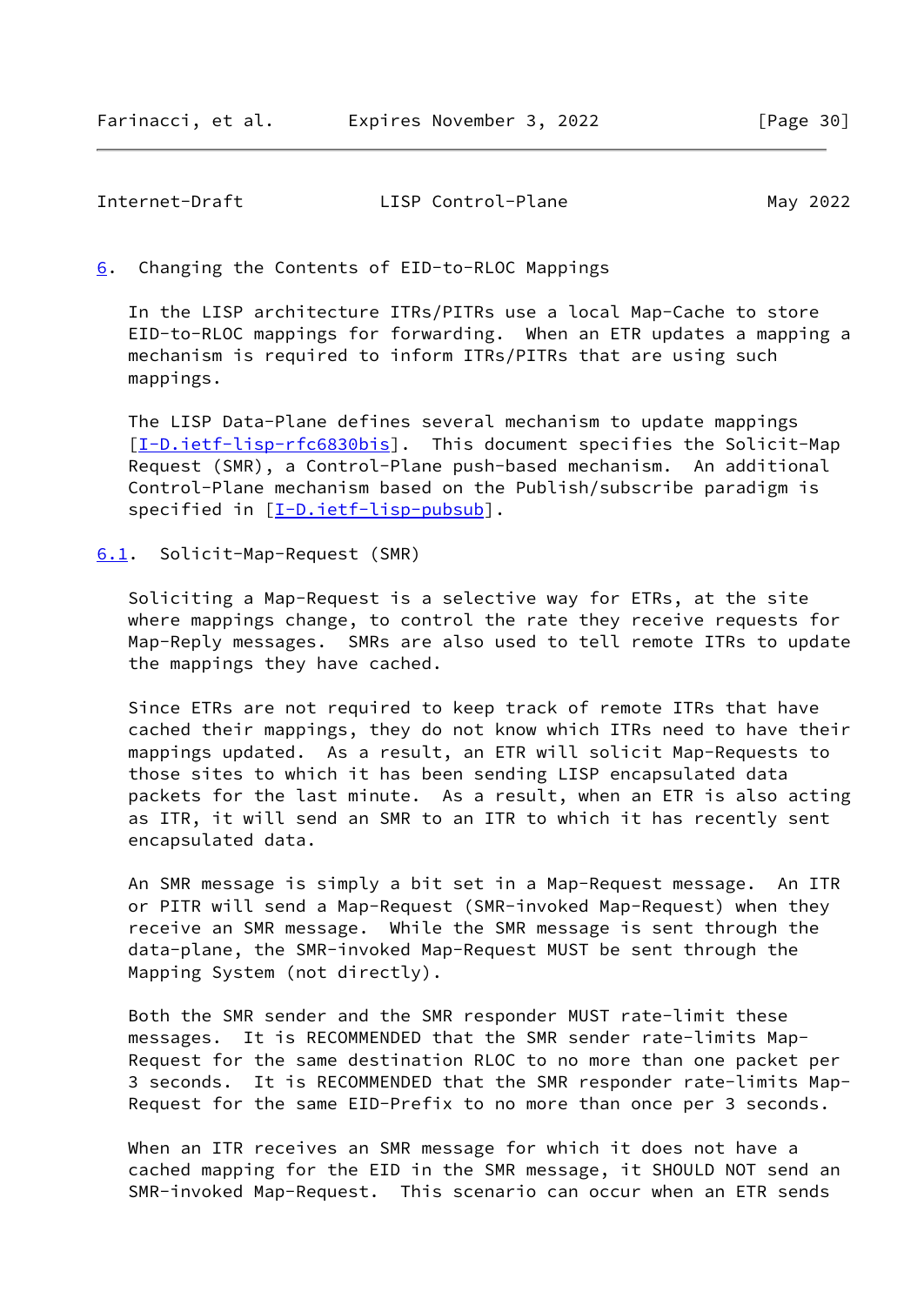<span id="page-34-1"></span><span id="page-34-0"></span>[6](#page-34-0). Changing the Contents of EID-to-RLOC Mappings

 In the LISP architecture ITRs/PITRs use a local Map-Cache to store EID-to-RLOC mappings for forwarding. When an ETR updates a mapping a mechanism is required to inform ITRs/PITRs that are using such mappings.

 The LISP Data-Plane defines several mechanism to update mappings [\[I-D.ietf-lisp-rfc6830bis](#page-52-3)]. This document specifies the Solicit-Map Request (SMR), a Control-Plane push-based mechanism. An additional Control-Plane mechanism based on the Publish/subscribe paradigm is specified in [\[I-D.ietf-lisp-pubsub](#page-55-3)].

<span id="page-34-2"></span>[6.1](#page-34-2). Solicit-Map-Request (SMR)

 Soliciting a Map-Request is a selective way for ETRs, at the site where mappings change, to control the rate they receive requests for Map-Reply messages. SMRs are also used to tell remote ITRs to update the mappings they have cached.

 Since ETRs are not required to keep track of remote ITRs that have cached their mappings, they do not know which ITRs need to have their mappings updated. As a result, an ETR will solicit Map-Requests to those sites to which it has been sending LISP encapsulated data packets for the last minute. As a result, when an ETR is also acting as ITR, it will send an SMR to an ITR to which it has recently sent encapsulated data.

 An SMR message is simply a bit set in a Map-Request message. An ITR or PITR will send a Map-Request (SMR-invoked Map-Request) when they receive an SMR message. While the SMR message is sent through the data-plane, the SMR-invoked Map-Request MUST be sent through the Mapping System (not directly).

 Both the SMR sender and the SMR responder MUST rate-limit these messages. It is RECOMMENDED that the SMR sender rate-limits Map- Request for the same destination RLOC to no more than one packet per 3 seconds. It is RECOMMENDED that the SMR responder rate-limits Map- Request for the same EID-Prefix to no more than once per 3 seconds.

 When an ITR receives an SMR message for which it does not have a cached mapping for the EID in the SMR message, it SHOULD NOT send an SMR-invoked Map-Request. This scenario can occur when an ETR sends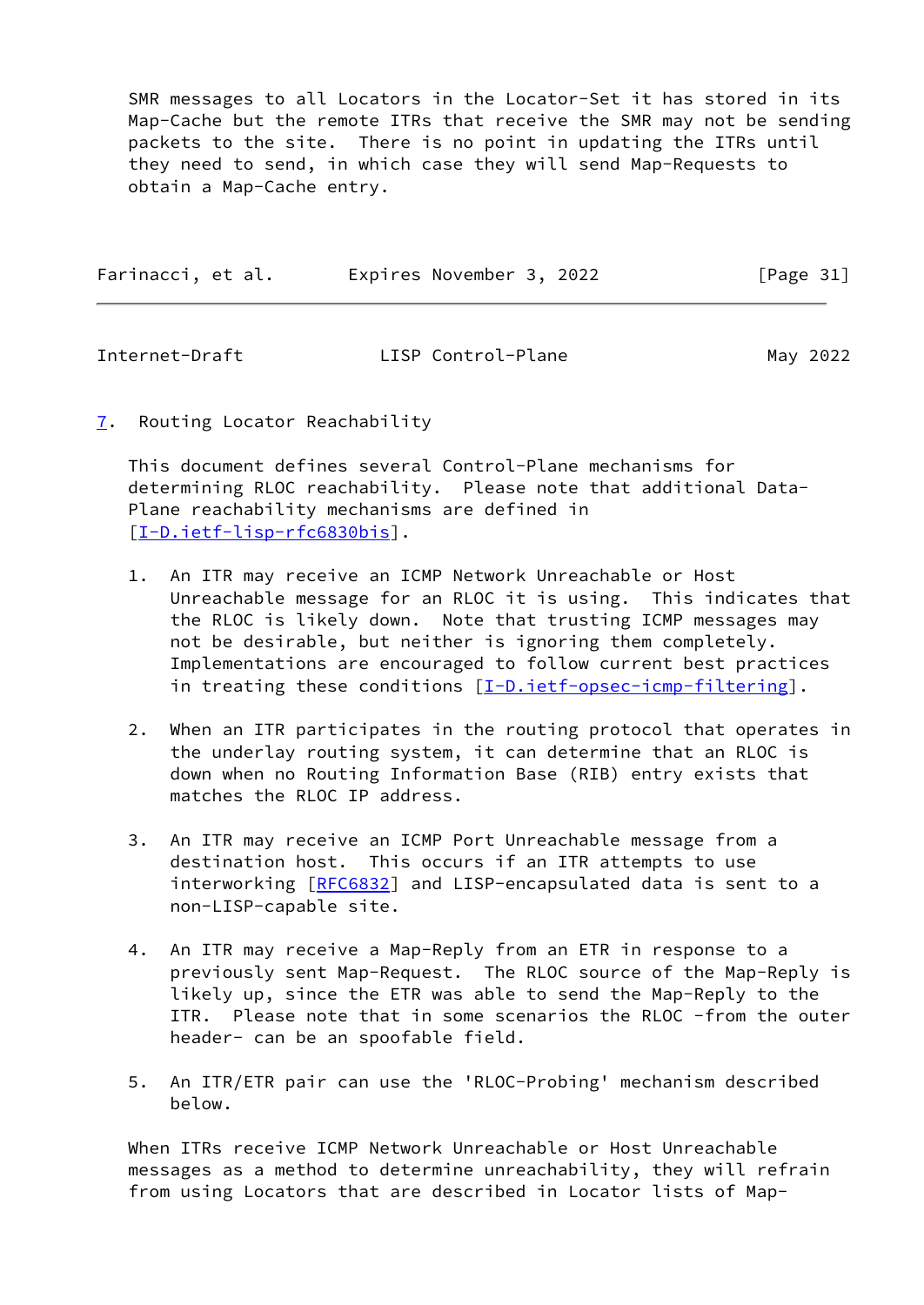SMR messages to all Locators in the Locator-Set it has stored in its Map-Cache but the remote ITRs that receive the SMR may not be sending packets to the site. There is no point in updating the ITRs until they need to send, in which case they will send Map-Requests to obtain a Map-Cache entry.

| Farinacci, et al. | Expires November 3, 2022 | [Page 31] |
|-------------------|--------------------------|-----------|
|                   |                          |           |

<span id="page-35-1"></span>Internet-Draft LISP Control-Plane May 2022

<span id="page-35-0"></span>[7](#page-35-0). Routing Locator Reachability

 This document defines several Control-Plane mechanisms for determining RLOC reachability. Please note that additional Data- Plane reachability mechanisms are defined in [\[I-D.ietf-lisp-rfc6830bis](#page-52-3)].

- 1. An ITR may receive an ICMP Network Unreachable or Host Unreachable message for an RLOC it is using. This indicates that the RLOC is likely down. Note that trusting ICMP messages may not be desirable, but neither is ignoring them completely. Implementations are encouraged to follow current best practices in treating these conditions [\[I-D.ietf-opsec-icmp-filtering\]](#page-55-4).
- 2. When an ITR participates in the routing protocol that operates in the underlay routing system, it can determine that an RLOC is down when no Routing Information Base (RIB) entry exists that matches the RLOC IP address.
- 3. An ITR may receive an ICMP Port Unreachable message from a destination host. This occurs if an ITR attempts to use interworking [\[RFC6832](https://datatracker.ietf.org/doc/pdf/rfc6832)] and LISP-encapsulated data is sent to a non-LISP-capable site.
- 4. An ITR may receive a Map-Reply from an ETR in response to a previously sent Map-Request. The RLOC source of the Map-Reply is likely up, since the ETR was able to send the Map-Reply to the ITR. Please note that in some scenarios the RLOC -from the outer header- can be an spoofable field.
- 5. An ITR/ETR pair can use the 'RLOC-Probing' mechanism described below.

 When ITRs receive ICMP Network Unreachable or Host Unreachable messages as a method to determine unreachability, they will refrain from using Locators that are described in Locator lists of Map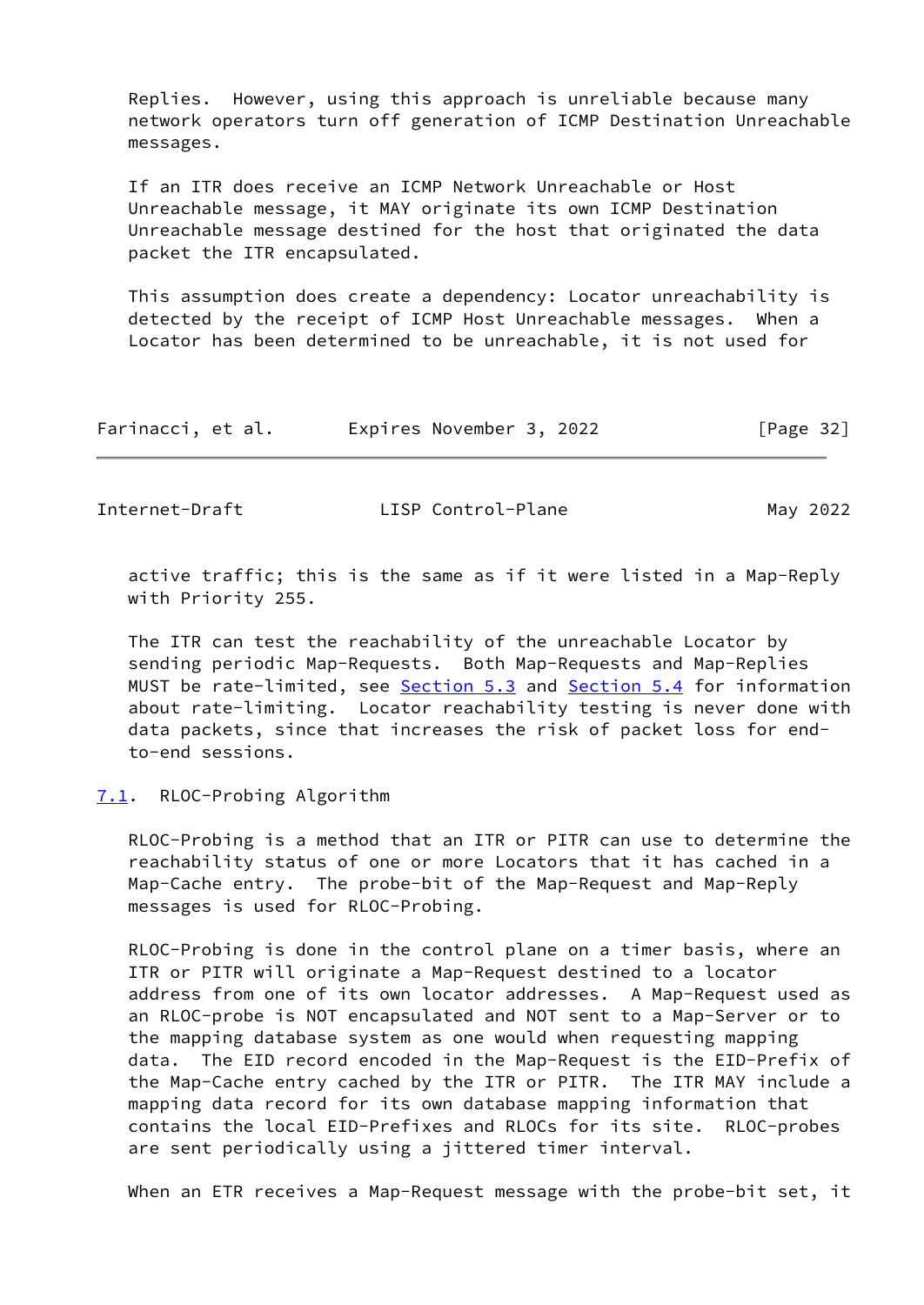Replies. However, using this approach is unreliable because many network operators turn off generation of ICMP Destination Unreachable messages.

 If an ITR does receive an ICMP Network Unreachable or Host Unreachable message, it MAY originate its own ICMP Destination Unreachable message destined for the host that originated the data packet the ITR encapsulated.

 This assumption does create a dependency: Locator unreachability is detected by the receipt of ICMP Host Unreachable messages. When a Locator has been determined to be unreachable, it is not used for

| Farinacci, et al. | Expires November 3, 2022 | [Page 32] |
|-------------------|--------------------------|-----------|
|-------------------|--------------------------|-----------|

<span id="page-36-1"></span>Internet-Draft LISP Control-Plane May 2022

 active traffic; this is the same as if it were listed in a Map-Reply with Priority 255.

 The ITR can test the reachability of the unreachable Locator by sending periodic Map-Requests. Both Map-Requests and Map-Replies MUST be rate-limited, see [Section 5.3](#page-15-0) and [Section 5.4](#page-17-0) for information about rate-limiting. Locator reachability testing is never done with data packets, since that increases the risk of packet loss for end to-end sessions.

# <span id="page-36-0"></span>[7.1](#page-36-0). RLOC-Probing Algorithm

 RLOC-Probing is a method that an ITR or PITR can use to determine the reachability status of one or more Locators that it has cached in a Map-Cache entry. The probe-bit of the Map-Request and Map-Reply messages is used for RLOC-Probing.

 RLOC-Probing is done in the control plane on a timer basis, where an ITR or PITR will originate a Map-Request destined to a locator address from one of its own locator addresses. A Map-Request used as an RLOC-probe is NOT encapsulated and NOT sent to a Map-Server or to the mapping database system as one would when requesting mapping data. The EID record encoded in the Map-Request is the EID-Prefix of the Map-Cache entry cached by the ITR or PITR. The ITR MAY include a mapping data record for its own database mapping information that contains the local EID-Prefixes and RLOCs for its site. RLOC-probes are sent periodically using a jittered timer interval.

When an ETR receives a Map-Request message with the probe-bit set, it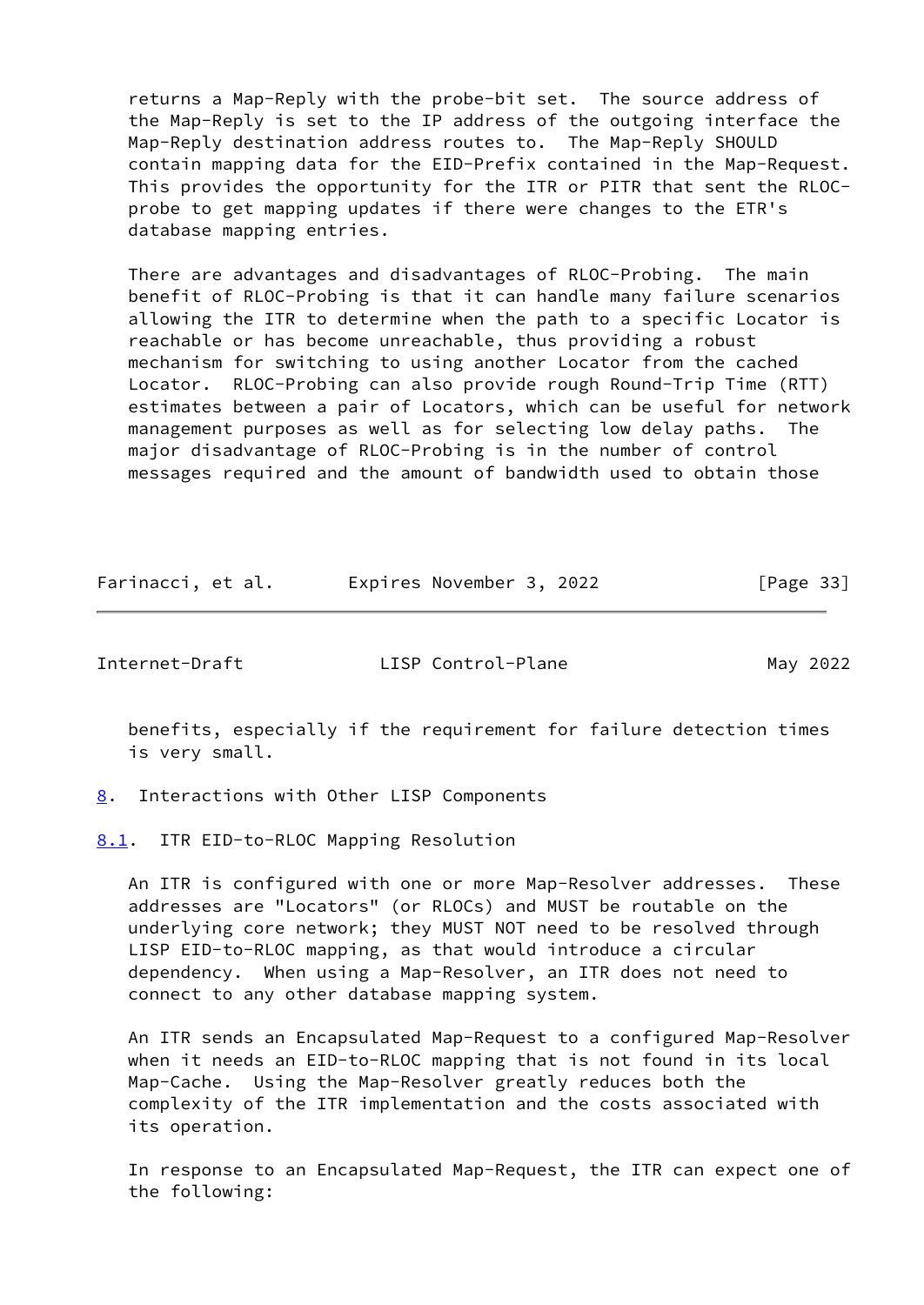returns a Map-Reply with the probe-bit set. The source address of the Map-Reply is set to the IP address of the outgoing interface the Map-Reply destination address routes to. The Map-Reply SHOULD contain mapping data for the EID-Prefix contained in the Map-Request. This provides the opportunity for the ITR or PITR that sent the RLOC probe to get mapping updates if there were changes to the ETR's database mapping entries.

 There are advantages and disadvantages of RLOC-Probing. The main benefit of RLOC-Probing is that it can handle many failure scenarios allowing the ITR to determine when the path to a specific Locator is reachable or has become unreachable, thus providing a robust mechanism for switching to using another Locator from the cached Locator. RLOC-Probing can also provide rough Round-Trip Time (RTT) estimates between a pair of Locators, which can be useful for network management purposes as well as for selecting low delay paths. The major disadvantage of RLOC-Probing is in the number of control messages required and the amount of bandwidth used to obtain those

| Farinacci, et al. | Expires November 3, 2022 | [Page 33] |
|-------------------|--------------------------|-----------|
|-------------------|--------------------------|-----------|

<span id="page-37-1"></span>

Internet-Draft LISP Control-Plane May 2022

 benefits, especially if the requirement for failure detection times is very small.

<span id="page-37-0"></span>[8](#page-37-0). Interactions with Other LISP Components

<span id="page-37-2"></span>[8.1](#page-37-2). ITR EID-to-RLOC Mapping Resolution

 An ITR is configured with one or more Map-Resolver addresses. These addresses are "Locators" (or RLOCs) and MUST be routable on the underlying core network; they MUST NOT need to be resolved through LISP EID-to-RLOC mapping, as that would introduce a circular dependency. When using a Map-Resolver, an ITR does not need to connect to any other database mapping system.

 An ITR sends an Encapsulated Map-Request to a configured Map-Resolver when it needs an EID-to-RLOC mapping that is not found in its local Map-Cache. Using the Map-Resolver greatly reduces both the complexity of the ITR implementation and the costs associated with its operation.

 In response to an Encapsulated Map-Request, the ITR can expect one of the following: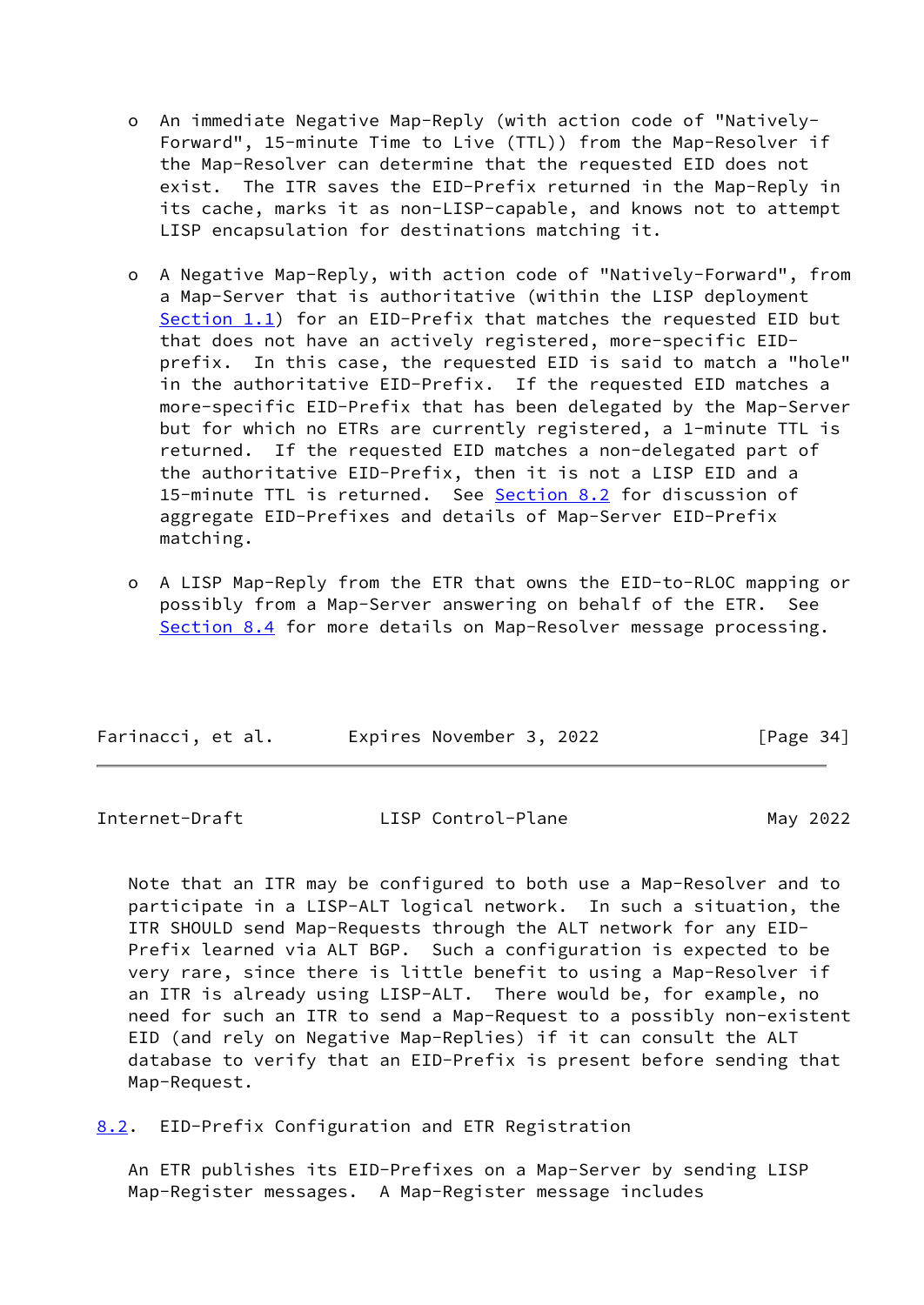- o An immediate Negative Map-Reply (with action code of "Natively- Forward", 15-minute Time to Live (TTL)) from the Map-Resolver if the Map-Resolver can determine that the requested EID does not exist. The ITR saves the EID-Prefix returned in the Map-Reply in its cache, marks it as non-LISP-capable, and knows not to attempt LISP encapsulation for destinations matching it.
- o A Negative Map-Reply, with action code of "Natively-Forward", from a Map-Server that is authoritative (within the LISP deployment [Section 1.1](#page-4-0)) for an EID-Prefix that matches the requested EID but that does not have an actively registered, more-specific EID prefix. In this case, the requested EID is said to match a "hole" in the authoritative EID-Prefix. If the requested EID matches a more-specific EID-Prefix that has been delegated by the Map-Server but for which no ETRs are currently registered, a 1-minute TTL is returned. If the requested EID matches a non-delegated part of the authoritative EID-Prefix, then it is not a LISP EID and a 15-minute TTL is returned. See [Section 8.2](#page-38-0) for discussion of aggregate EID-Prefixes and details of Map-Server EID-Prefix matching.
- o A LISP Map-Reply from the ETR that owns the EID-to-RLOC mapping or possibly from a Map-Server answering on behalf of the ETR. See [Section 8.4](#page-41-0) for more details on Map-Resolver message processing.

| Farinacci, et al. | Expires November 3, 2022 | [Page 34] |
|-------------------|--------------------------|-----------|
|                   |                          |           |

<span id="page-38-1"></span>

| LISP Control-Plane | May 2022 |
|--------------------|----------|
|                    |          |

 Note that an ITR may be configured to both use a Map-Resolver and to participate in a LISP-ALT logical network. In such a situation, the ITR SHOULD send Map-Requests through the ALT network for any EID- Prefix learned via ALT BGP. Such a configuration is expected to be very rare, since there is little benefit to using a Map-Resolver if an ITR is already using LISP-ALT. There would be, for example, no need for such an ITR to send a Map-Request to a possibly non-existent EID (and rely on Negative Map-Replies) if it can consult the ALT database to verify that an EID-Prefix is present before sending that Map-Request.

<span id="page-38-0"></span>[8.2](#page-38-0). EID-Prefix Configuration and ETR Registration

 An ETR publishes its EID-Prefixes on a Map-Server by sending LISP Map-Register messages. A Map-Register message includes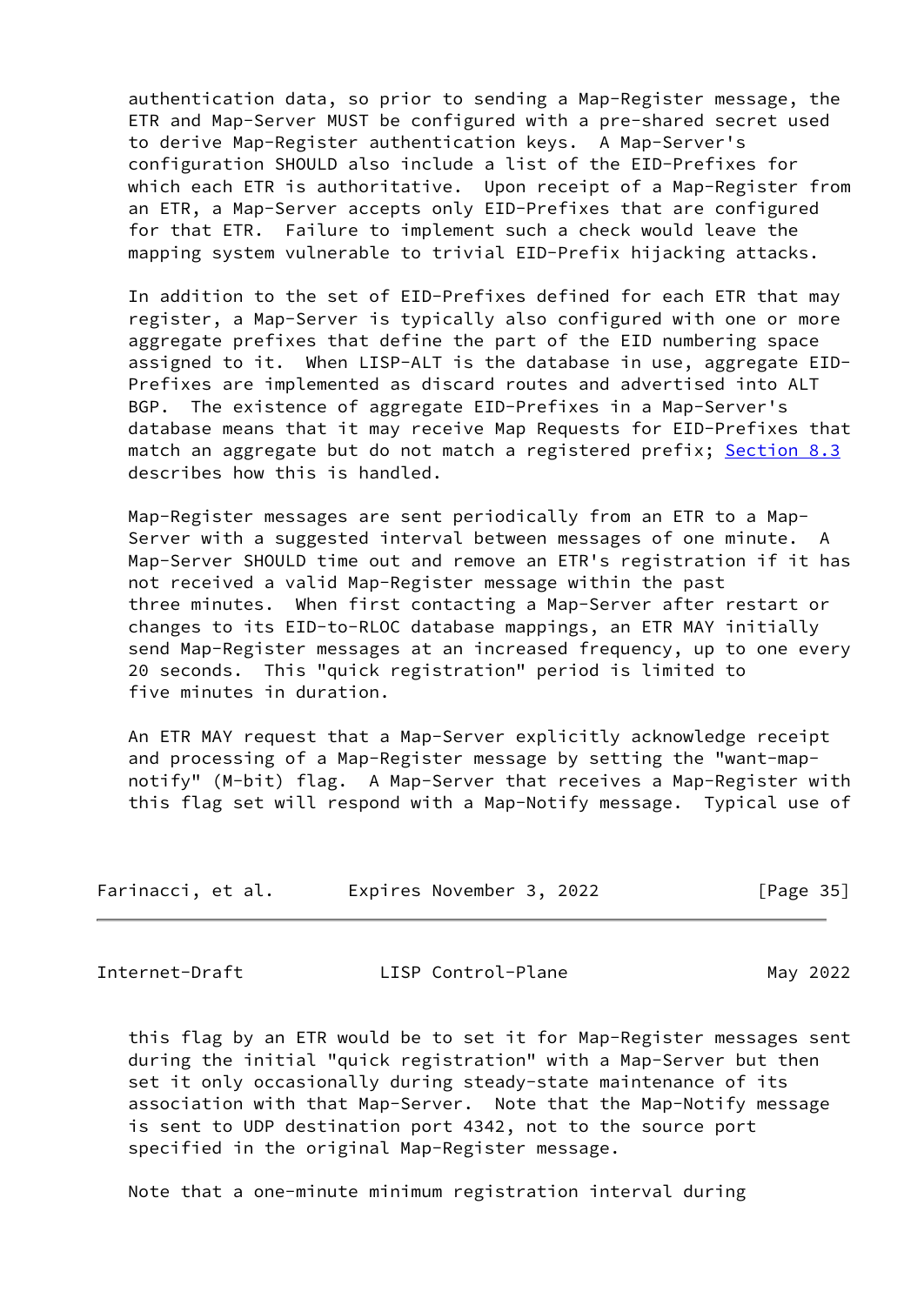authentication data, so prior to sending a Map-Register message, the ETR and Map-Server MUST be configured with a pre-shared secret used to derive Map-Register authentication keys. A Map-Server's configuration SHOULD also include a list of the EID-Prefixes for which each ETR is authoritative. Upon receipt of a Map-Register from an ETR, a Map-Server accepts only EID-Prefixes that are configured for that ETR. Failure to implement such a check would leave the mapping system vulnerable to trivial EID-Prefix hijacking attacks.

 In addition to the set of EID-Prefixes defined for each ETR that may register, a Map-Server is typically also configured with one or more aggregate prefixes that define the part of the EID numbering space assigned to it. When LISP-ALT is the database in use, aggregate EID- Prefixes are implemented as discard routes and advertised into ALT BGP. The existence of aggregate EID-Prefixes in a Map-Server's database means that it may receive Map Requests for EID-Prefixes that match an aggregate but do not match a registered prefix; [Section 8.3](#page-40-0) describes how this is handled.

 Map-Register messages are sent periodically from an ETR to a Map- Server with a suggested interval between messages of one minute. A Map-Server SHOULD time out and remove an ETR's registration if it has not received a valid Map-Register message within the past three minutes. When first contacting a Map-Server after restart or changes to its EID-to-RLOC database mappings, an ETR MAY initially send Map-Register messages at an increased frequency, up to one every 20 seconds. This "quick registration" period is limited to five minutes in duration.

 An ETR MAY request that a Map-Server explicitly acknowledge receipt and processing of a Map-Register message by setting the "want-map notify" (M-bit) flag. A Map-Server that receives a Map-Register with this flag set will respond with a Map-Notify message. Typical use of

|  | Farinacci, et al. | Expires November 3, 2022 | [Page 35] |
|--|-------------------|--------------------------|-----------|
|--|-------------------|--------------------------|-----------|

Internet-Draft LISP Control-Plane May 2022

 this flag by an ETR would be to set it for Map-Register messages sent during the initial "quick registration" with a Map-Server but then set it only occasionally during steady-state maintenance of its association with that Map-Server. Note that the Map-Notify message is sent to UDP destination port 4342, not to the source port specified in the original Map-Register message.

Note that a one-minute minimum registration interval during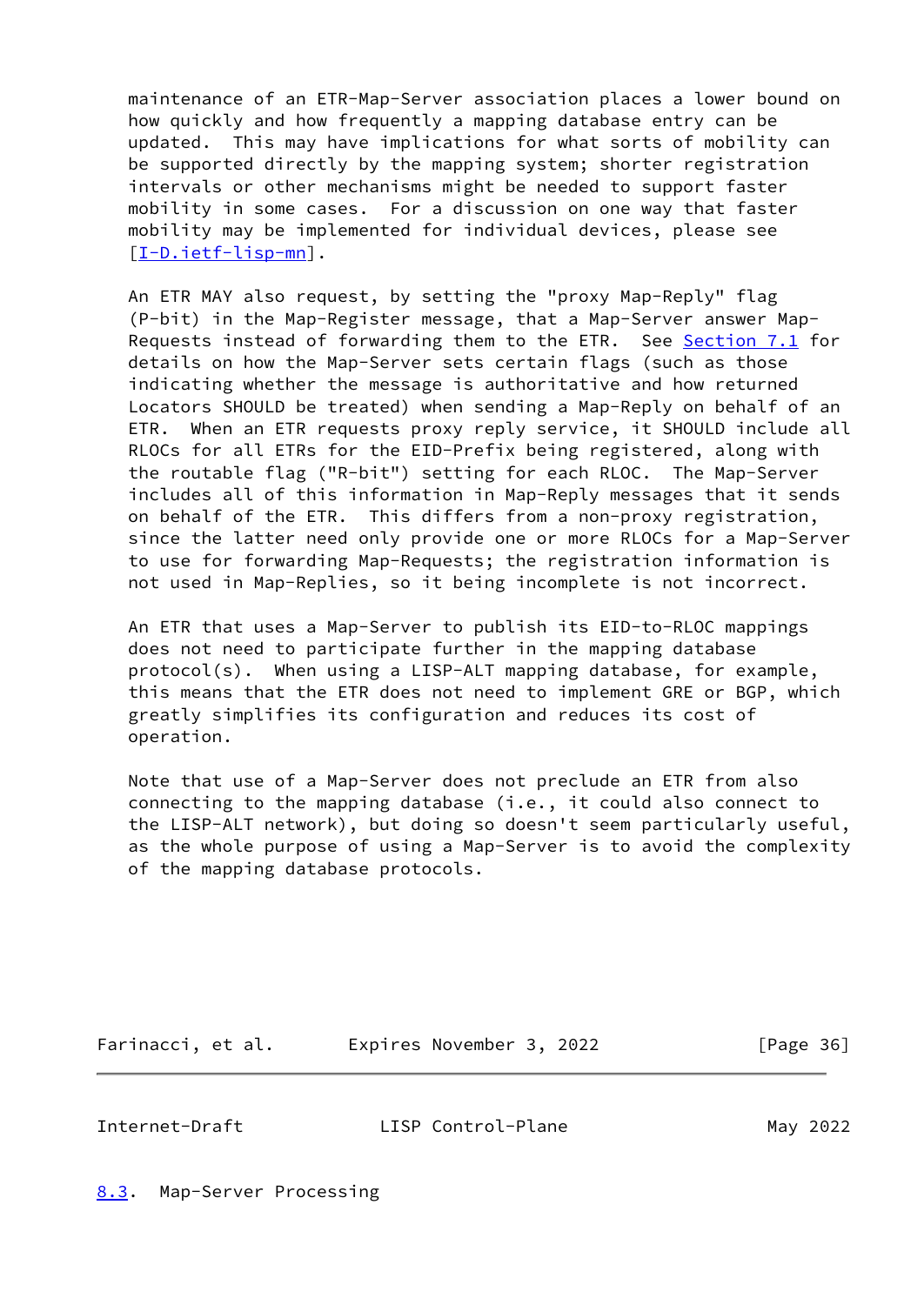maintenance of an ETR-Map-Server association places a lower bound on how quickly and how frequently a mapping database entry can be updated. This may have implications for what sorts of mobility can be supported directly by the mapping system; shorter registration intervals or other mechanisms might be needed to support faster mobility in some cases. For a discussion on one way that faster mobility may be implemented for individual devices, please see [\[I-D.ietf-lisp-mn](#page-55-5)].

 An ETR MAY also request, by setting the "proxy Map-Reply" flag (P-bit) in the Map-Register message, that a Map-Server answer Map- Requests instead of forwarding them to the ETR. See [Section 7.1](#page-36-0) for details on how the Map-Server sets certain flags (such as those indicating whether the message is authoritative and how returned Locators SHOULD be treated) when sending a Map-Reply on behalf of an ETR. When an ETR requests proxy reply service, it SHOULD include all RLOCs for all ETRs for the EID-Prefix being registered, along with the routable flag ("R-bit") setting for each RLOC. The Map-Server includes all of this information in Map-Reply messages that it sends on behalf of the ETR. This differs from a non-proxy registration, since the latter need only provide one or more RLOCs for a Map-Server to use for forwarding Map-Requests; the registration information is not used in Map-Replies, so it being incomplete is not incorrect.

 An ETR that uses a Map-Server to publish its EID-to-RLOC mappings does not need to participate further in the mapping database protocol(s). When using a LISP-ALT mapping database, for example, this means that the ETR does not need to implement GRE or BGP, which greatly simplifies its configuration and reduces its cost of operation.

 Note that use of a Map-Server does not preclude an ETR from also connecting to the mapping database (i.e., it could also connect to the LISP-ALT network), but doing so doesn't seem particularly useful, as the whole purpose of using a Map-Server is to avoid the complexity of the mapping database protocols.

Farinacci, et al. Expires November 3, 2022 [Page 36]

<span id="page-40-1"></span>Internet-Draft LISP Control-Plane May 2022

<span id="page-40-0"></span>[8.3](#page-40-0). Map-Server Processing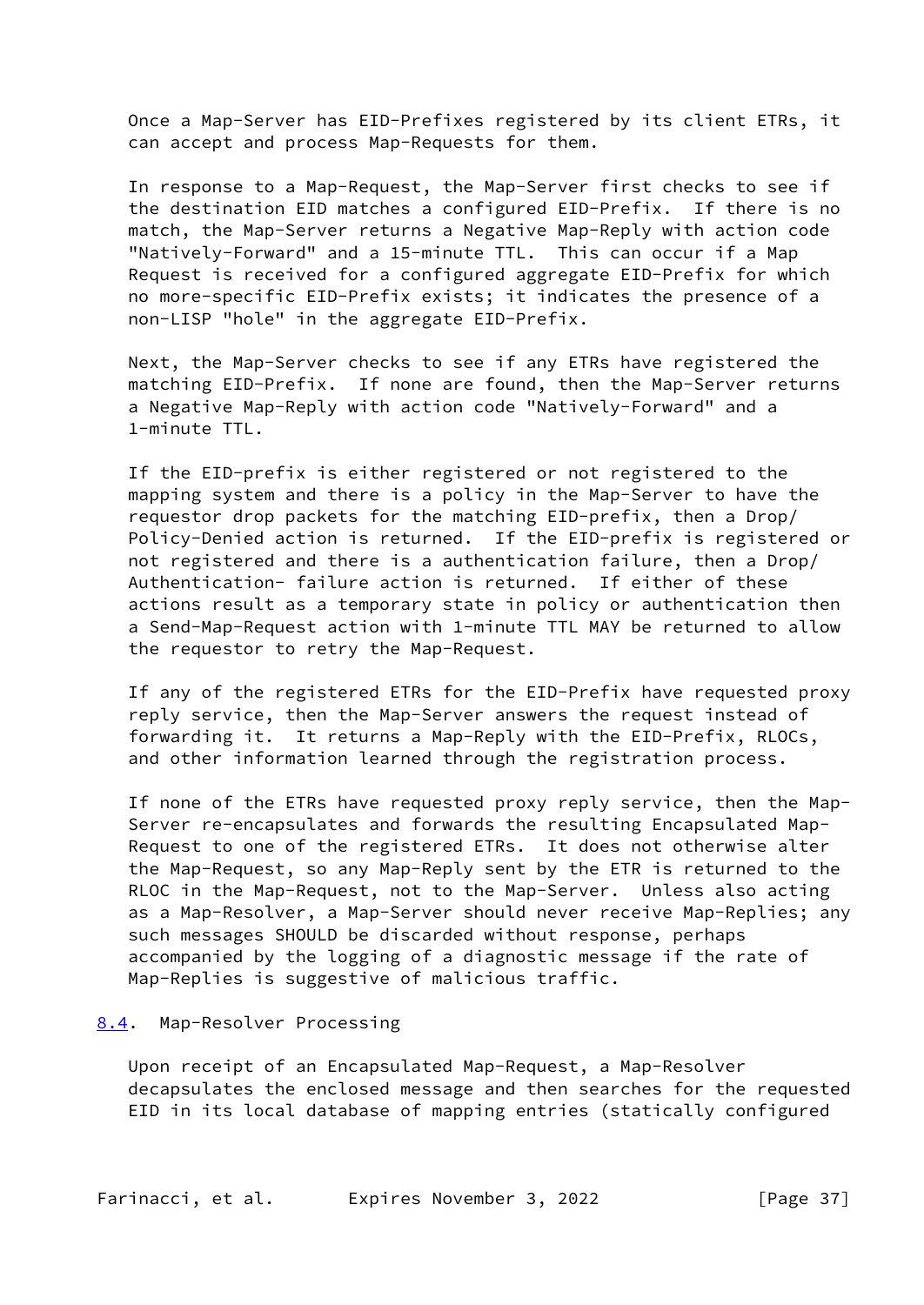Once a Map-Server has EID-Prefixes registered by its client ETRs, it can accept and process Map-Requests for them.

 In response to a Map-Request, the Map-Server first checks to see if the destination EID matches a configured EID-Prefix. If there is no match, the Map-Server returns a Negative Map-Reply with action code "Natively-Forward" and a 15-minute TTL. This can occur if a Map Request is received for a configured aggregate EID-Prefix for which no more-specific EID-Prefix exists; it indicates the presence of a non-LISP "hole" in the aggregate EID-Prefix.

 Next, the Map-Server checks to see if any ETRs have registered the matching EID-Prefix. If none are found, then the Map-Server returns a Negative Map-Reply with action code "Natively-Forward" and a 1-minute TTL.

 If the EID-prefix is either registered or not registered to the mapping system and there is a policy in the Map-Server to have the requestor drop packets for the matching EID-prefix, then a Drop/ Policy-Denied action is returned. If the EID-prefix is registered or not registered and there is a authentication failure, then a Drop/ Authentication- failure action is returned. If either of these actions result as a temporary state in policy or authentication then a Send-Map-Request action with 1-minute TTL MAY be returned to allow the requestor to retry the Map-Request.

 If any of the registered ETRs for the EID-Prefix have requested proxy reply service, then the Map-Server answers the request instead of forwarding it. It returns a Map-Reply with the EID-Prefix, RLOCs, and other information learned through the registration process.

 If none of the ETRs have requested proxy reply service, then the Map- Server re-encapsulates and forwards the resulting Encapsulated Map- Request to one of the registered ETRs. It does not otherwise alter the Map-Request, so any Map-Reply sent by the ETR is returned to the RLOC in the Map-Request, not to the Map-Server. Unless also acting as a Map-Resolver, a Map-Server should never receive Map-Replies; any such messages SHOULD be discarded without response, perhaps accompanied by the logging of a diagnostic message if the rate of Map-Replies is suggestive of malicious traffic.

#### <span id="page-41-0"></span>[8.4](#page-41-0). Map-Resolver Processing

 Upon receipt of an Encapsulated Map-Request, a Map-Resolver decapsulates the enclosed message and then searches for the requested EID in its local database of mapping entries (statically configured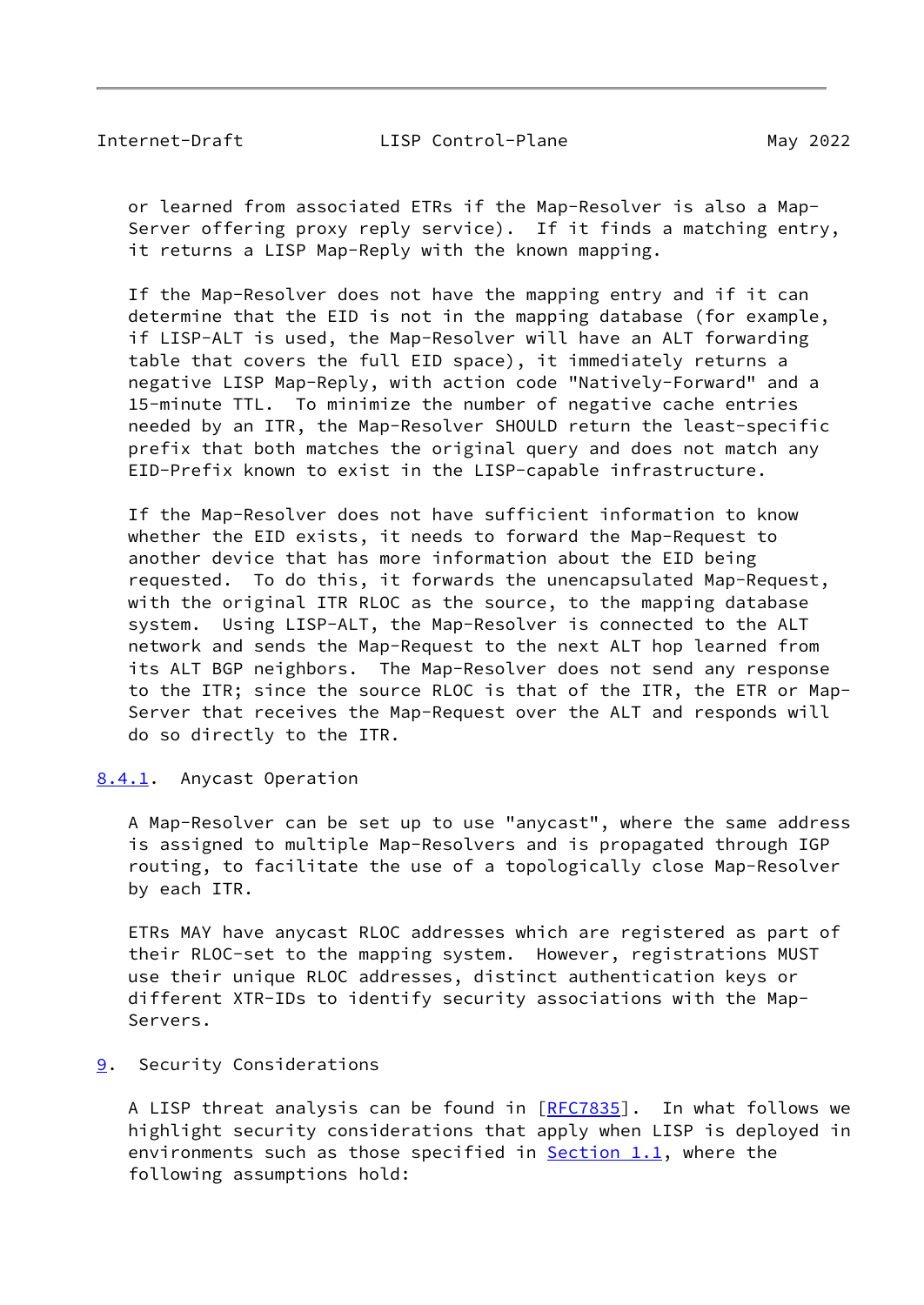<span id="page-42-1"></span> or learned from associated ETRs if the Map-Resolver is also a Map- Server offering proxy reply service). If it finds a matching entry, it returns a LISP Map-Reply with the known mapping.

 If the Map-Resolver does not have the mapping entry and if it can determine that the EID is not in the mapping database (for example, if LISP-ALT is used, the Map-Resolver will have an ALT forwarding table that covers the full EID space), it immediately returns a negative LISP Map-Reply, with action code "Natively-Forward" and a 15-minute TTL. To minimize the number of negative cache entries needed by an ITR, the Map-Resolver SHOULD return the least-specific prefix that both matches the original query and does not match any EID-Prefix known to exist in the LISP-capable infrastructure.

 If the Map-Resolver does not have sufficient information to know whether the EID exists, it needs to forward the Map-Request to another device that has more information about the EID being requested. To do this, it forwards the unencapsulated Map-Request, with the original ITR RLOC as the source, to the mapping database system. Using LISP-ALT, the Map-Resolver is connected to the ALT network and sends the Map-Request to the next ALT hop learned from its ALT BGP neighbors. The Map-Resolver does not send any response to the ITR; since the source RLOC is that of the ITR, the ETR or Map- Server that receives the Map-Request over the ALT and responds will do so directly to the ITR.

<span id="page-42-0"></span>[8.4.1](#page-42-0). Anycast Operation

 A Map-Resolver can be set up to use "anycast", where the same address is assigned to multiple Map-Resolvers and is propagated through IGP routing, to facilitate the use of a topologically close Map-Resolver by each ITR.

 ETRs MAY have anycast RLOC addresses which are registered as part of their RLOC-set to the mapping system. However, registrations MUST use their unique RLOC addresses, distinct authentication keys or different XTR-IDs to identify security associations with the Map- Servers.

# <span id="page-42-2"></span>[9](#page-42-2). Security Considerations

A LISP threat analysis can be found in [\[RFC7835](https://datatracker.ietf.org/doc/pdf/rfc7835)]. In what follows we highlight security considerations that apply when LISP is deployed in environments such as those specified in  $Section 1.1$ , where the following assumptions hold: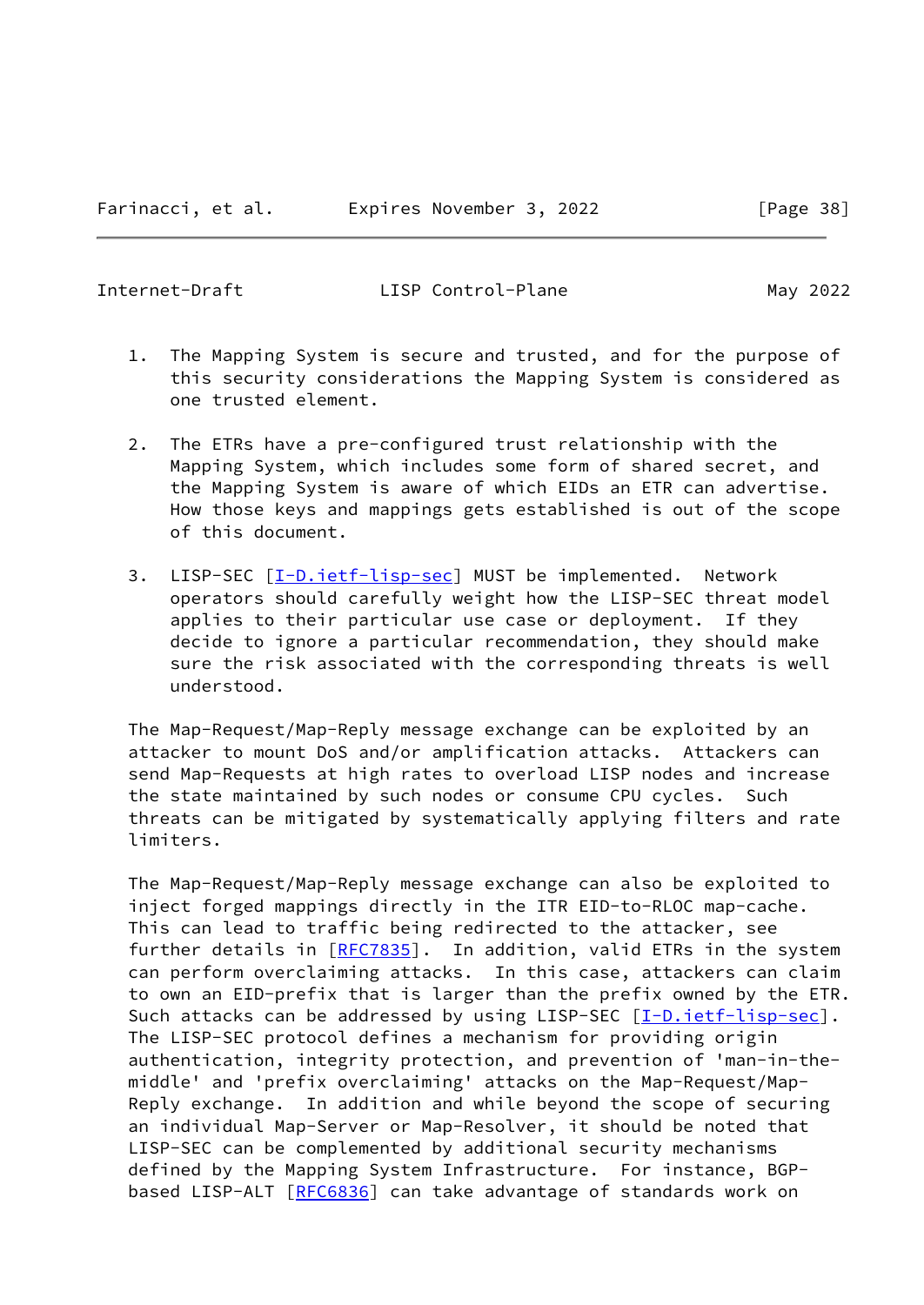- 1. The Mapping System is secure and trusted, and for the purpose of this security considerations the Mapping System is considered as one trusted element.
- 2. The ETRs have a pre-configured trust relationship with the Mapping System, which includes some form of shared secret, and the Mapping System is aware of which EIDs an ETR can advertise. How those keys and mappings gets established is out of the scope of this document.
- 3. LISP-SEC [\[I-D.ietf-lisp-sec\]](#page-53-1) MUST be implemented. Network operators should carefully weight how the LISP-SEC threat model applies to their particular use case or deployment. If they decide to ignore a particular recommendation, they should make sure the risk associated with the corresponding threats is well understood.

 The Map-Request/Map-Reply message exchange can be exploited by an attacker to mount DoS and/or amplification attacks. Attackers can send Map-Requests at high rates to overload LISP nodes and increase the state maintained by such nodes or consume CPU cycles. Such threats can be mitigated by systematically applying filters and rate limiters.

 The Map-Request/Map-Reply message exchange can also be exploited to inject forged mappings directly in the ITR EID-to-RLOC map-cache. This can lead to traffic being redirected to the attacker, see further details in [[RFC7835\]](https://datatracker.ietf.org/doc/pdf/rfc7835). In addition, valid ETRs in the system can perform overclaiming attacks. In this case, attackers can claim to own an EID-prefix that is larger than the prefix owned by the ETR. Such attacks can be addressed by using LISP-SEC [\[I-D.ietf-lisp-sec](#page-53-1)]. The LISP-SEC protocol defines a mechanism for providing origin authentication, integrity protection, and prevention of 'man-in-the middle' and 'prefix overclaiming' attacks on the Map-Request/Map- Reply exchange. In addition and while beyond the scope of securing an individual Map-Server or Map-Resolver, it should be noted that LISP-SEC can be complemented by additional security mechanisms defined by the Mapping System Infrastructure. For instance, BGP- based LISP-ALT [\[RFC6836](https://datatracker.ietf.org/doc/pdf/rfc6836)] can take advantage of standards work on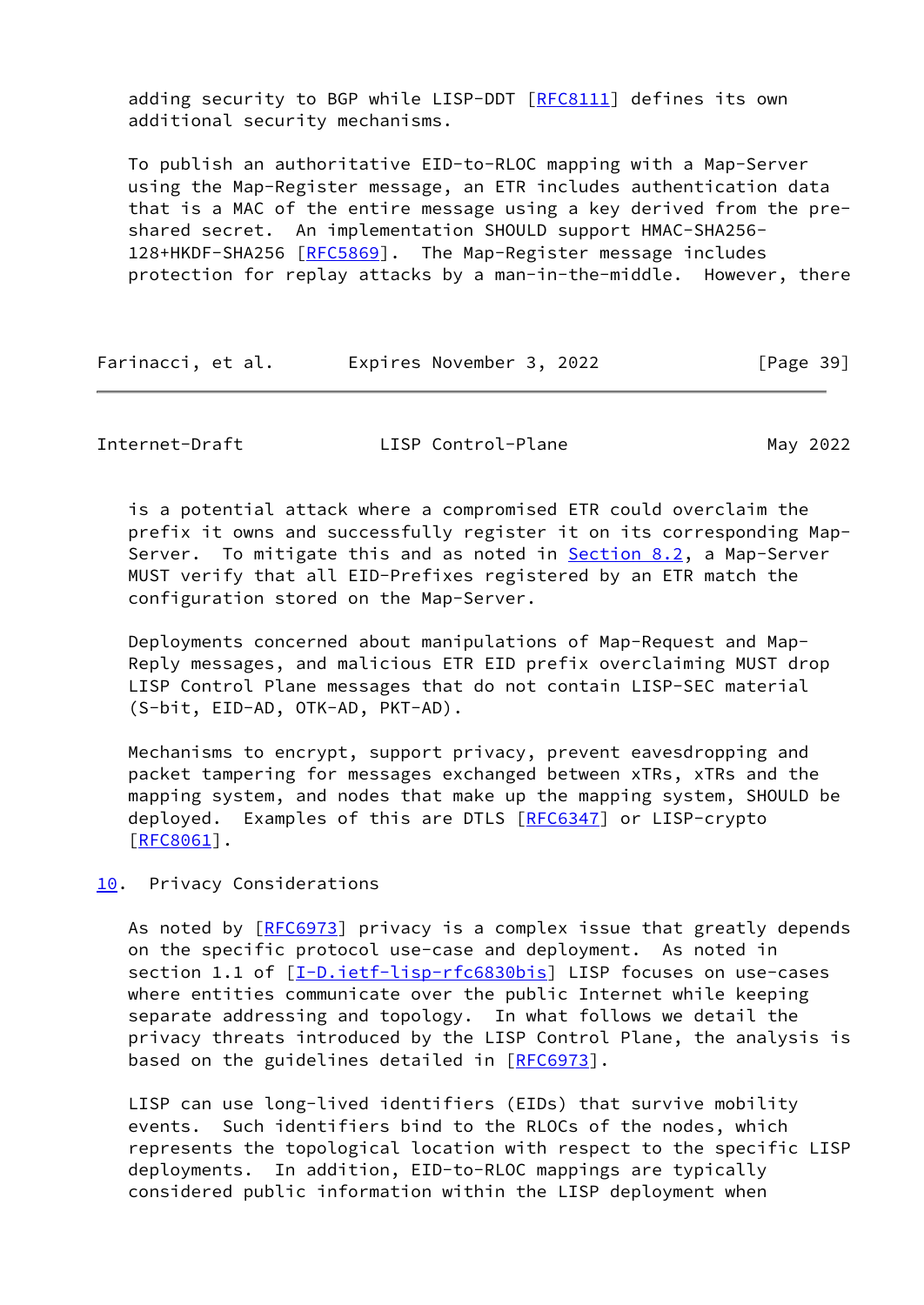adding security to BGP while LISP-DDT [[RFC8111](https://datatracker.ietf.org/doc/pdf/rfc8111)] defines its own additional security mechanisms.

 To publish an authoritative EID-to-RLOC mapping with a Map-Server using the Map-Register message, an ETR includes authentication data that is a MAC of the entire message using a key derived from the pre shared secret. An implementation SHOULD support HMAC-SHA256- 128+HKDF-SHA256 [\[RFC5869](https://datatracker.ietf.org/doc/pdf/rfc5869)]. The Map-Register message includes protection for replay attacks by a man-in-the-middle. However, there

| Farinacci, et al. | Expires November 3, 2022 | [Page 39] |
|-------------------|--------------------------|-----------|
|-------------------|--------------------------|-----------|

<span id="page-44-1"></span>Internet-Draft LISP Control-Plane May 2022

 is a potential attack where a compromised ETR could overclaim the prefix it owns and successfully register it on its corresponding Map- Server. To mitigate this and as noted in [Section 8.2](#page-38-0), a Map-Server MUST verify that all EID-Prefixes registered by an ETR match the configuration stored on the Map-Server.

 Deployments concerned about manipulations of Map-Request and Map- Reply messages, and malicious ETR EID prefix overclaiming MUST drop LISP Control Plane messages that do not contain LISP-SEC material (S-bit, EID-AD, OTK-AD, PKT-AD).

 Mechanisms to encrypt, support privacy, prevent eavesdropping and packet tampering for messages exchanged between xTRs, xTRs and the mapping system, and nodes that make up the mapping system, SHOULD be deployed. Examples of this are DTLS [\[RFC6347](https://datatracker.ietf.org/doc/pdf/rfc6347)] or LISP-crypto [\[RFC8061](https://datatracker.ietf.org/doc/pdf/rfc8061)].

# <span id="page-44-0"></span>[10.](#page-44-0) Privacy Considerations

As noted by [\[RFC6973](https://datatracker.ietf.org/doc/pdf/rfc6973)] privacy is a complex issue that greatly depends on the specific protocol use-case and deployment. As noted in section 1.1 of [\[I-D.ietf-lisp-rfc6830bis](#page-52-3)] LISP focuses on use-cases where entities communicate over the public Internet while keeping separate addressing and topology. In what follows we detail the privacy threats introduced by the LISP Control Plane, the analysis is based on the guidelines detailed in [\[RFC6973](https://datatracker.ietf.org/doc/pdf/rfc6973)].

 LISP can use long-lived identifiers (EIDs) that survive mobility events. Such identifiers bind to the RLOCs of the nodes, which represents the topological location with respect to the specific LISP deployments. In addition, EID-to-RLOC mappings are typically considered public information within the LISP deployment when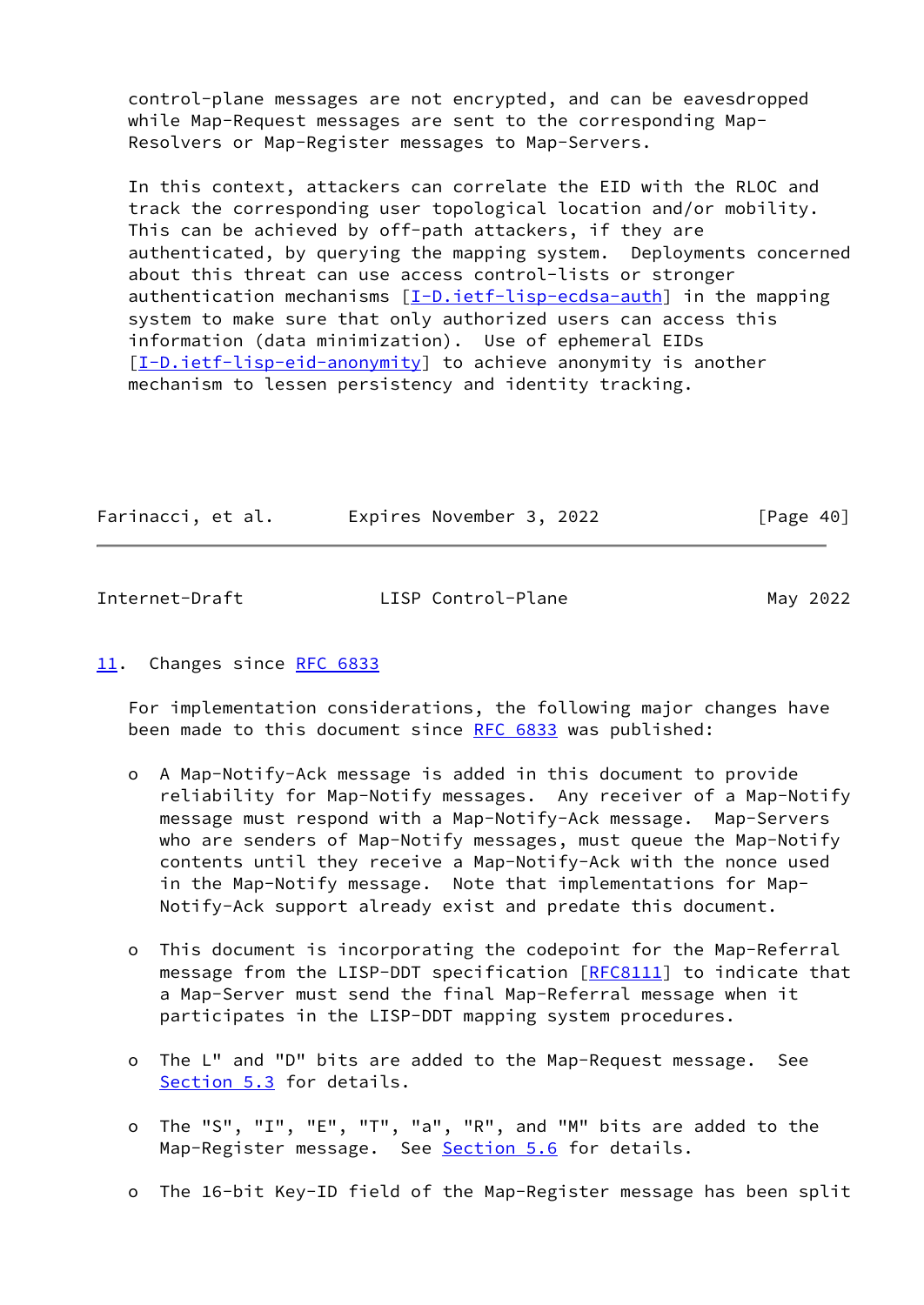control-plane messages are not encrypted, and can be eavesdropped while Map-Request messages are sent to the corresponding Map- Resolvers or Map-Register messages to Map-Servers.

 In this context, attackers can correlate the EID with the RLOC and track the corresponding user topological location and/or mobility. This can be achieved by off-path attackers, if they are authenticated, by querying the mapping system. Deployments concerned about this threat can use access control-lists or stronger authentication mechanisms  $[I-D.iett-ligp-ecdsa-auth]$  in the mapping system to make sure that only authorized users can access this information (data minimization). Use of ephemeral EIDs [\[I-D.ietf-lisp-eid-anonymity](#page-54-6)] to achieve anonymity is another mechanism to lessen persistency and identity tracking.

| Farinacci, et al. | Expires November 3, 2022 | [Page 40] |
|-------------------|--------------------------|-----------|
|                   |                          |           |

<span id="page-45-1"></span>

| Internet-Draft | LISP Control-Plane | May 2022 |
|----------------|--------------------|----------|

## <span id="page-45-0"></span>[11.](#page-45-0) Changes since [RFC 6833](https://datatracker.ietf.org/doc/pdf/rfc6833)

 For implementation considerations, the following major changes have been made to this document since [RFC 6833](https://datatracker.ietf.org/doc/pdf/rfc6833) was published:

- o A Map-Notify-Ack message is added in this document to provide reliability for Map-Notify messages. Any receiver of a Map-Notify message must respond with a Map-Notify-Ack message. Map-Servers who are senders of Map-Notify messages, must queue the Map-Notify contents until they receive a Map-Notify-Ack with the nonce used in the Map-Notify message. Note that implementations for Map- Notify-Ack support already exist and predate this document.
- o This document is incorporating the codepoint for the Map-Referral message from the LISP-DDT specification [[RFC8111\]](https://datatracker.ietf.org/doc/pdf/rfc8111) to indicate that a Map-Server must send the final Map-Referral message when it participates in the LISP-DDT mapping system procedures.
- o The L" and "D" bits are added to the Map-Request message. See [Section 5.3](#page-15-0) for details.
- o The "S", "I", "E", "T", "a", "R", and "M" bits are added to the Map-Register message. See [Section 5.6](#page-25-0) for details.
- o The 16-bit Key-ID field of the Map-Register message has been split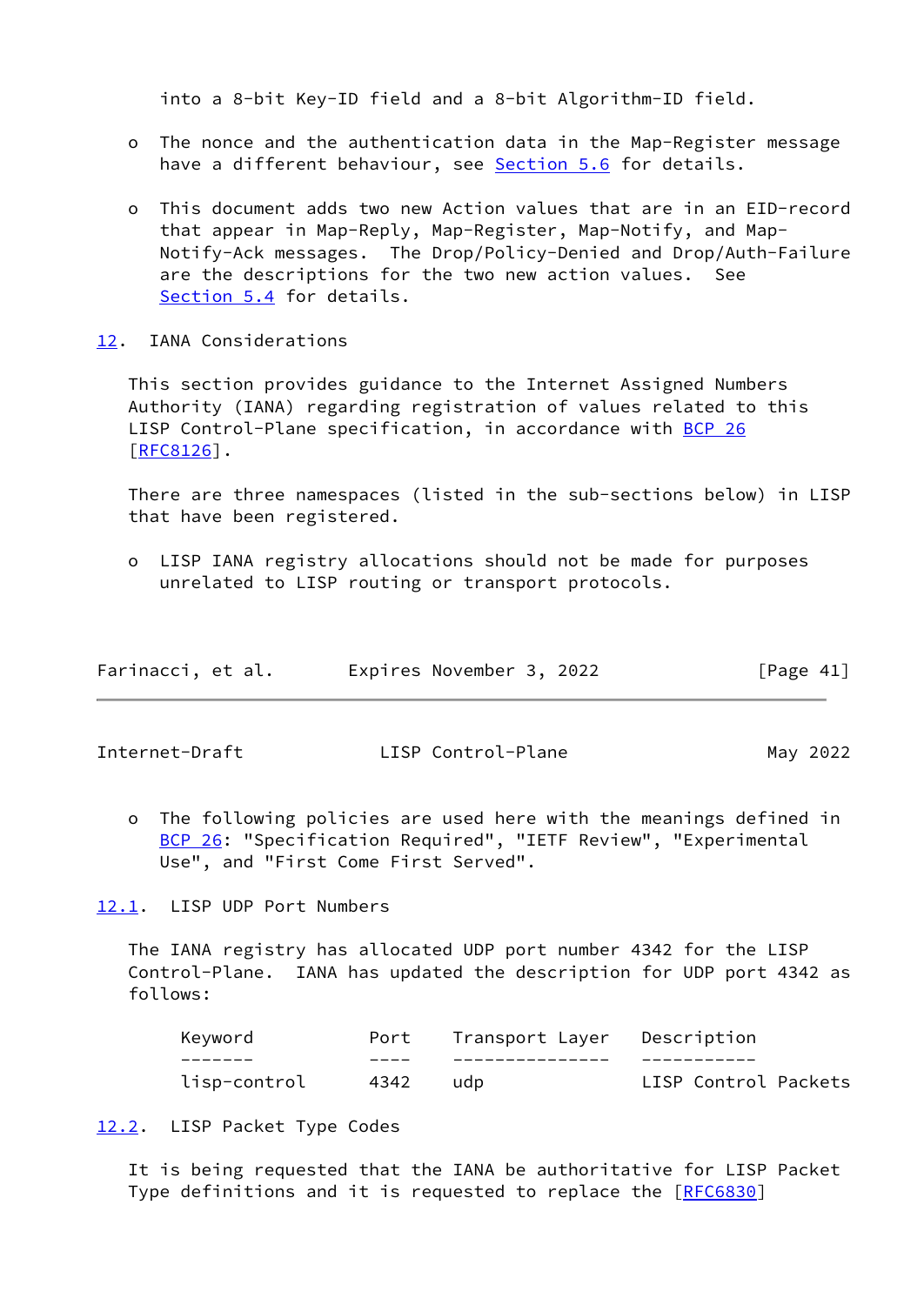into a 8-bit Key-ID field and a 8-bit Algorithm-ID field.

- o The nonce and the authentication data in the Map-Register message have a different behaviour, see [Section 5.6](#page-25-0) for details.
- o This document adds two new Action values that are in an EID-record that appear in Map-Reply, Map-Register, Map-Notify, and Map- Notify-Ack messages. The Drop/Policy-Denied and Drop/Auth-Failure are the descriptions for the two new action values. See [Section 5.4](#page-17-0) for details.
- <span id="page-46-0"></span>[12.](#page-46-0) IANA Considerations

 This section provides guidance to the Internet Assigned Numbers Authority (IANA) regarding registration of values related to this LISP Control-Plane specification, in accordance with [BCP 26](https://datatracker.ietf.org/doc/pdf/bcp26) [\[RFC8126](https://datatracker.ietf.org/doc/pdf/rfc8126)].

 There are three namespaces (listed in the sub-sections below) in LISP that have been registered.

 o LISP IANA registry allocations should not be made for purposes unrelated to LISP routing or transport protocols.

| Farinacci, et al. | Expires November 3, 2022 | [Page 41] |
|-------------------|--------------------------|-----------|
|-------------------|--------------------------|-----------|

<span id="page-46-2"></span>Internet-Draft LISP Control-Plane May 2022

 o The following policies are used here with the meanings defined in [BCP 26](https://datatracker.ietf.org/doc/pdf/bcp26): "Specification Required", "IETF Review", "Experimental Use", and "First Come First Served".

<span id="page-46-1"></span>[12.1](#page-46-1). LISP UDP Port Numbers

 The IANA registry has allocated UDP port number 4342 for the LISP Control-Plane. IANA has updated the description for UDP port 4342 as follows:

| Kevword      | -Port | Transport Layer Description |                      |
|--------------|-------|-----------------------------|----------------------|
|              |       |                             |                      |
| lisp-control | 4342  | udb                         | LISP Control Packets |

<span id="page-46-3"></span>[12.2](#page-46-3). LISP Packet Type Codes

 It is being requested that the IANA be authoritative for LISP Packet Type definitions and it is requested to replace the [\[RFC6830](https://datatracker.ietf.org/doc/pdf/rfc6830)]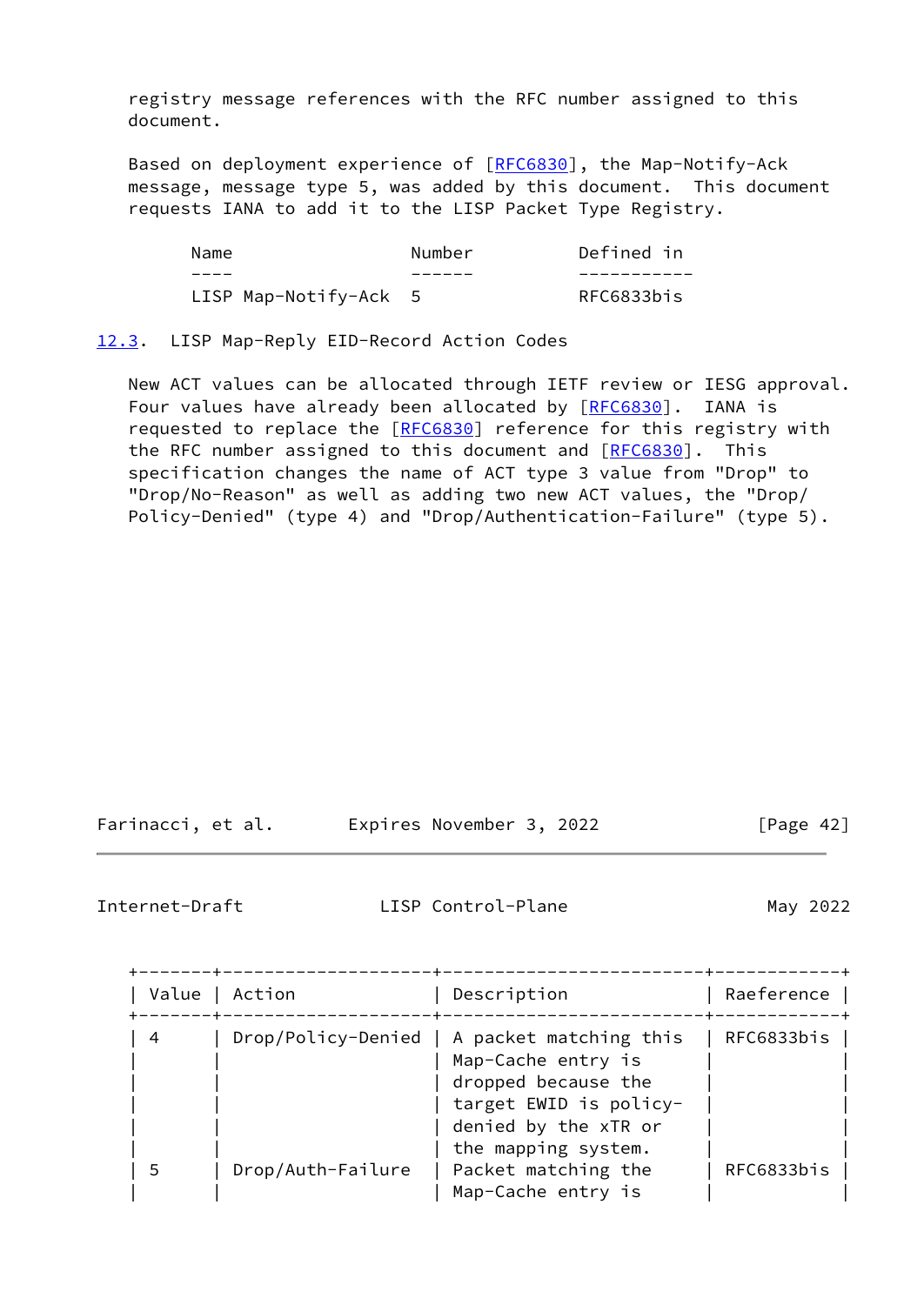registry message references with the RFC number assigned to this document.

Based on deployment experience of [[RFC6830](https://datatracker.ietf.org/doc/pdf/rfc6830)], the Map-Notify-Ack message, message type 5, was added by this document. This document requests IANA to add it to the LISP Packet Type Registry.

| Name                  | Number | Defined in |
|-----------------------|--------|------------|
|                       |        |            |
| LISP Map-Notify-Ack 5 |        | RFC6833bis |

## <span id="page-47-0"></span>[12.3](#page-47-0). LISP Map-Reply EID-Record Action Codes

 New ACT values can be allocated through IETF review or IESG approval. Four values have already been allocated by [[RFC6830\]](https://datatracker.ietf.org/doc/pdf/rfc6830). IANA is requested to replace the [\[RFC6830](https://datatracker.ietf.org/doc/pdf/rfc6830)] reference for this registry with the RFC number assigned to this document and [\[RFC6830](https://datatracker.ietf.org/doc/pdf/rfc6830)]. This specification changes the name of ACT type 3 value from "Drop" to "Drop/No-Reason" as well as adding two new ACT values, the "Drop/ Policy-Denied" (type 4) and "Drop/Authentication-Failure" (type 5).

| Farinacci, et al. | Expires November 3, 2022 | [Page 42] |
|-------------------|--------------------------|-----------|
|-------------------|--------------------------|-----------|

<span id="page-47-1"></span>Internet-Draft LISP Control-Plane May 2022

| Value | Action            | Description                                                                                                                                                       | Raeference |
|-------|-------------------|-------------------------------------------------------------------------------------------------------------------------------------------------------------------|------------|
| -4    |                   | Drop/Policy-Denied   A packet matching this<br>Map-Cache entry is<br>dropped because the<br>target EWID is policy-<br>denied by the xTR or<br>the mapping system. | RFC6833bis |
| 5     | Drop/Auth-Failure | Packet matching the<br>Map-Cache entry is                                                                                                                         | RFC6833bis |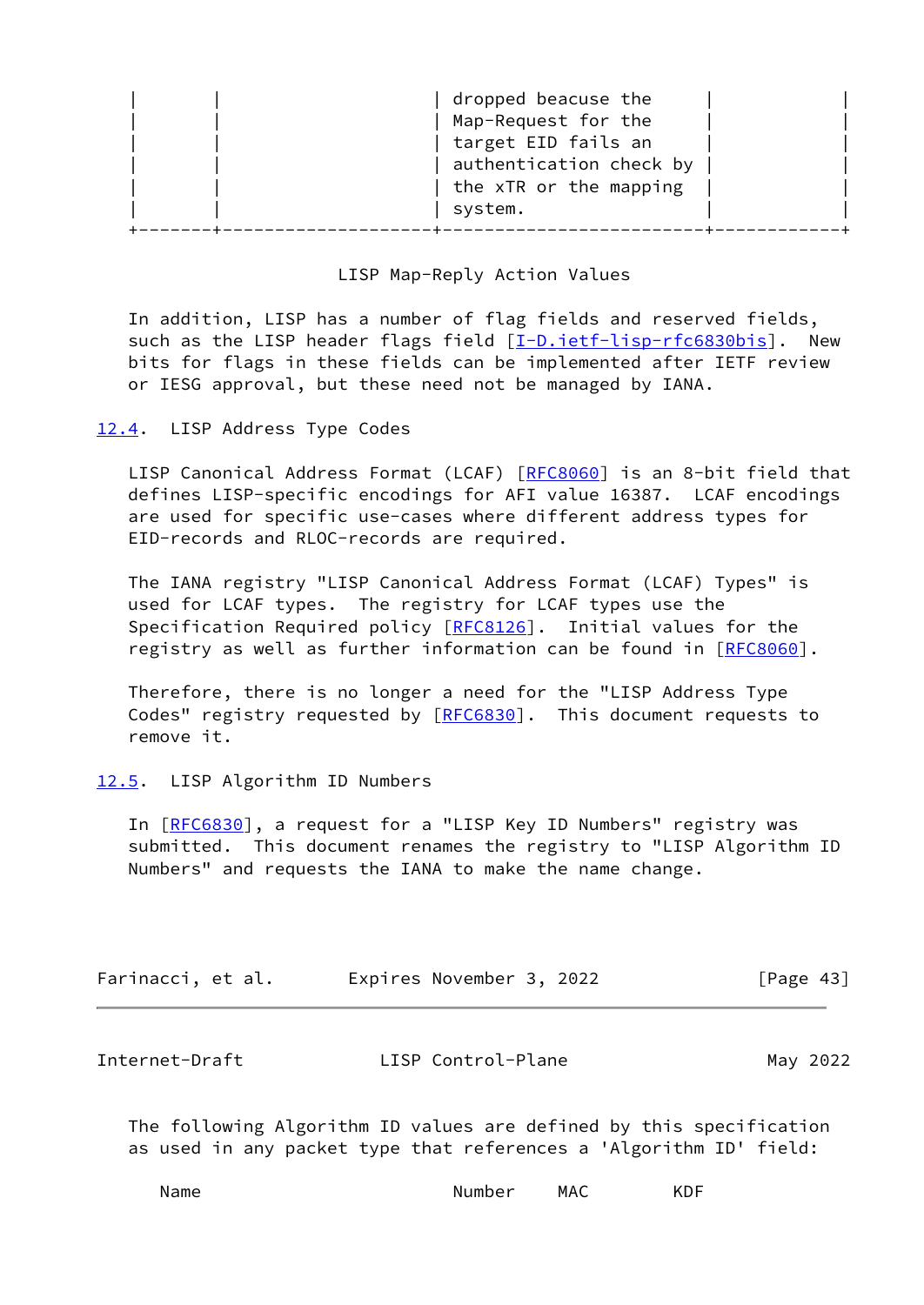| dropped beacuse the<br>Map-Request for the<br>target EID fails an<br>the xTR or the mapping<br>system. | authentication check by |
|--------------------------------------------------------------------------------------------------------|-------------------------|
|--------------------------------------------------------------------------------------------------------|-------------------------|

## LISP Map-Reply Action Values

 In addition, LISP has a number of flag fields and reserved fields, such as the LISP header flags field [\[I-D.ietf-lisp-rfc6830bis](#page-52-3)]. New bits for flags in these fields can be implemented after IETF review or IESG approval, but these need not be managed by IANA.

## <span id="page-48-0"></span>[12.4](#page-48-0). LISP Address Type Codes

LISP Canonical Address Format (LCAF) [\[RFC8060](https://datatracker.ietf.org/doc/pdf/rfc8060)] is an 8-bit field that defines LISP-specific encodings for AFI value 16387. LCAF encodings are used for specific use-cases where different address types for EID-records and RLOC-records are required.

 The IANA registry "LISP Canonical Address Format (LCAF) Types" is used for LCAF types. The registry for LCAF types use the Specification Required policy [[RFC8126](https://datatracker.ietf.org/doc/pdf/rfc8126)]. Initial values for the registry as well as further information can be found in [\[RFC8060](https://datatracker.ietf.org/doc/pdf/rfc8060)].

 Therefore, there is no longer a need for the "LISP Address Type Codes" registry requested by [\[RFC6830](https://datatracker.ietf.org/doc/pdf/rfc6830)]. This document requests to remove it.

## <span id="page-48-1"></span>[12.5](#page-48-1). LISP Algorithm ID Numbers

In [[RFC6830\]](https://datatracker.ietf.org/doc/pdf/rfc6830), a request for a "LISP Key ID Numbers" registry was submitted. This document renames the registry to "LISP Algorithm ID Numbers" and requests the IANA to make the name change.

| Farinacci, et al. | Expires November 3, 2022 | [Page $43$ ] |
|-------------------|--------------------------|--------------|
|-------------------|--------------------------|--------------|

<span id="page-48-2"></span>

| Internet-Draft | LISP Control-Plane | May 2022 |
|----------------|--------------------|----------|
|----------------|--------------------|----------|

 The following Algorithm ID values are defined by this specification as used in any packet type that references a 'Algorithm ID' field:

| Number | <b>MAC</b> |
|--------|------------|
| Name   | KDF        |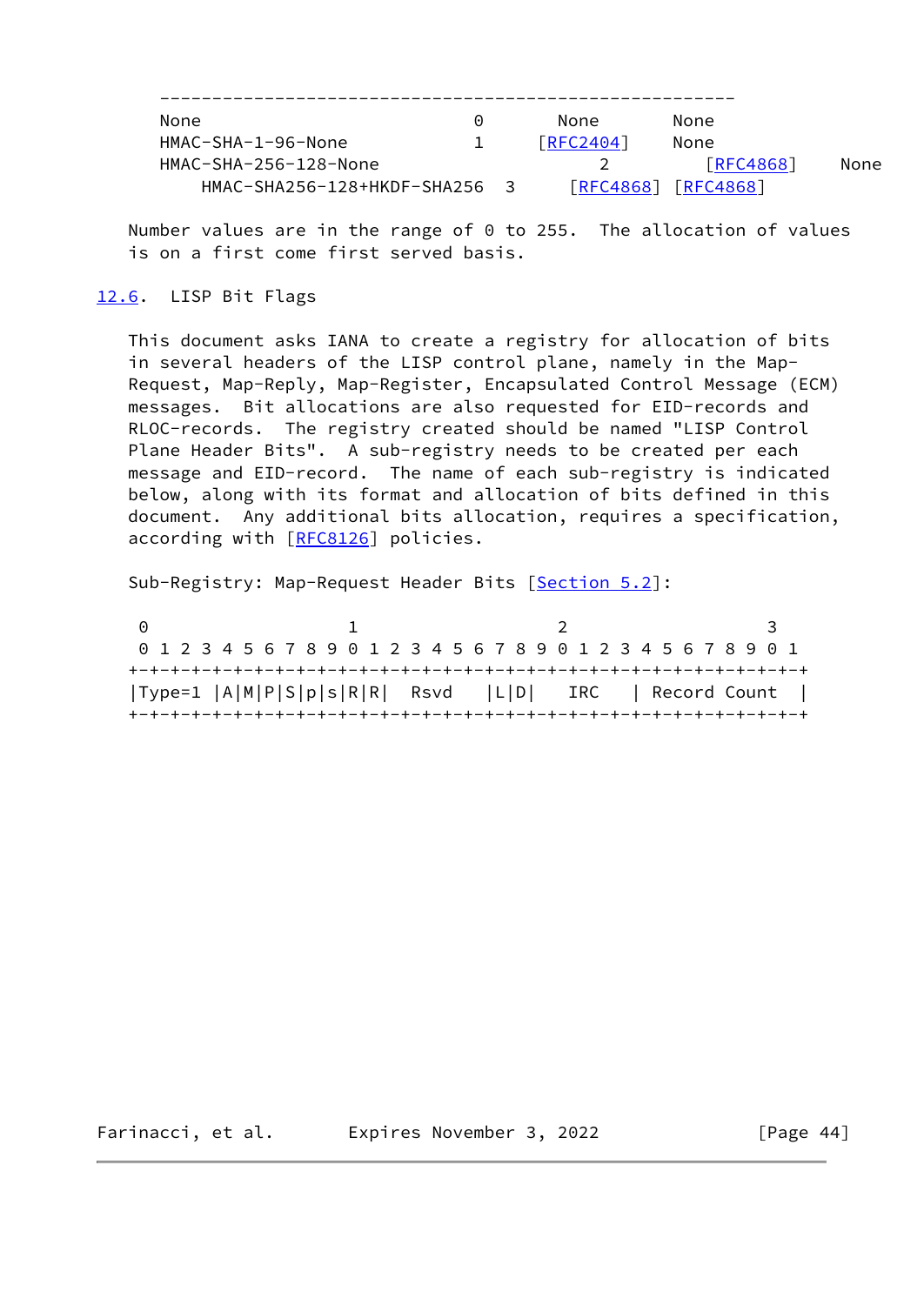| None                        | 0 |     | None            | None            |      |
|-----------------------------|---|-----|-----------------|-----------------|------|
| HMAC-SHA-1-96-None          |   |     | I RFC2404 I     | None            |      |
| HMAC-SHA-256-128-None       |   |     |                 | <b>FRFC4868</b> | None |
| HMAC-SHA256-128+HKDF-SHA256 |   | - 3 | <b>FRFC4868</b> | [REC4868]       |      |

 Number values are in the range of 0 to 255. The allocation of values is on a first come first served basis.

## <span id="page-49-0"></span>[12.6](#page-49-0). LISP Bit Flags

 This document asks IANA to create a registry for allocation of bits in several headers of the LISP control plane, namely in the Map- Request, Map-Reply, Map-Register, Encapsulated Control Message (ECM) messages. Bit allocations are also requested for EID-records and RLOC-records. The registry created should be named "LISP Control Plane Header Bits". A sub-registry needs to be created per each message and EID-record. The name of each sub-registry is indicated below, along with its format and allocation of bits defined in this document. Any additional bits allocation, requires a specification, according with [\[RFC8126](https://datatracker.ietf.org/doc/pdf/rfc8126)] policies.

Sub-Registry: Map-Request Header Bits [[Section 5.2](#page-12-0)]:

| 0 1 2 3 4 5 6 7 8 9 0 1 2 3 4 5 6 7 8 9 0 1 2 3 4 5 6 7 8 9 0 1<br> Type=1  A M P S p s R R  Rsvd  L D  IRC   Record Count | െ |  | $\mathbf{1}$ |  |  |  | $\overline{2}$ |  |  |  |  | - 3 |  |
|----------------------------------------------------------------------------------------------------------------------------|---|--|--------------|--|--|--|----------------|--|--|--|--|-----|--|
|                                                                                                                            |   |  |              |  |  |  |                |  |  |  |  |     |  |
|                                                                                                                            |   |  |              |  |  |  |                |  |  |  |  |     |  |
|                                                                                                                            |   |  |              |  |  |  |                |  |  |  |  |     |  |

Farinacci, et al. Expires November 3, 2022 [Page 44]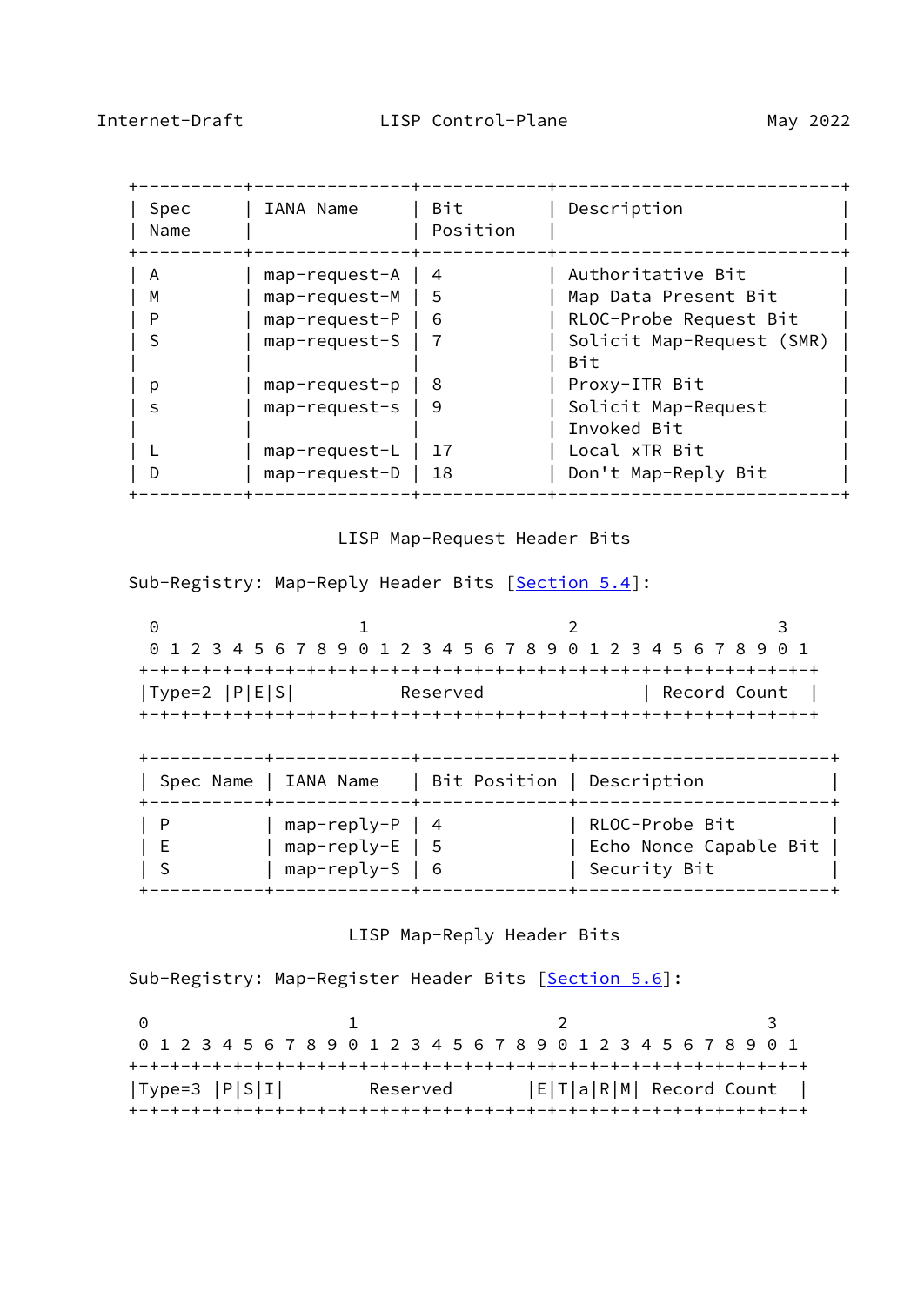| Spec<br>Name | IANA Name     | Bit<br>Position | Description                      |
|--------------|---------------|-----------------|----------------------------------|
| A            | map-request-A | 4               | Authoritative Bit                |
| м            | map-request-M | 5               | Map Data Present Bit             |
| P            | map-request-P | 6               | RLOC-Probe Request Bit           |
| S            | map-request-S |                 | Solicit Map-Request (SMR)<br>Bit |
| р            | map-request-p | 8               | Proxy-ITR Bit                    |
| S            | map-request-s | 9               | Solicit Map-Request              |
|              |               |                 | Invoked Bit                      |
|              | map-request-L | 17              | Local xTR Bit                    |
| D            | map-request-D | 18              | Don't Map-Reply Bit              |
|              |               |                 |                                  |

# LISP Map-Request Header Bits

Sub-Registry: Map-Reply Header Bits [\[Section 5.4](#page-17-0)]:

0 1 2 3 0 1 2 3 4 5 6 7 8 9 0 1 2 3 4 5 6 7 8 9 0 1 2 3 4 5 6 7 8 9 0 1 +-+-+-+-+-+-+-+-+-+-+-+-+-+-+-+-+-+-+-+-+-+-+-+-+-+-+-+-+-+-+-+-+ |Type=2 |P|E|S| Reserved | Record Count | +-+-+-+-+-+-+-+-+-+-+-+-+-+-+-+-+-+-+-+-+-+-+-+-+-+-+-+-+-+-+-+-+

| Spec Name   IANA Name |                                                             | Bit Position   Description |                                                            |
|-----------------------|-------------------------------------------------------------|----------------------------|------------------------------------------------------------|
| - P<br>E              | $map-reply-P   4$<br>$map-reply-E$   5<br>$map-reply-S$   6 |                            | RLOC-Probe Bit<br>Echo Nonce Capable Bit  <br>Security Bit |

## LISP Map-Reply Header Bits

Sub-Registry: Map-Register Header Bits [\[Section 5.6](#page-25-0)]:

0 1 2 3 0 1 2 3 4 5 6 7 8 9 0 1 2 3 4 5 6 7 8 9 0 1 2 3 4 5 6 7 8 9 0 1 +-+-+-+-+-+-+-+-+-+-+-+-+-+-+-+-+-+-+-+-+-+-+-+-+-+-+-+-+-+-+-+-+ |Type=3 |P|S|I| Reserved |E|T|a|R|M| Record Count | +-+-+-+-+-+-+-+-+-+-+-+-+-+-+-+-+-+-+-+-+-+-+-+-+-+-+-+-+-+-+-+-+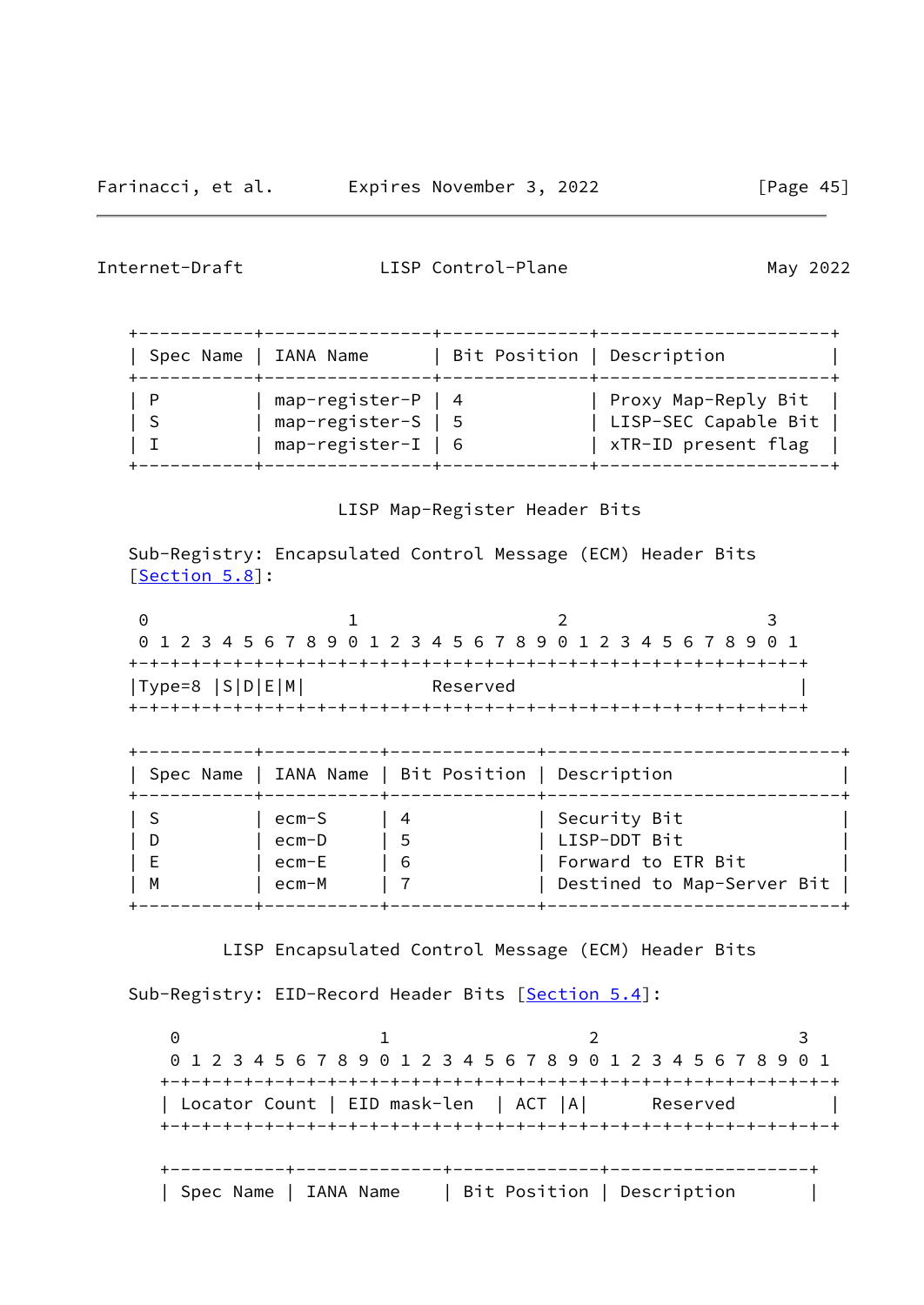+-----------+----------------+--------------+----------------------+ | Spec Name | IANA Name | Bit Position | Description | +-----------+----------------+--------------+----------------------+ | P | map-register-P | 4 | Proxy Map-Reply Bit | | S | map-register-S | 5 | LISP-SEC Capable Bit | | I | map-register-I | 6 | xTR-ID present flag | +-----------+----------------+--------------+----------------------+

LISP Map-Register Header Bits

 Sub-Registry: Encapsulated Control Message (ECM) Header Bits [\[Section 5.8](#page-31-0)]:

|                     |                               |                                                    | 0 1 2 3 4 5 6 7 8 9 0 1 2 3 4 5 6 7 8 9 0 1 2 3 4 5 6 7 8 9 0 1 |
|---------------------|-------------------------------|----------------------------------------------------|-----------------------------------------------------------------|
| $ Type=8  S D E M $ |                               | Reserved                                           |                                                                 |
|                     |                               |                                                    |                                                                 |
|                     |                               |                                                    |                                                                 |
|                     | ---------+------------+------ |                                                    |                                                                 |
|                     |                               | Spec Name   IANA Name   Bit Position   Description |                                                                 |
|                     | ecm-S                         | 4                                                  | Security Bit                                                    |
| D                   | ecm-D                         | - 5                                                | LISP-DDT Bit                                                    |
| E                   | ecm-E                         | 6                                                  | Forward to ETR Bit                                              |

LISP Encapsulated Control Message (ECM) Header Bits

Sub-Registry: EID-Record Header Bits [\[Section 5.4](#page-17-0)]:

0 1 2 3 0 1 2 3 4 5 6 7 8 9 0 1 2 3 4 5 6 7 8 9 0 1 2 3 4 5 6 7 8 9 0 1 +-+-+-+-+-+-+-+-+-+-+-+-+-+-+-+-+-+-+-+-+-+-+-+-+-+-+-+-+-+-+-+-+ | Locator Count | EID mask-len | ACT |A| Reserved | +-+-+-+-+-+-+-+-+-+-+-+-+-+-+-+-+-+-+-+-+-+-+-+-+-+-+-+-+-+-+-+-+ +-----------+--------------+--------------+-------------------+ | Spec Name | IANA Name | Bit Position | Description |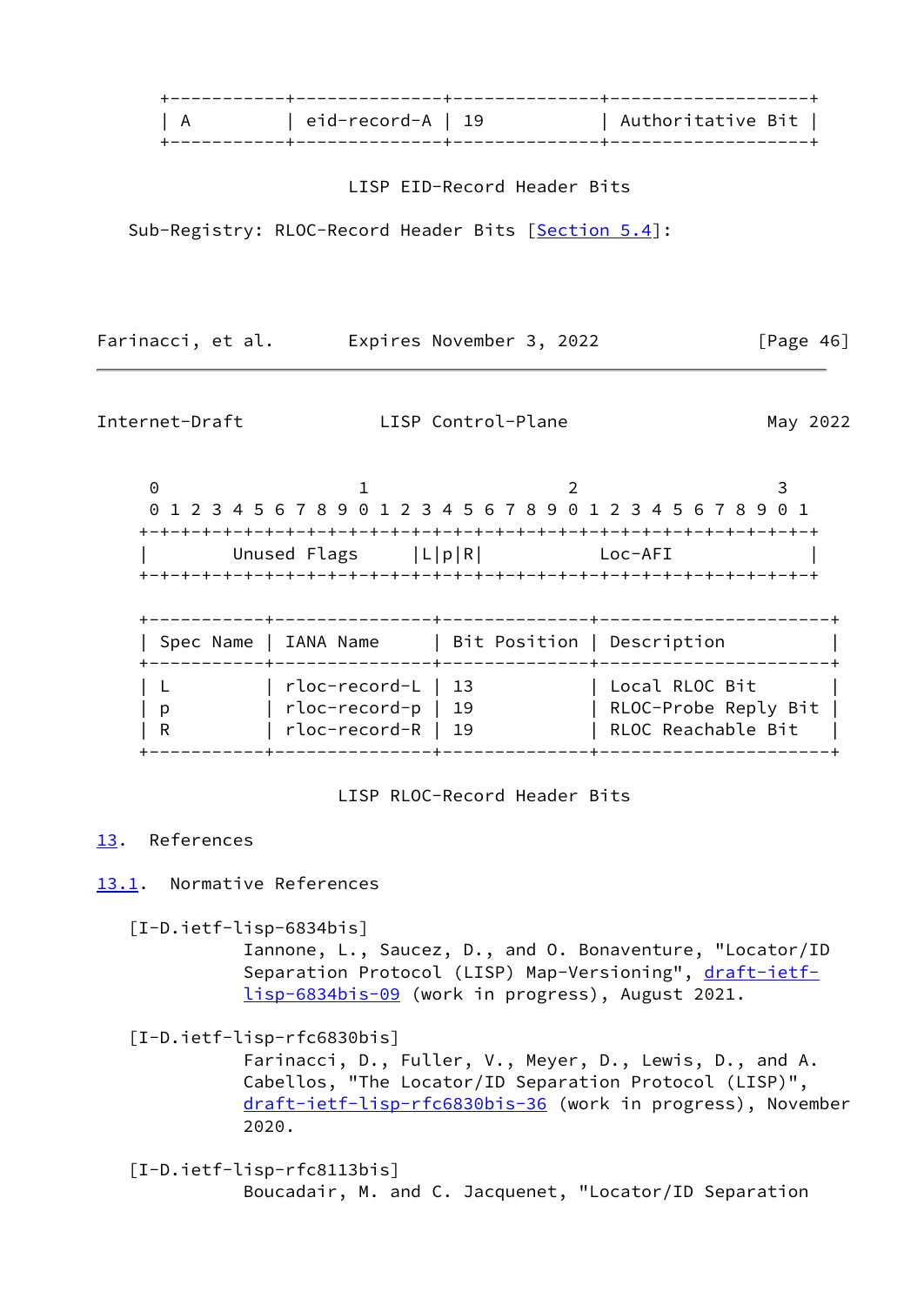| eid-record-A   19 | Authoritative Bit ' |  |
|-------------------|---------------------|--|
|                   |                     |  |
|                   |                     |  |

LISP EID-Record Header Bits

Sub-Registry: RLOC-Record Header Bits [[Section 5.4](#page-17-0)]:

Farinacci, et al. Expires November 3, 2022 [Page 46]

<span id="page-52-1"></span>

Internet-Draft LISP Control-Plane May 2022

0 1 2 3 0 1 2 3 4 5 6 7 8 9 0 1 2 3 4 5 6 7 8 9 0 1 2 3 4 5 6 7 8 9 0 1 +-+-+-+-+-+-+-+-+-+-+-+-+-+-+-+-+-+-+-+-+-+-+-+-+-+-+-+-+-+-+-+-+ Unused Flags  $|L|p|R|$  Loc-AFI +-+-+-+-+-+-+-+-+-+-+-+-+-+-+-+-+-+-+-+-+-+-+-+-+-+-+-+-+-+-+-+-+ +-----------+---------------+--------------+----------------------+ | Spec Name | IANA Name | Bit Position | Description | +-----------+---------------+--------------+----------------------+ | L | rloc-record-L | 13 | Local RLOC Bit | | p | rloc-record-p | 19 | RLOC-Probe Reply Bit | | R | rloc-record-R | 19 | RLOC Reachable Bit | +-----------+---------------+--------------+----------------------+

LISP RLOC-Record Header Bits

# <span id="page-52-0"></span>[13.](#page-52-0) References

<span id="page-52-2"></span>[13.1](#page-52-2). Normative References

<span id="page-52-5"></span>[I-D.ietf-lisp-6834bis]

 Iannone, L., Saucez, D., and O. Bonaventure, "Locator/ID Separation Protocol (LISP) Map-Versioning", [draft-ietf](https://datatracker.ietf.org/doc/pdf/draft-ietf-lisp-6834bis-09) [lisp-6834bis-09](https://datatracker.ietf.org/doc/pdf/draft-ietf-lisp-6834bis-09) (work in progress), August 2021.

<span id="page-52-3"></span>[I-D.ietf-lisp-rfc6830bis]

 Farinacci, D., Fuller, V., Meyer, D., Lewis, D., and A. Cabellos, "The Locator/ID Separation Protocol (LISP)", [draft-ietf-lisp-rfc6830bis-36](https://datatracker.ietf.org/doc/pdf/draft-ietf-lisp-rfc6830bis-36) (work in progress), November 2020.

<span id="page-52-4"></span> [I-D.ietf-lisp-rfc8113bis] Boucadair, M. and C. Jacquenet, "Locator/ID Separation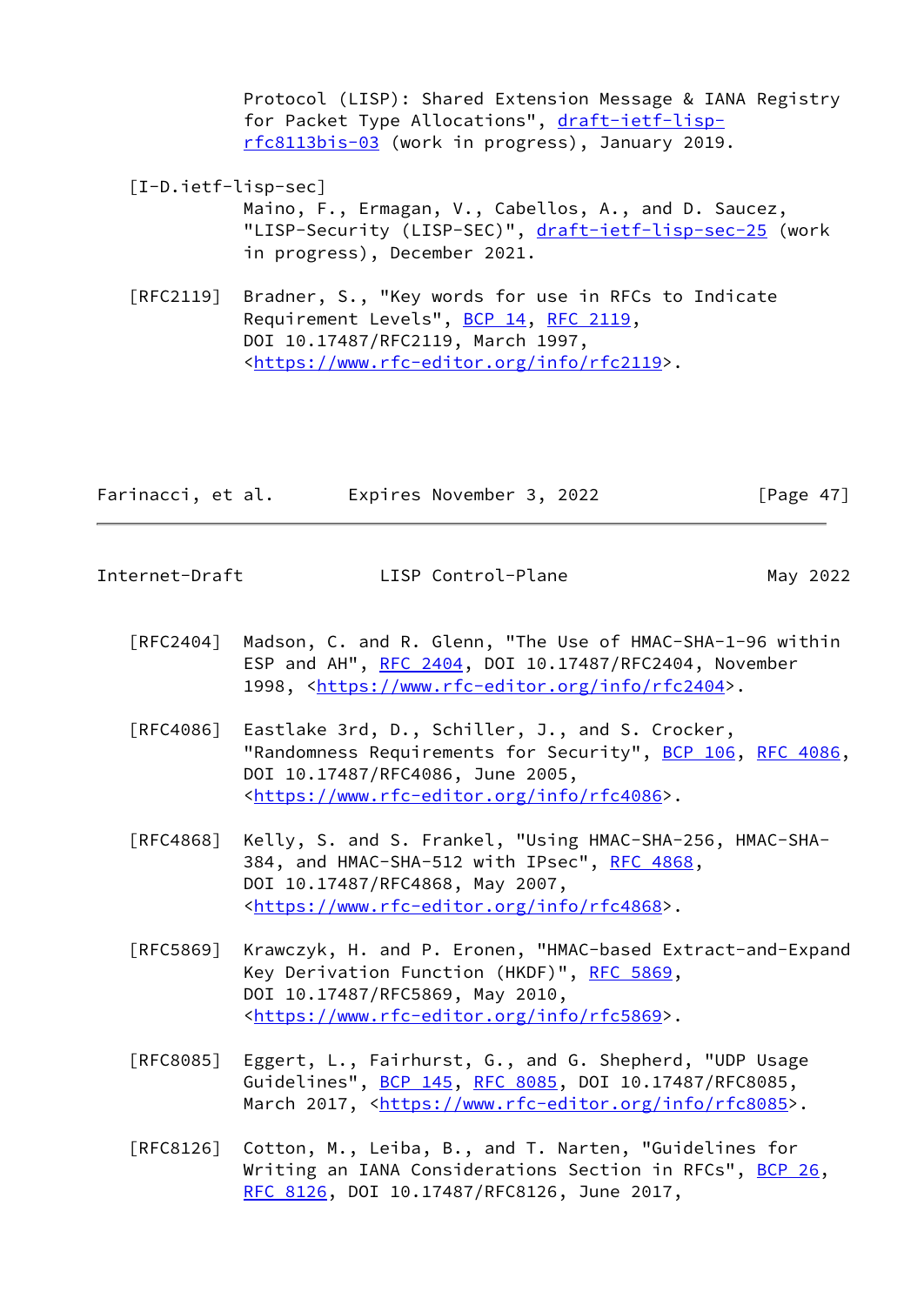Protocol (LISP): Shared Extension Message & IANA Registry for Packet Type Allocations", [draft-ietf-lisp](https://datatracker.ietf.org/doc/pdf/draft-ietf-lisp-rfc8113bis-03) [rfc8113bis-03](https://datatracker.ietf.org/doc/pdf/draft-ietf-lisp-rfc8113bis-03) (work in progress), January 2019.

- <span id="page-53-1"></span> [I-D.ietf-lisp-sec] Maino, F., Ermagan, V., Cabellos, A., and D. Saucez, "LISP-Security (LISP-SEC)", [draft-ietf-lisp-sec-25](https://datatracker.ietf.org/doc/pdf/draft-ietf-lisp-sec-25) (work in progress), December 2021.
- [RFC2119] Bradner, S., "Key words for use in RFCs to Indicate Requirement Levels", [BCP 14](https://datatracker.ietf.org/doc/pdf/bcp14), [RFC 2119](https://datatracker.ietf.org/doc/pdf/rfc2119), DOI 10.17487/RFC2119, March 1997, <[https://www.rfc-editor.org/info/rfc2119>](https://www.rfc-editor.org/info/rfc2119).

| Farinacci, et al. | Expires November 3, 2022 | [Page $47$ ] |
|-------------------|--------------------------|--------------|
|-------------------|--------------------------|--------------|

<span id="page-53-0"></span>Internet-Draft LISP Control-Plane May 2022

- [RFC2404] Madson, C. and R. Glenn, "The Use of HMAC-SHA-1-96 within ESP and AH", [RFC 2404](https://datatracker.ietf.org/doc/pdf/rfc2404), DOI 10.17487/RFC2404, November 1998, [<https://www.rfc-editor.org/info/rfc2404](https://www.rfc-editor.org/info/rfc2404)>.
- [RFC4086] Eastlake 3rd, D., Schiller, J., and S. Crocker, "Randomness Requirements for Security", [BCP 106](https://datatracker.ietf.org/doc/pdf/bcp106), [RFC 4086,](https://datatracker.ietf.org/doc/pdf/rfc4086) DOI 10.17487/RFC4086, June 2005, <[https://www.rfc-editor.org/info/rfc4086>](https://www.rfc-editor.org/info/rfc4086).
- [RFC4868] Kelly, S. and S. Frankel, "Using HMAC-SHA-256, HMAC-SHA- 384, and HMAC-SHA-512 with IPsec", [RFC 4868](https://datatracker.ietf.org/doc/pdf/rfc4868), DOI 10.17487/RFC4868, May 2007, <[https://www.rfc-editor.org/info/rfc4868>](https://www.rfc-editor.org/info/rfc4868).
- [RFC5869] Krawczyk, H. and P. Eronen, "HMAC-based Extract-and-Expand Key Derivation Function (HKDF)", [RFC 5869,](https://datatracker.ietf.org/doc/pdf/rfc5869) DOI 10.17487/RFC5869, May 2010, <[https://www.rfc-editor.org/info/rfc5869>](https://www.rfc-editor.org/info/rfc5869).
- [RFC8085] Eggert, L., Fairhurst, G., and G. Shepherd, "UDP Usage Guidelines", [BCP 145](https://datatracker.ietf.org/doc/pdf/bcp145), [RFC 8085](https://datatracker.ietf.org/doc/pdf/rfc8085), DOI 10.17487/RFC8085, March 2017, [<https://www.rfc-editor.org/info/rfc8085](https://www.rfc-editor.org/info/rfc8085)>.
- [RFC8126] Cotton, M., Leiba, B., and T. Narten, "Guidelines for Writing an IANA Considerations Section in RFCs", [BCP 26](https://datatracker.ietf.org/doc/pdf/bcp26), [RFC 8126,](https://datatracker.ietf.org/doc/pdf/rfc8126) DOI 10.17487/RFC8126, June 2017,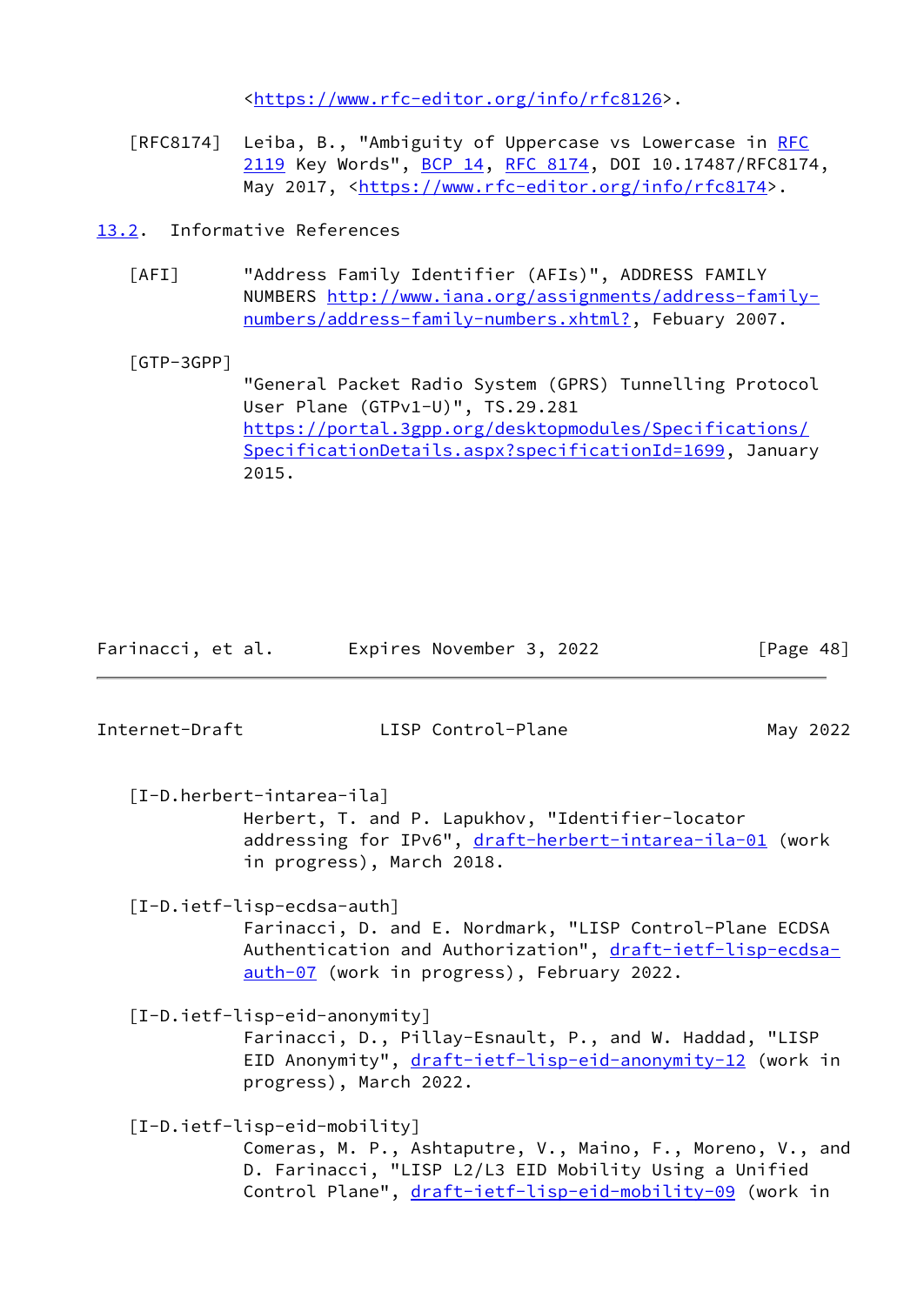<[https://www.rfc-editor.org/info/rfc8126>](https://www.rfc-editor.org/info/rfc8126).

[RFC8174] Leiba, B., "Ambiguity of Uppercase vs Lowercase in [RFC](https://datatracker.ietf.org/doc/pdf/rfc2119) [2119](https://datatracker.ietf.org/doc/pdf/rfc2119) Key Words", [BCP 14](https://datatracker.ietf.org/doc/pdf/bcp14), [RFC 8174,](https://datatracker.ietf.org/doc/pdf/rfc8174) DOI 10.17487/RFC8174, May 2017, [<https://www.rfc-editor.org/info/rfc8174](https://www.rfc-editor.org/info/rfc8174)>.

<span id="page-54-0"></span>[13.2](#page-54-0). Informative References

<span id="page-54-3"></span> [AFI] "Address Family Identifier (AFIs)", ADDRESS FAMILY NUMBERS [http://www.iana.org/assignments/address-family](http://www.iana.org/assignments/address-family-numbers/address-family-numbers.xhtml?) [numbers/address-family-numbers.xhtml?,](http://www.iana.org/assignments/address-family-numbers/address-family-numbers.xhtml?) Febuary 2007.

<span id="page-54-1"></span> [GTP-3GPP] "General Packet Radio System (GPRS) Tunnelling Protocol User Plane (GTPv1-U)", TS.29.281 [https://portal.3gpp.org/desktopmodules/Specifications/](https://portal.3gpp.org/desktopmodules/Specifications/SpecificationDetails.aspx?specificationId=1699) [SpecificationDetails.aspx?specificationId=1699](https://portal.3gpp.org/desktopmodules/Specifications/SpecificationDetails.aspx?specificationId=1699), January 2015.

Farinacci, et al. Expires November 3, 2022 [Page 48]

<span id="page-54-2"></span>Internet-Draft LISP Control-Plane May 2022 [I-D.herbert-intarea-ila] Herbert, T. and P. Lapukhov, "Identifier-locator addressing for IPv6", [draft-herbert-intarea-ila-01](https://datatracker.ietf.org/doc/pdf/draft-herbert-intarea-ila-01) (work in progress), March 2018. [I-D.ietf-lisp-ecdsa-auth] Farinacci, D. and E. Nordmark, "LISP Control-Plane ECDSA

<span id="page-54-5"></span>Authentication and Authorization", [draft-ietf-lisp-ecdsa](https://datatracker.ietf.org/doc/pdf/draft-ietf-lisp-ecdsa-auth-07) [auth-07](https://datatracker.ietf.org/doc/pdf/draft-ietf-lisp-ecdsa-auth-07) (work in progress), February 2022.

<span id="page-54-6"></span> [I-D.ietf-lisp-eid-anonymity] Farinacci, D., Pillay-Esnault, P., and W. Haddad, "LISP EID Anonymity", [draft-ietf-lisp-eid-anonymity-12](https://datatracker.ietf.org/doc/pdf/draft-ietf-lisp-eid-anonymity-12) (work in progress), March 2022.

<span id="page-54-4"></span>[I-D.ietf-lisp-eid-mobility]

 Comeras, M. P., Ashtaputre, V., Maino, F., Moreno, V., and D. Farinacci, "LISP L2/L3 EID Mobility Using a Unified Control Plane", [draft-ietf-lisp-eid-mobility-09](https://datatracker.ietf.org/doc/pdf/draft-ietf-lisp-eid-mobility-09) (work in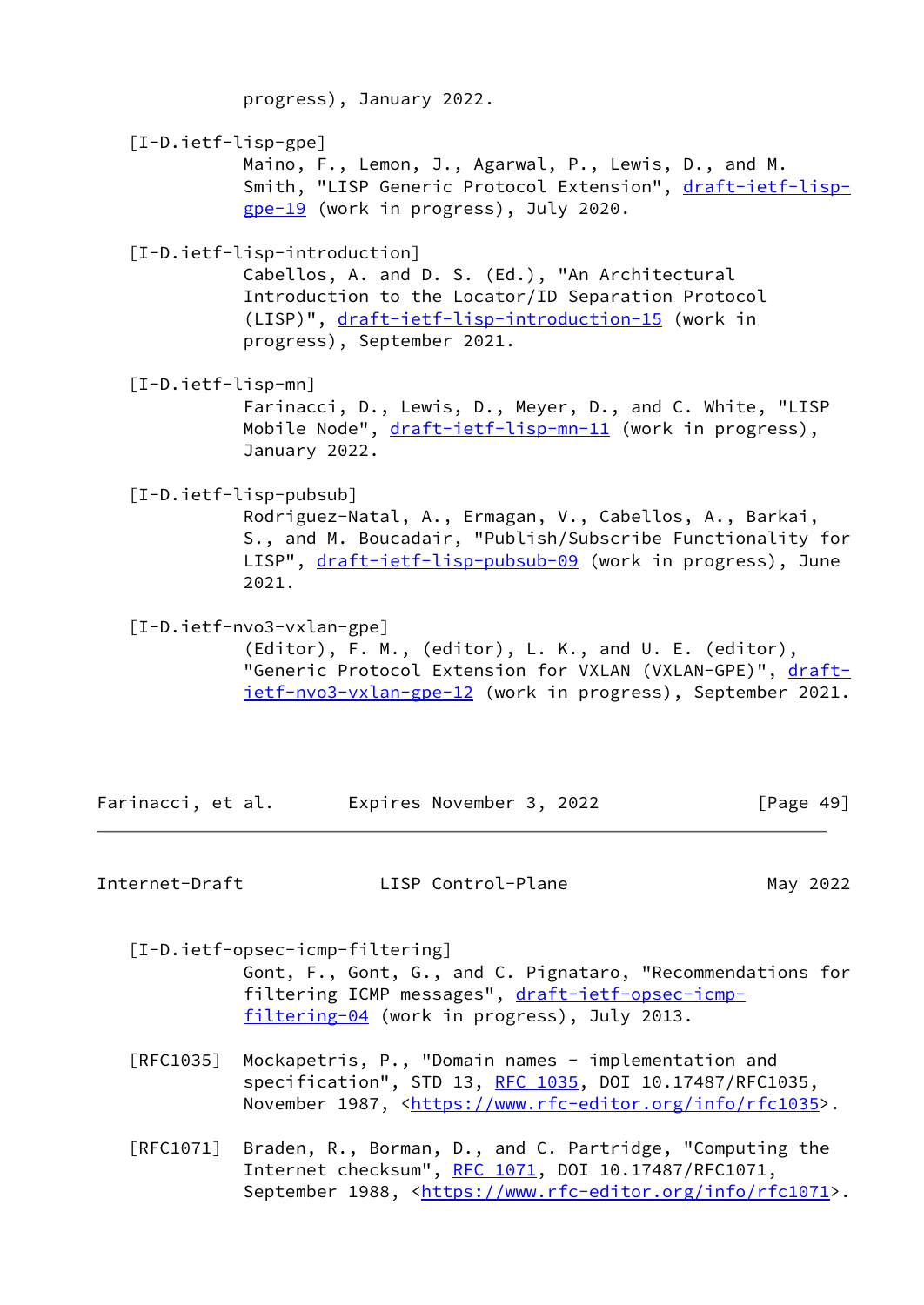<span id="page-55-5"></span><span id="page-55-1"></span><span id="page-55-0"></span> progress), January 2022. [I-D.ietf-lisp-gpe] Maino, F., Lemon, J., Agarwal, P., Lewis, D., and M. Smith, "LISP Generic Protocol Extension", [draft-ietf-lisp](https://datatracker.ietf.org/doc/pdf/draft-ietf-lisp-gpe-19) [gpe-19](https://datatracker.ietf.org/doc/pdf/draft-ietf-lisp-gpe-19) (work in progress), July 2020. [I-D.ietf-lisp-introduction] Cabellos, A. and D. S. (Ed.), "An Architectural Introduction to the Locator/ID Separation Protocol (LISP)", [draft-ietf-lisp-introduction-15](https://datatracker.ietf.org/doc/pdf/draft-ietf-lisp-introduction-15) (work in progress), September 2021. [I-D.ietf-lisp-mn] Farinacci, D., Lewis, D., Meyer, D., and C. White, "LISP Mobile Node", [draft-ietf-lisp-mn-11](https://datatracker.ietf.org/doc/pdf/draft-ietf-lisp-mn-11) (work in progress), January 2022. [I-D.ietf-lisp-pubsub] Rodriguez-Natal, A., Ermagan, V., Cabellos, A., Barkai, S., and M. Boucadair, "Publish/Subscribe Functionality for LISP", [draft-ietf-lisp-pubsub-09](https://datatracker.ietf.org/doc/pdf/draft-ietf-lisp-pubsub-09) (work in progress), June 2021. [I-D.ietf-nvo3-vxlan-gpe] (Editor), F. M., (editor), L. K., and U. E. (editor), "Generic Protocol Extension for VXLAN (VXLAN-GPE)", [draft](https://datatracker.ietf.org/doc/pdf/draft-ietf-nvo3-vxlan-gpe-12) [ietf-nvo3-vxlan-gpe-12](https://datatracker.ietf.org/doc/pdf/draft-ietf-nvo3-vxlan-gpe-12) (work in progress), September 2021. Farinacci, et al. Expires November 3, 2022 [Page 49]

<span id="page-55-3"></span><span id="page-55-2"></span>Internet-Draft LISP Control-Plane May 2022

<span id="page-55-4"></span> [I-D.ietf-opsec-icmp-filtering] Gont, F., Gont, G., and C. Pignataro, "Recommendations for filtering ICMP messages", [draft-ietf-opsec-icmp](https://datatracker.ietf.org/doc/pdf/draft-ietf-opsec-icmp-filtering-04) [filtering-04](https://datatracker.ietf.org/doc/pdf/draft-ietf-opsec-icmp-filtering-04) (work in progress), July 2013.

- [RFC1035] Mockapetris, P., "Domain names implementation and specification", STD 13, [RFC 1035,](https://datatracker.ietf.org/doc/pdf/rfc1035) DOI 10.17487/RFC1035, November 1987, <<https://www.rfc-editor.org/info/rfc1035>>.
- [RFC1071] Braden, R., Borman, D., and C. Partridge, "Computing the Internet checksum", [RFC 1071,](https://datatracker.ietf.org/doc/pdf/rfc1071) DOI 10.17487/RFC1071, September 1988, <[https://www.rfc-editor.org/info/rfc1071>](https://www.rfc-editor.org/info/rfc1071).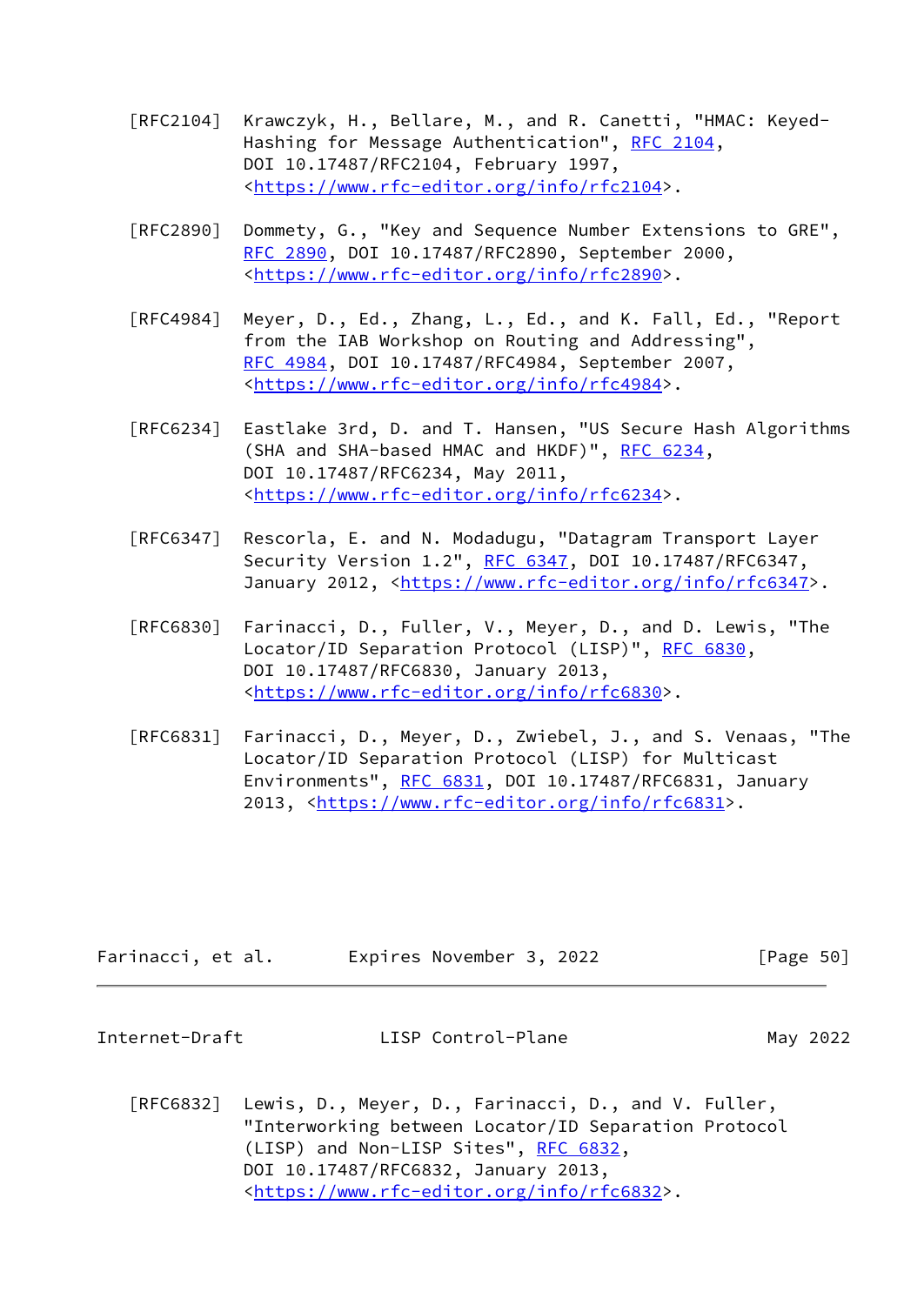- [RFC2104] Krawczyk, H., Bellare, M., and R. Canetti, "HMAC: Keyed- Hashing for Message Authentication", [RFC 2104](https://datatracker.ietf.org/doc/pdf/rfc2104), DOI 10.17487/RFC2104, February 1997, <[https://www.rfc-editor.org/info/rfc2104>](https://www.rfc-editor.org/info/rfc2104).
- [RFC2890] Dommety, G., "Key and Sequence Number Extensions to GRE", [RFC 2890,](https://datatracker.ietf.org/doc/pdf/rfc2890) DOI 10.17487/RFC2890, September 2000, <[https://www.rfc-editor.org/info/rfc2890>](https://www.rfc-editor.org/info/rfc2890).
- [RFC4984] Meyer, D., Ed., Zhang, L., Ed., and K. Fall, Ed., "Report from the IAB Workshop on Routing and Addressing", [RFC 4984,](https://datatracker.ietf.org/doc/pdf/rfc4984) DOI 10.17487/RFC4984, September 2007, <[https://www.rfc-editor.org/info/rfc4984>](https://www.rfc-editor.org/info/rfc4984).
- [RFC6234] Eastlake 3rd, D. and T. Hansen, "US Secure Hash Algorithms (SHA and SHA-based HMAC and HKDF)", [RFC 6234,](https://datatracker.ietf.org/doc/pdf/rfc6234) DOI 10.17487/RFC6234, May 2011, <[https://www.rfc-editor.org/info/rfc6234>](https://www.rfc-editor.org/info/rfc6234).
- [RFC6347] Rescorla, E. and N. Modadugu, "Datagram Transport Layer Security Version 1.2", [RFC 6347](https://datatracker.ietf.org/doc/pdf/rfc6347), DOI 10.17487/RFC6347, January 2012, [<https://www.rfc-editor.org/info/rfc6347](https://www.rfc-editor.org/info/rfc6347)>.
- [RFC6830] Farinacci, D., Fuller, V., Meyer, D., and D. Lewis, "The Locator/ID Separation Protocol (LISP)", [RFC 6830,](https://datatracker.ietf.org/doc/pdf/rfc6830) DOI 10.17487/RFC6830, January 2013, <[https://www.rfc-editor.org/info/rfc6830>](https://www.rfc-editor.org/info/rfc6830).
- [RFC6831] Farinacci, D., Meyer, D., Zwiebel, J., and S. Venaas, "The Locator/ID Separation Protocol (LISP) for Multicast Environments", [RFC 6831](https://datatracker.ietf.org/doc/pdf/rfc6831), DOI 10.17487/RFC6831, January 2013, [<https://www.rfc-editor.org/info/rfc6831](https://www.rfc-editor.org/info/rfc6831)>.

| Farinacci, et al. | Expires November 3, 2022 | [Page 50] |
|-------------------|--------------------------|-----------|
|-------------------|--------------------------|-----------|

| Internet-Draft | LISP Control-Plane | May 2022 |
|----------------|--------------------|----------|
|----------------|--------------------|----------|

 [RFC6832] Lewis, D., Meyer, D., Farinacci, D., and V. Fuller, "Interworking between Locator/ID Separation Protocol (LISP) and Non-LISP Sites", [RFC 6832,](https://datatracker.ietf.org/doc/pdf/rfc6832) DOI 10.17487/RFC6832, January 2013, <[https://www.rfc-editor.org/info/rfc6832>](https://www.rfc-editor.org/info/rfc6832).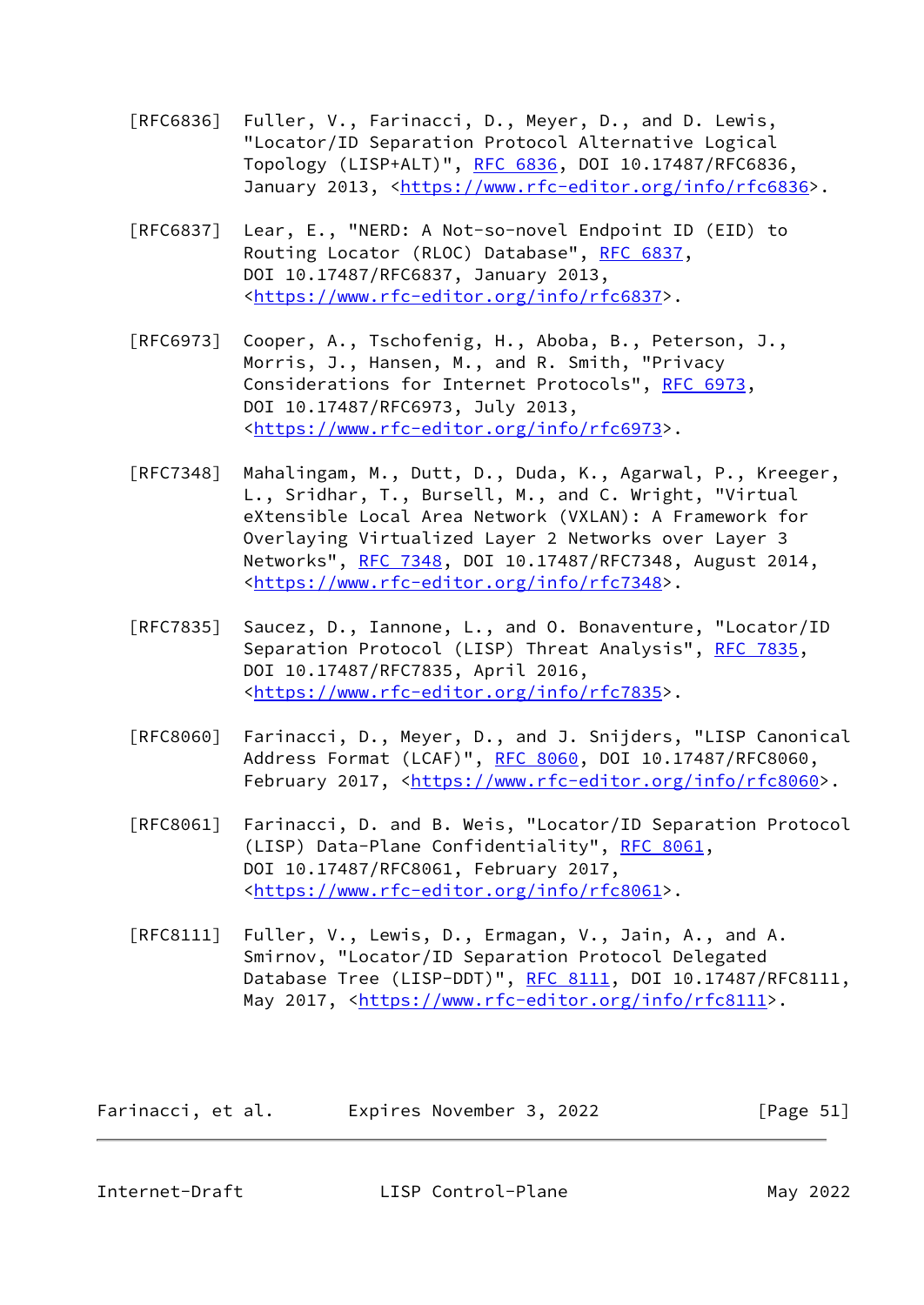- [RFC6836] Fuller, V., Farinacci, D., Meyer, D., and D. Lewis, "Locator/ID Separation Protocol Alternative Logical Topology (LISP+ALT)", [RFC 6836](https://datatracker.ietf.org/doc/pdf/rfc6836), DOI 10.17487/RFC6836, January 2013, [<https://www.rfc-editor.org/info/rfc6836](https://www.rfc-editor.org/info/rfc6836)>.
- [RFC6837] Lear, E., "NERD: A Not-so-novel Endpoint ID (EID) to Routing Locator (RLOC) Database", [RFC 6837](https://datatracker.ietf.org/doc/pdf/rfc6837), DOI 10.17487/RFC6837, January 2013, <[https://www.rfc-editor.org/info/rfc6837>](https://www.rfc-editor.org/info/rfc6837).
- [RFC6973] Cooper, A., Tschofenig, H., Aboba, B., Peterson, J., Morris, J., Hansen, M., and R. Smith, "Privacy Considerations for Internet Protocols", [RFC 6973,](https://datatracker.ietf.org/doc/pdf/rfc6973) DOI 10.17487/RFC6973, July 2013, <[https://www.rfc-editor.org/info/rfc6973>](https://www.rfc-editor.org/info/rfc6973).
- [RFC7348] Mahalingam, M., Dutt, D., Duda, K., Agarwal, P., Kreeger, L., Sridhar, T., Bursell, M., and C. Wright, "Virtual eXtensible Local Area Network (VXLAN): A Framework for Overlaying Virtualized Layer 2 Networks over Layer 3 Networks", [RFC 7348](https://datatracker.ietf.org/doc/pdf/rfc7348), DOI 10.17487/RFC7348, August 2014, <[https://www.rfc-editor.org/info/rfc7348>](https://www.rfc-editor.org/info/rfc7348).
- [RFC7835] Saucez, D., Iannone, L., and O. Bonaventure, "Locator/ID Separation Protocol (LISP) Threat Analysis", [RFC 7835](https://datatracker.ietf.org/doc/pdf/rfc7835), DOI 10.17487/RFC7835, April 2016, <[https://www.rfc-editor.org/info/rfc7835>](https://www.rfc-editor.org/info/rfc7835).
- [RFC8060] Farinacci, D., Meyer, D., and J. Snijders, "LISP Canonical Address Format (LCAF)", [RFC 8060,](https://datatracker.ietf.org/doc/pdf/rfc8060) DOI 10.17487/RFC8060, February 2017, <<https://www.rfc-editor.org/info/rfc8060>>.
- [RFC8061] Farinacci, D. and B. Weis, "Locator/ID Separation Protocol (LISP) Data-Plane Confidentiality", [RFC 8061,](https://datatracker.ietf.org/doc/pdf/rfc8061) DOI 10.17487/RFC8061, February 2017, <[https://www.rfc-editor.org/info/rfc8061>](https://www.rfc-editor.org/info/rfc8061).
- [RFC8111] Fuller, V., Lewis, D., Ermagan, V., Jain, A., and A. Smirnov, "Locator/ID Separation Protocol Delegated Database Tree (LISP-DDT)", [RFC 8111](https://datatracker.ietf.org/doc/pdf/rfc8111), DOI 10.17487/RFC8111, May 2017, [<https://www.rfc-editor.org/info/rfc8111](https://www.rfc-editor.org/info/rfc8111)>.

| Farinacci, et al. | Expires November 3, 2022 | [Page $51$ ] |
|-------------------|--------------------------|--------------|
|-------------------|--------------------------|--------------|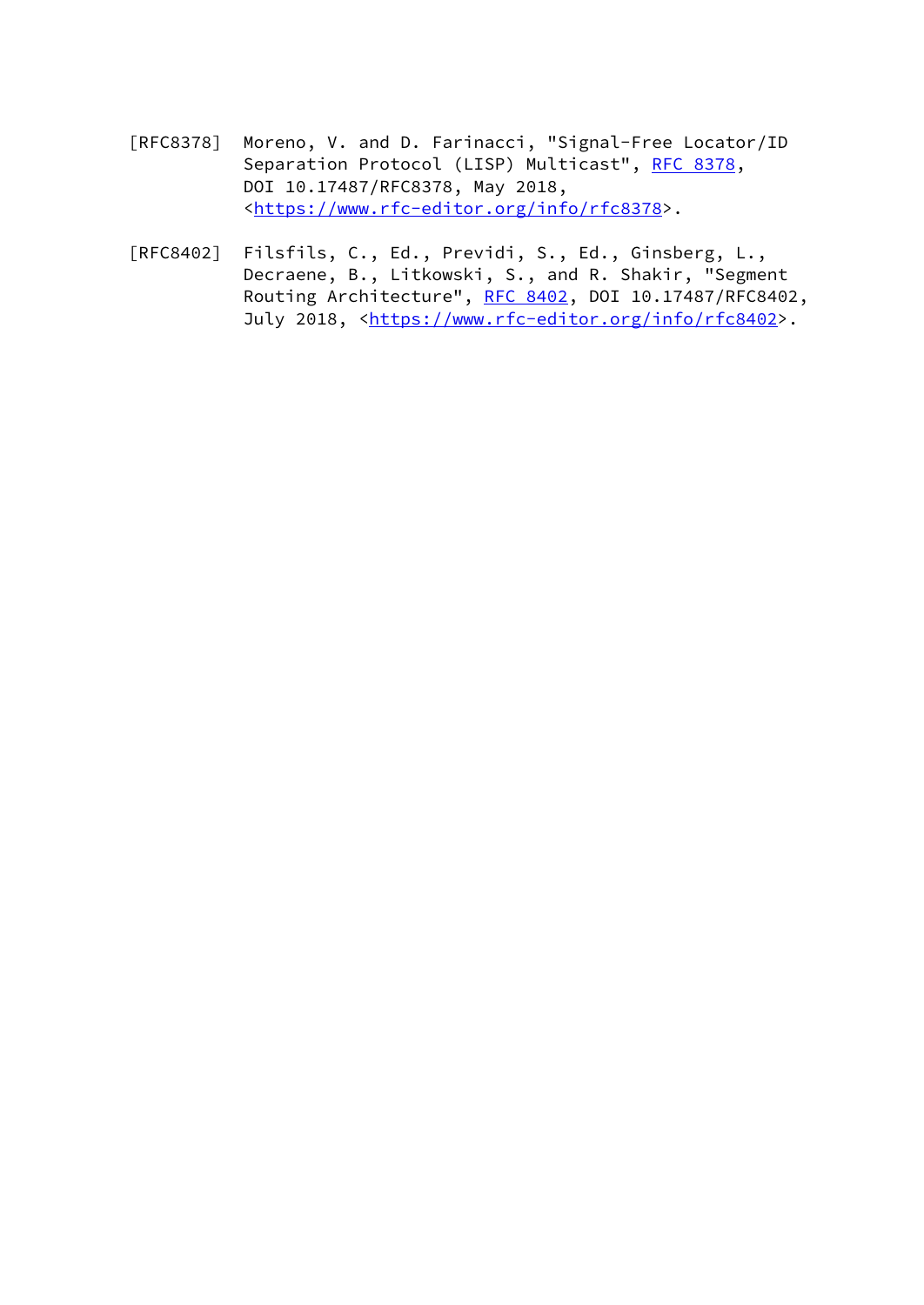- [RFC8378] Moreno, V. and D. Farinacci, "Signal-Free Locator/ID Separation Protocol (LISP) Multicast", [RFC 8378](https://datatracker.ietf.org/doc/pdf/rfc8378), DOI 10.17487/RFC8378, May 2018, <[https://www.rfc-editor.org/info/rfc8378>](https://www.rfc-editor.org/info/rfc8378).
- [RFC8402] Filsfils, C., Ed., Previdi, S., Ed., Ginsberg, L., Decraene, B., Litkowski, S., and R. Shakir, "Segment Routing Architecture", [RFC 8402](https://datatracker.ietf.org/doc/pdf/rfc8402), DOI 10.17487/RFC8402, July 2018, <<https://www.rfc-editor.org/info/rfc8402>>.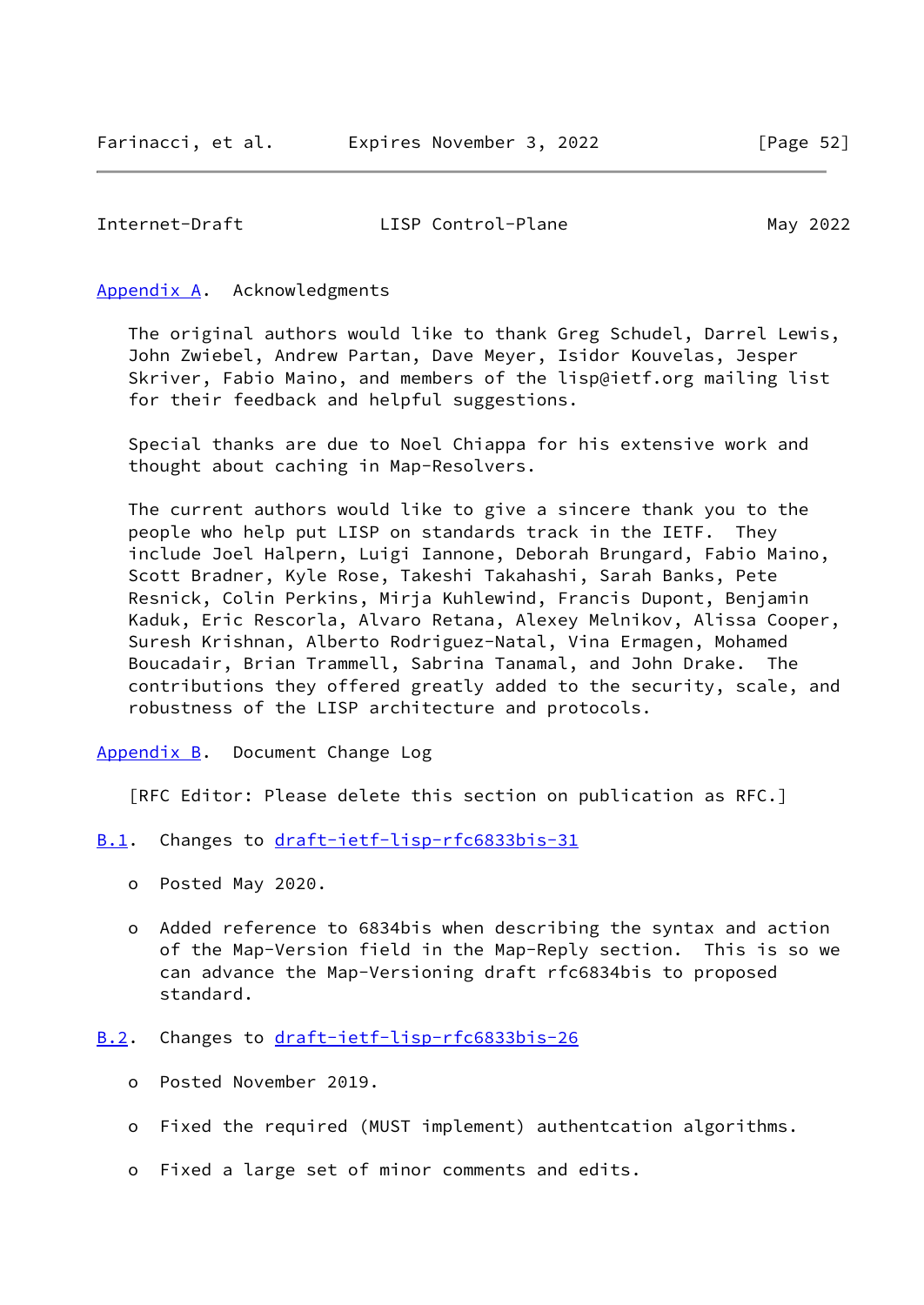#### <span id="page-59-1"></span><span id="page-59-0"></span>[Appendix A.](#page-59-0) Acknowledgments

 The original authors would like to thank Greg Schudel, Darrel Lewis, John Zwiebel, Andrew Partan, Dave Meyer, Isidor Kouvelas, Jesper Skriver, Fabio Maino, and members of the lisp@ietf.org mailing list for their feedback and helpful suggestions.

 Special thanks are due to Noel Chiappa for his extensive work and thought about caching in Map-Resolvers.

 The current authors would like to give a sincere thank you to the people who help put LISP on standards track in the IETF. They include Joel Halpern, Luigi Iannone, Deborah Brungard, Fabio Maino, Scott Bradner, Kyle Rose, Takeshi Takahashi, Sarah Banks, Pete Resnick, Colin Perkins, Mirja Kuhlewind, Francis Dupont, Benjamin Kaduk, Eric Rescorla, Alvaro Retana, Alexey Melnikov, Alissa Cooper, Suresh Krishnan, Alberto Rodriguez-Natal, Vina Ermagen, Mohamed Boucadair, Brian Trammell, Sabrina Tanamal, and John Drake. The contributions they offered greatly added to the security, scale, and robustness of the LISP architecture and protocols.

<span id="page-59-2"></span>[Appendix B.](#page-59-2) Document Change Log

[RFC Editor: Please delete this section on publication as RFC.]

- <span id="page-59-3"></span>[B.1](#page-59-3). Changes to [draft-ietf-lisp-rfc6833bis-31](https://datatracker.ietf.org/doc/pdf/draft-ietf-lisp-rfc6833bis-31)
	- o Posted May 2020.
	- o Added reference to 6834bis when describing the syntax and action of the Map-Version field in the Map-Reply section. This is so we can advance the Map-Versioning draft rfc6834bis to proposed standard.

#### <span id="page-59-4"></span>[B.2](#page-59-4). Changes to [draft-ietf-lisp-rfc6833bis-26](https://datatracker.ietf.org/doc/pdf/draft-ietf-lisp-rfc6833bis-26)

- o Posted November 2019.
- o Fixed the required (MUST implement) authentcation algorithms.
- o Fixed a large set of minor comments and edits.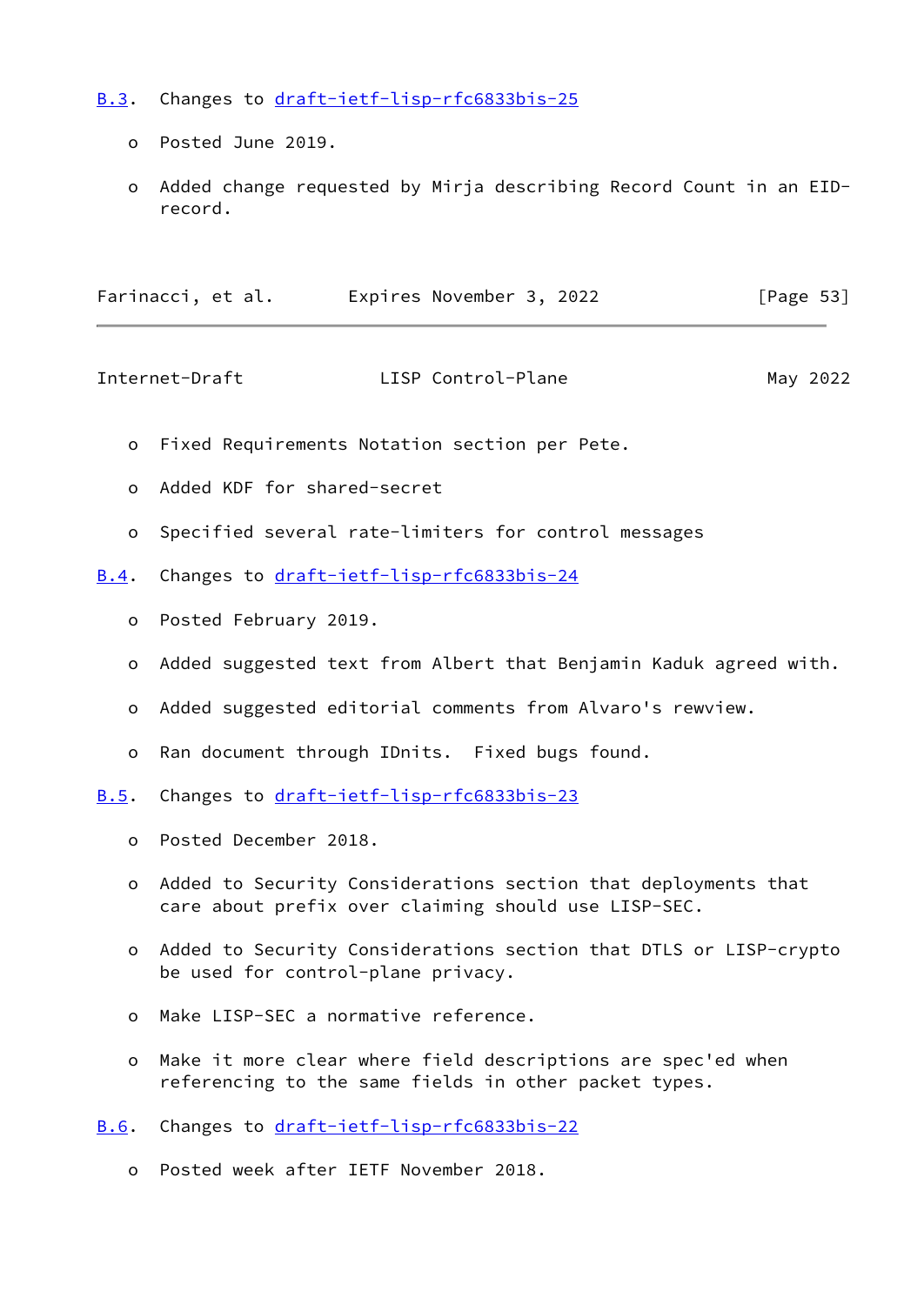- <span id="page-60-0"></span>[B.3](#page-60-0). Changes to [draft-ietf-lisp-rfc6833bis-25](https://datatracker.ietf.org/doc/pdf/draft-ietf-lisp-rfc6833bis-25)
	- o Posted June 2019.
	- o Added change requested by Mirja describing Record Count in an EID record.

<span id="page-60-2"></span>

| Farinacci, et al. | Expires November 3, 2022 | [Page 53] |
|-------------------|--------------------------|-----------|
|-------------------|--------------------------|-----------|

- o Fixed Requirements Notation section per Pete.
- o Added KDF for shared-secret
- o Specified several rate-limiters for control messages
- <span id="page-60-1"></span>[B.4](#page-60-1). Changes to [draft-ietf-lisp-rfc6833bis-24](https://datatracker.ietf.org/doc/pdf/draft-ietf-lisp-rfc6833bis-24)
	- o Posted February 2019.
	- o Added suggested text from Albert that Benjamin Kaduk agreed with.
	- o Added suggested editorial comments from Alvaro's rewview.
	- o Ran document through IDnits. Fixed bugs found.

<span id="page-60-3"></span>[B.5](#page-60-3). Changes to [draft-ietf-lisp-rfc6833bis-23](https://datatracker.ietf.org/doc/pdf/draft-ietf-lisp-rfc6833bis-23)

- o Posted December 2018.
- o Added to Security Considerations section that deployments that care about prefix over claiming should use LISP-SEC.
- o Added to Security Considerations section that DTLS or LISP-crypto be used for control-plane privacy.
- o Make LISP-SEC a normative reference.
- o Make it more clear where field descriptions are spec'ed when referencing to the same fields in other packet types.

<span id="page-60-4"></span>[B.6](#page-60-4). Changes to [draft-ietf-lisp-rfc6833bis-22](https://datatracker.ietf.org/doc/pdf/draft-ietf-lisp-rfc6833bis-22)

o Posted week after IETF November 2018.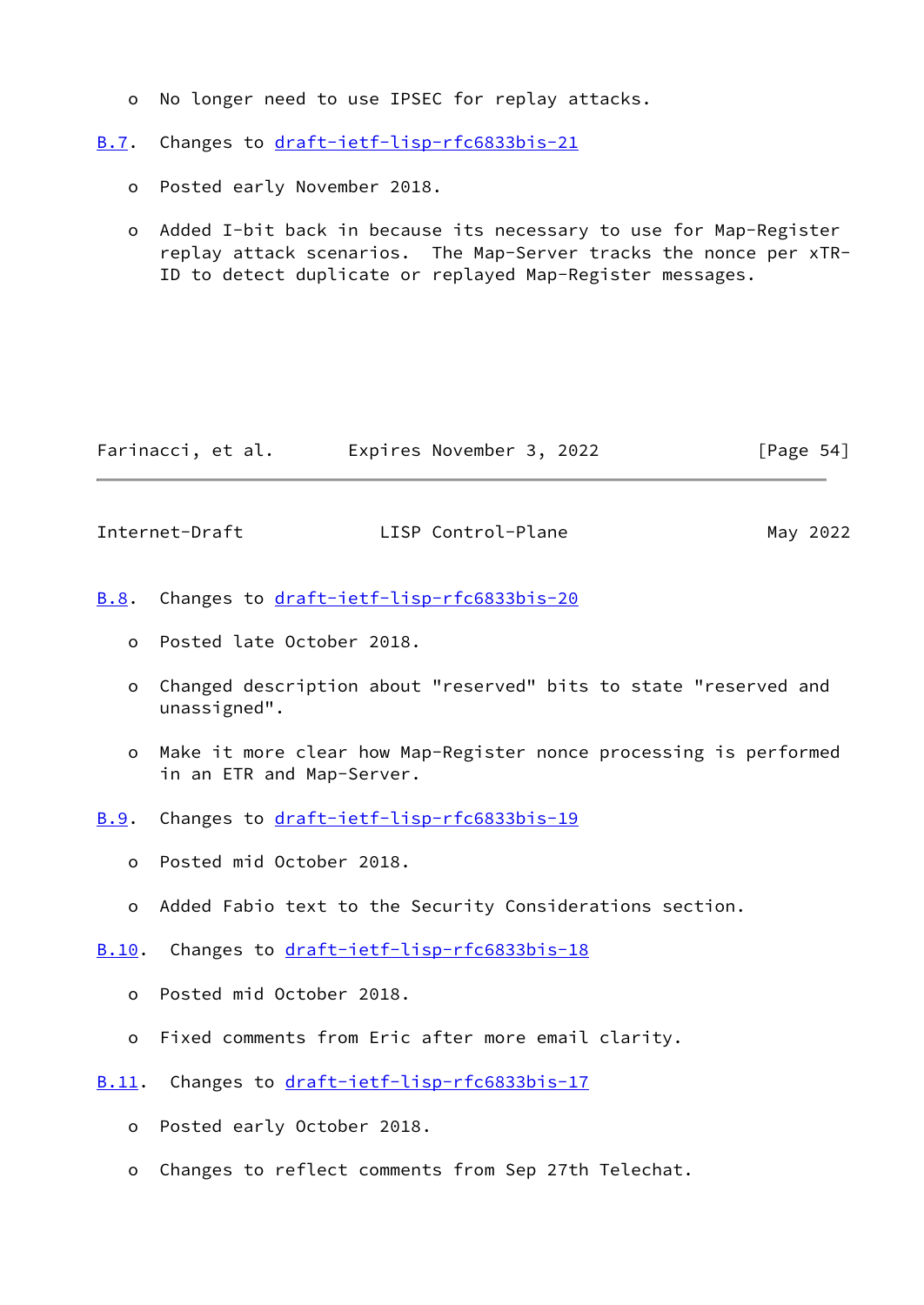o No longer need to use IPSEC for replay attacks.

<span id="page-61-0"></span>[B.7](#page-61-0). Changes to [draft-ietf-lisp-rfc6833bis-21](https://datatracker.ietf.org/doc/pdf/draft-ietf-lisp-rfc6833bis-21)

- o Posted early November 2018.
- o Added I-bit back in because its necessary to use for Map-Register replay attack scenarios. The Map-Server tracks the nonce per xTR- ID to detect duplicate or replayed Map-Register messages.

| Farinacci, et al. | Expires November 3, 2022 | [Page $54$ ] |
|-------------------|--------------------------|--------------|
|-------------------|--------------------------|--------------|

<span id="page-61-2"></span>Internet-Draft LISP Control-Plane May 2022

- <span id="page-61-1"></span>[B.8](#page-61-1). Changes to [draft-ietf-lisp-rfc6833bis-20](https://datatracker.ietf.org/doc/pdf/draft-ietf-lisp-rfc6833bis-20)
	- o Posted late October 2018.
	- o Changed description about "reserved" bits to state "reserved and unassigned".
	- o Make it more clear how Map-Register nonce processing is performed in an ETR and Map-Server.
- <span id="page-61-3"></span>[B.9](#page-61-3). Changes to [draft-ietf-lisp-rfc6833bis-19](https://datatracker.ietf.org/doc/pdf/draft-ietf-lisp-rfc6833bis-19)
	- o Posted mid October 2018.
	- o Added Fabio text to the Security Considerations section.
- <span id="page-61-4"></span>[B.10](#page-61-4). Changes to [draft-ietf-lisp-rfc6833bis-18](https://datatracker.ietf.org/doc/pdf/draft-ietf-lisp-rfc6833bis-18)
	- o Posted mid October 2018.
	- o Fixed comments from Eric after more email clarity.
- <span id="page-61-5"></span>[B.11](#page-61-5). Changes to [draft-ietf-lisp-rfc6833bis-17](https://datatracker.ietf.org/doc/pdf/draft-ietf-lisp-rfc6833bis-17)
	- o Posted early October 2018.
	- o Changes to reflect comments from Sep 27th Telechat.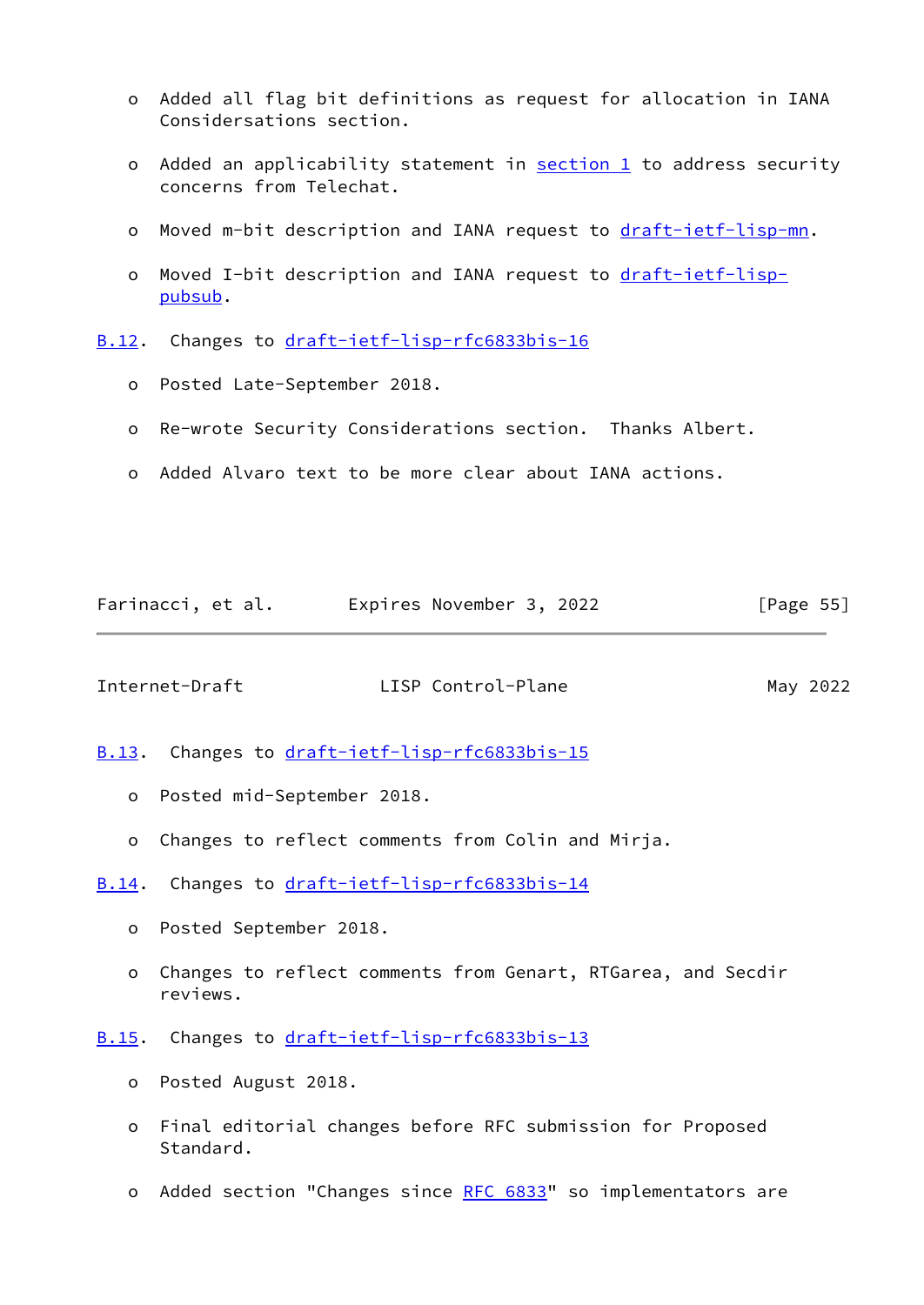- o Added all flag bit definitions as request for allocation in IANA Considersations section.
- o Added an applicability statement in **section 1** to address security concerns from Telechat.
- o Moved m-bit description and IANA request to [draft-ietf-lisp-mn.](https://datatracker.ietf.org/doc/pdf/draft-ietf-lisp-mn)
- o Moved I-bit description and IANA request to [draft-ietf-lisp](https://datatracker.ietf.org/doc/pdf/draft-ietf-lisp-pubsub) [pubsub](https://datatracker.ietf.org/doc/pdf/draft-ietf-lisp-pubsub).
- <span id="page-62-0"></span>[B.12](#page-62-0). Changes to [draft-ietf-lisp-rfc6833bis-16](https://datatracker.ietf.org/doc/pdf/draft-ietf-lisp-rfc6833bis-16)
	- o Posted Late-September 2018.
	- o Re-wrote Security Considerations section. Thanks Albert.
	- o Added Alvaro text to be more clear about IANA actions.

<span id="page-62-2"></span>

| Farinacci, et al. | Expires November 3, 2022 | [Page 55] |
|-------------------|--------------------------|-----------|
|-------------------|--------------------------|-----------|

- <span id="page-62-1"></span>[B.13](#page-62-1). Changes to [draft-ietf-lisp-rfc6833bis-15](https://datatracker.ietf.org/doc/pdf/draft-ietf-lisp-rfc6833bis-15)
	- o Posted mid-September 2018.
	- o Changes to reflect comments from Colin and Mirja.
- <span id="page-62-3"></span>[B.14](#page-62-3). Changes to [draft-ietf-lisp-rfc6833bis-14](https://datatracker.ietf.org/doc/pdf/draft-ietf-lisp-rfc6833bis-14)
	- o Posted September 2018.
	- o Changes to reflect comments from Genart, RTGarea, and Secdir reviews.
- <span id="page-62-4"></span>[B.15](#page-62-4). Changes to [draft-ietf-lisp-rfc6833bis-13](https://datatracker.ietf.org/doc/pdf/draft-ietf-lisp-rfc6833bis-13)
	- o Posted August 2018.
	- o Final editorial changes before RFC submission for Proposed Standard.
	- o Added section "Changes since [RFC 6833](https://datatracker.ietf.org/doc/pdf/rfc6833)" so implementators are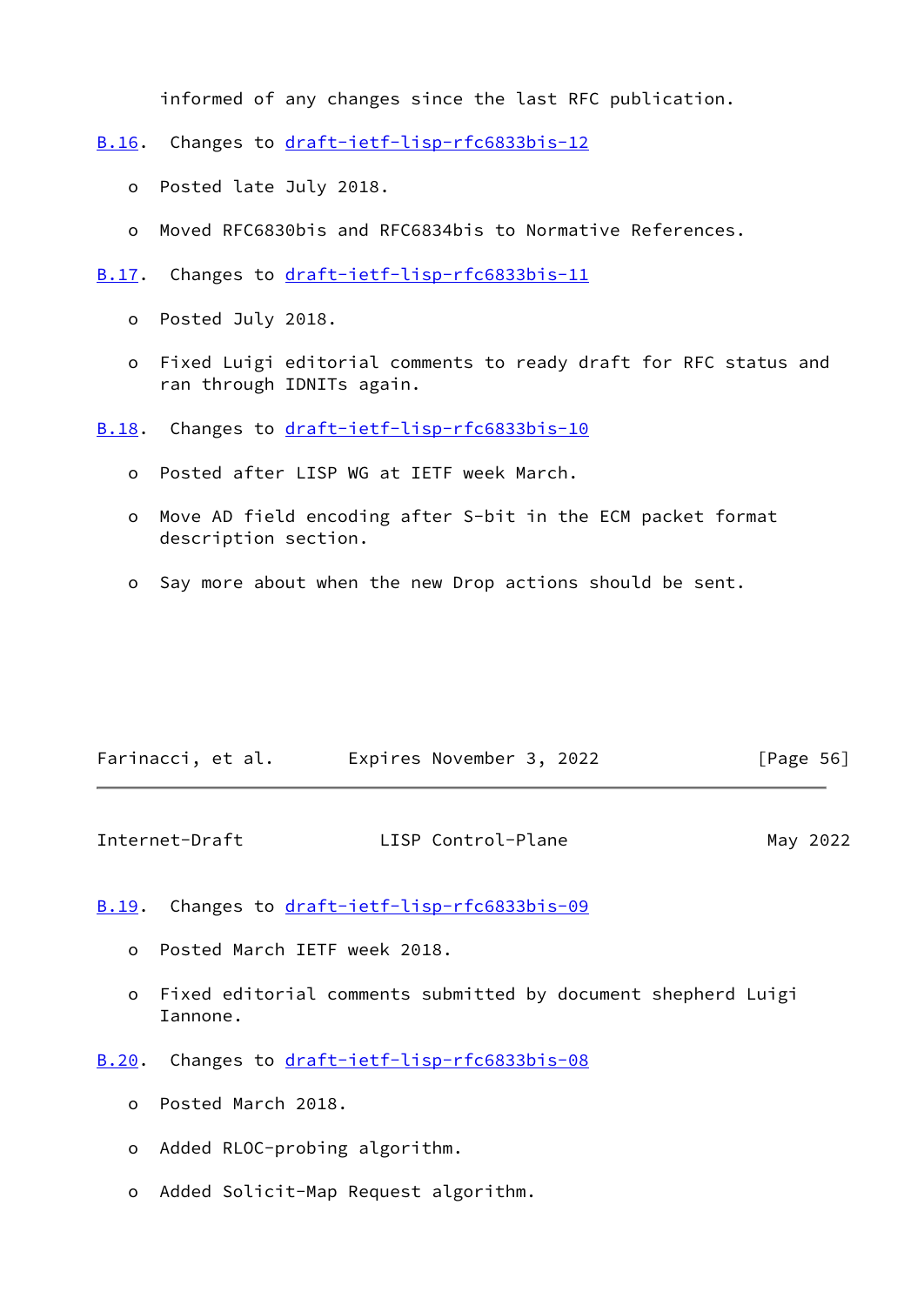informed of any changes since the last RFC publication.

- <span id="page-63-0"></span>[B.16](#page-63-0). Changes to [draft-ietf-lisp-rfc6833bis-12](https://datatracker.ietf.org/doc/pdf/draft-ietf-lisp-rfc6833bis-12)
	- o Posted late July 2018.
	- o Moved RFC6830bis and RFC6834bis to Normative References.
- <span id="page-63-1"></span>[B.17](#page-63-1). Changes to [draft-ietf-lisp-rfc6833bis-11](https://datatracker.ietf.org/doc/pdf/draft-ietf-lisp-rfc6833bis-11)
	- o Posted July 2018.
	- o Fixed Luigi editorial comments to ready draft for RFC status and ran through IDNITs again.
- <span id="page-63-2"></span>[B.18](#page-63-2). Changes to [draft-ietf-lisp-rfc6833bis-10](https://datatracker.ietf.org/doc/pdf/draft-ietf-lisp-rfc6833bis-10)
	- o Posted after LISP WG at IETF week March.
	- o Move AD field encoding after S-bit in the ECM packet format description section.
	- o Say more about when the new Drop actions should be sent.

| Farinacci, et al. | Expires November 3, 2022 | [Page 56] |
|-------------------|--------------------------|-----------|
|                   |                          |           |

<span id="page-63-4"></span>

| Internet-Draft | LISP Control-Plane | May 2022 |
|----------------|--------------------|----------|
|----------------|--------------------|----------|

<span id="page-63-3"></span>[B.19](#page-63-3). Changes to [draft-ietf-lisp-rfc6833bis-09](https://datatracker.ietf.org/doc/pdf/draft-ietf-lisp-rfc6833bis-09)

- o Posted March IETF week 2018.
- o Fixed editorial comments submitted by document shepherd Luigi Iannone.
- <span id="page-63-5"></span>[B.20](#page-63-5). Changes to [draft-ietf-lisp-rfc6833bis-08](https://datatracker.ietf.org/doc/pdf/draft-ietf-lisp-rfc6833bis-08)
	- o Posted March 2018.
	- o Added RLOC-probing algorithm.
	- o Added Solicit-Map Request algorithm.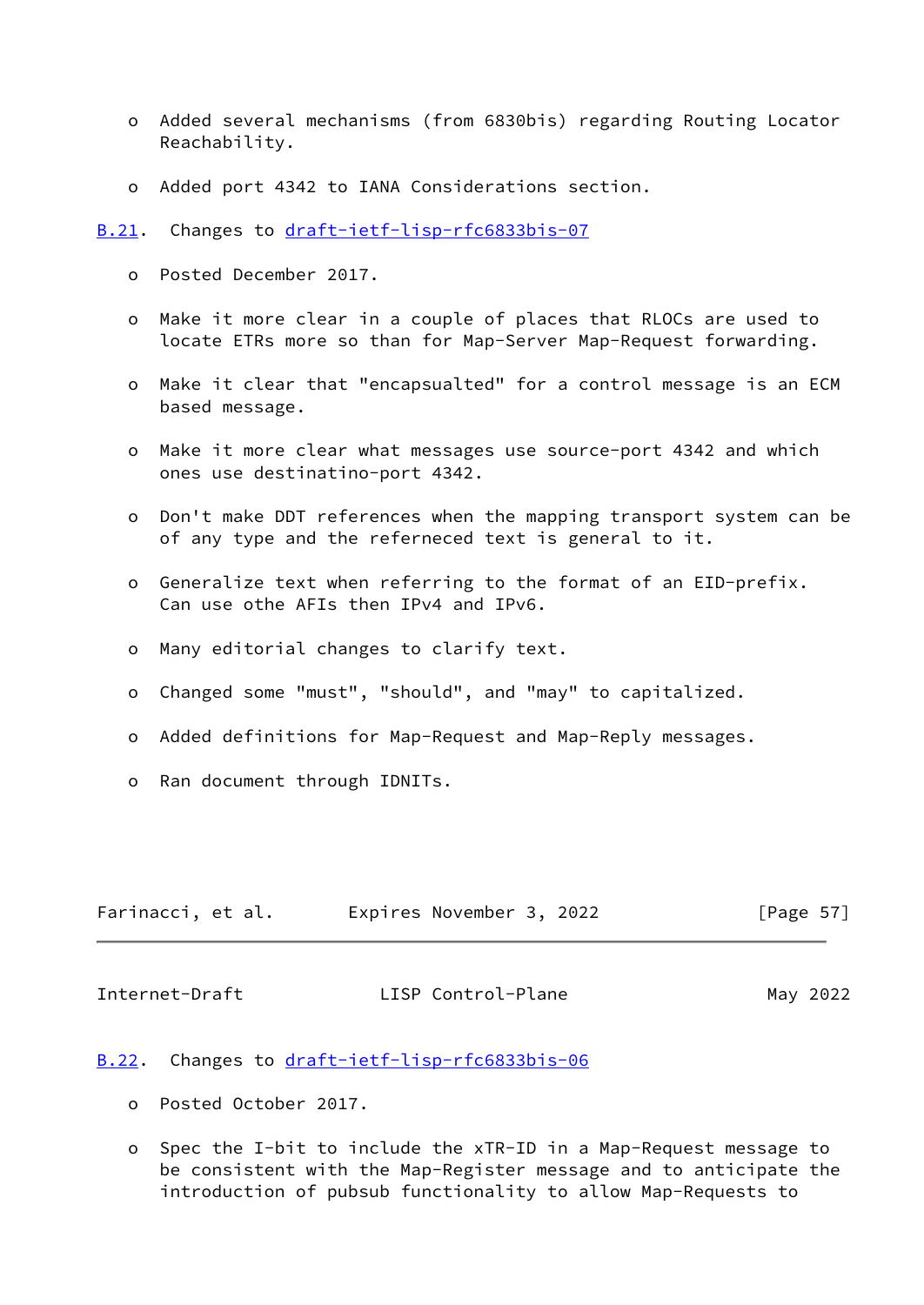- o Added several mechanisms (from 6830bis) regarding Routing Locator Reachability.
- o Added port 4342 to IANA Considerations section.
- <span id="page-64-0"></span>[B.21](#page-64-0). Changes to [draft-ietf-lisp-rfc6833bis-07](https://datatracker.ietf.org/doc/pdf/draft-ietf-lisp-rfc6833bis-07)
	- o Posted December 2017.
	- o Make it more clear in a couple of places that RLOCs are used to locate ETRs more so than for Map-Server Map-Request forwarding.
	- o Make it clear that "encapsualted" for a control message is an ECM based message.
	- o Make it more clear what messages use source-port 4342 and which ones use destinatino-port 4342.
	- o Don't make DDT references when the mapping transport system can be of any type and the referneced text is general to it.
	- o Generalize text when referring to the format of an EID-prefix. Can use othe AFIs then IPv4 and IPv6.
	- o Many editorial changes to clarify text.
	- o Changed some "must", "should", and "may" to capitalized.
	- o Added definitions for Map-Request and Map-Reply messages.
	- o Ran document through IDNITs.

<span id="page-64-2"></span>

| Farinacci, et al. | Expires November 3, 2022 |  | [Page $57$ ] |
|-------------------|--------------------------|--|--------------|
|-------------------|--------------------------|--|--------------|

## <span id="page-64-1"></span>[B.22](#page-64-1). Changes to [draft-ietf-lisp-rfc6833bis-06](https://datatracker.ietf.org/doc/pdf/draft-ietf-lisp-rfc6833bis-06)

- o Posted October 2017.
- o Spec the I-bit to include the xTR-ID in a Map-Request message to be consistent with the Map-Register message and to anticipate the introduction of pubsub functionality to allow Map-Requests to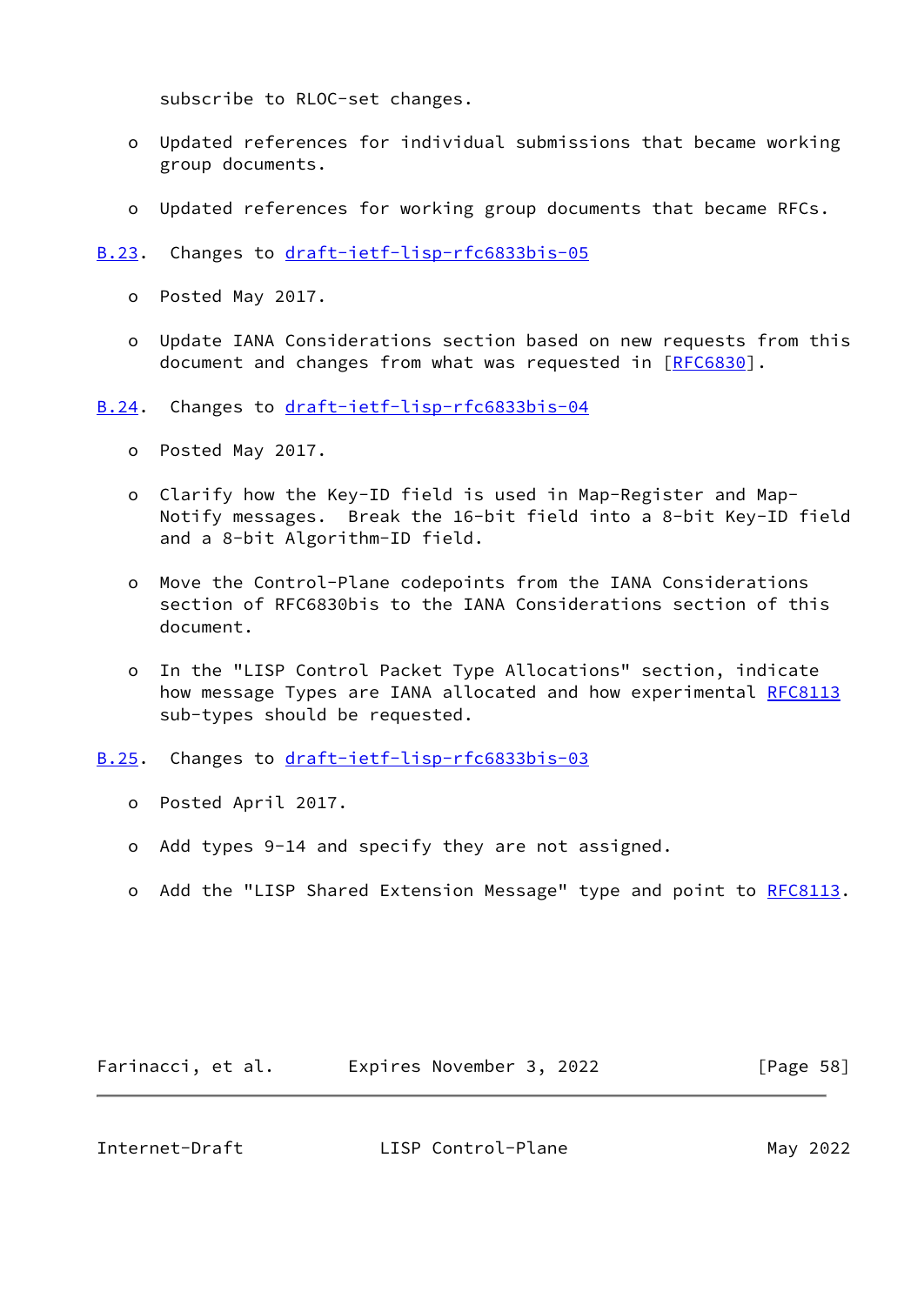subscribe to RLOC-set changes.

- o Updated references for individual submissions that became working group documents.
- o Updated references for working group documents that became RFCs.
- <span id="page-65-0"></span>[B.23](#page-65-0). Changes to [draft-ietf-lisp-rfc6833bis-05](https://datatracker.ietf.org/doc/pdf/draft-ietf-lisp-rfc6833bis-05)
	- o Posted May 2017.
	- o Update IANA Considerations section based on new requests from this document and changes from what was requested in [[RFC6830\]](https://datatracker.ietf.org/doc/pdf/rfc6830).
- <span id="page-65-1"></span>[B.24](#page-65-1). Changes to [draft-ietf-lisp-rfc6833bis-04](https://datatracker.ietf.org/doc/pdf/draft-ietf-lisp-rfc6833bis-04)
	- o Posted May 2017.
	- o Clarify how the Key-ID field is used in Map-Register and Map- Notify messages. Break the 16-bit field into a 8-bit Key-ID field and a 8-bit Algorithm-ID field.
	- o Move the Control-Plane codepoints from the IANA Considerations section of RFC6830bis to the IANA Considerations section of this document.
	- o In the "LISP Control Packet Type Allocations" section, indicate how message Types are IANA allocated and how experimental [RFC8113](https://datatracker.ietf.org/doc/pdf/rfc8113) sub-types should be requested.
- <span id="page-65-2"></span>[B.25](#page-65-2). Changes to [draft-ietf-lisp-rfc6833bis-03](https://datatracker.ietf.org/doc/pdf/draft-ietf-lisp-rfc6833bis-03)
	- o Posted April 2017.
	- o Add types 9-14 and specify they are not assigned.
	- o Add the "LISP Shared Extension Message" type and point to [RFC8113](https://datatracker.ietf.org/doc/pdf/rfc8113).

| Farinacci, et al. | Expires November 3, 2022 | [Page 58] |
|-------------------|--------------------------|-----------|
|-------------------|--------------------------|-----------|

<span id="page-65-3"></span>Internet-Draft LISP Control-Plane May 2022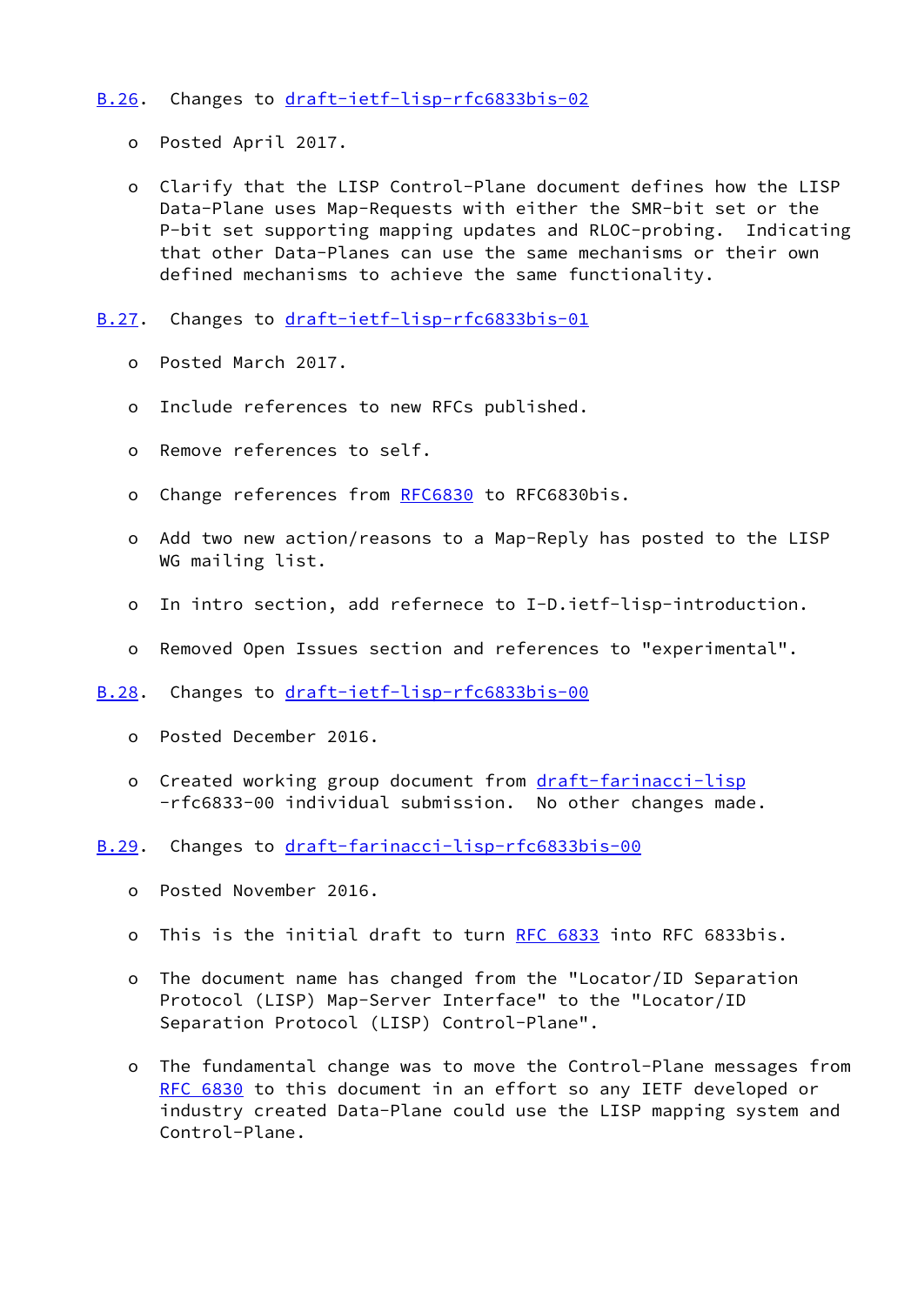# <span id="page-66-0"></span>[B.26](#page-66-0). Changes to [draft-ietf-lisp-rfc6833bis-02](https://datatracker.ietf.org/doc/pdf/draft-ietf-lisp-rfc6833bis-02)

- o Posted April 2017.
- o Clarify that the LISP Control-Plane document defines how the LISP Data-Plane uses Map-Requests with either the SMR-bit set or the P-bit set supporting mapping updates and RLOC-probing. Indicating that other Data-Planes can use the same mechanisms or their own defined mechanisms to achieve the same functionality.
- <span id="page-66-1"></span>[B.27](#page-66-1). Changes to [draft-ietf-lisp-rfc6833bis-01](https://datatracker.ietf.org/doc/pdf/draft-ietf-lisp-rfc6833bis-01)
	- o Posted March 2017.
	- o Include references to new RFCs published.
	- o Remove references to self.
	- o Change references from [RFC6830](https://datatracker.ietf.org/doc/pdf/rfc6830) to RFC6830bis.
	- o Add two new action/reasons to a Map-Reply has posted to the LISP WG mailing list.
	- o In intro section, add refernece to I-D.ietf-lisp-introduction.
	- o Removed Open Issues section and references to "experimental".
- <span id="page-66-2"></span>[B.28](#page-66-2). Changes to [draft-ietf-lisp-rfc6833bis-00](https://datatracker.ietf.org/doc/pdf/draft-ietf-lisp-rfc6833bis-00)
	- o Posted December 2016.
	- o Created working group document from [draft-farinacci-lisp](https://datatracker.ietf.org/doc/pdf/draft-farinacci-lisp) -rfc6833-00 individual submission. No other changes made.
- <span id="page-66-3"></span>[B.29](#page-66-3). Changes to [draft-farinacci-lisp-rfc6833bis-00](https://datatracker.ietf.org/doc/pdf/draft-farinacci-lisp-rfc6833bis-00)
	- o Posted November 2016.
	- o This is the initial draft to turn [RFC 6833](https://datatracker.ietf.org/doc/pdf/rfc6833) into RFC 6833bis.
	- o The document name has changed from the "Locator/ID Separation Protocol (LISP) Map-Server Interface" to the "Locator/ID Separation Protocol (LISP) Control-Plane".
	- o The fundamental change was to move the Control-Plane messages from [RFC 6830](https://datatracker.ietf.org/doc/pdf/rfc6830) to this document in an effort so any IETF developed or industry created Data-Plane could use the LISP mapping system and Control-Plane.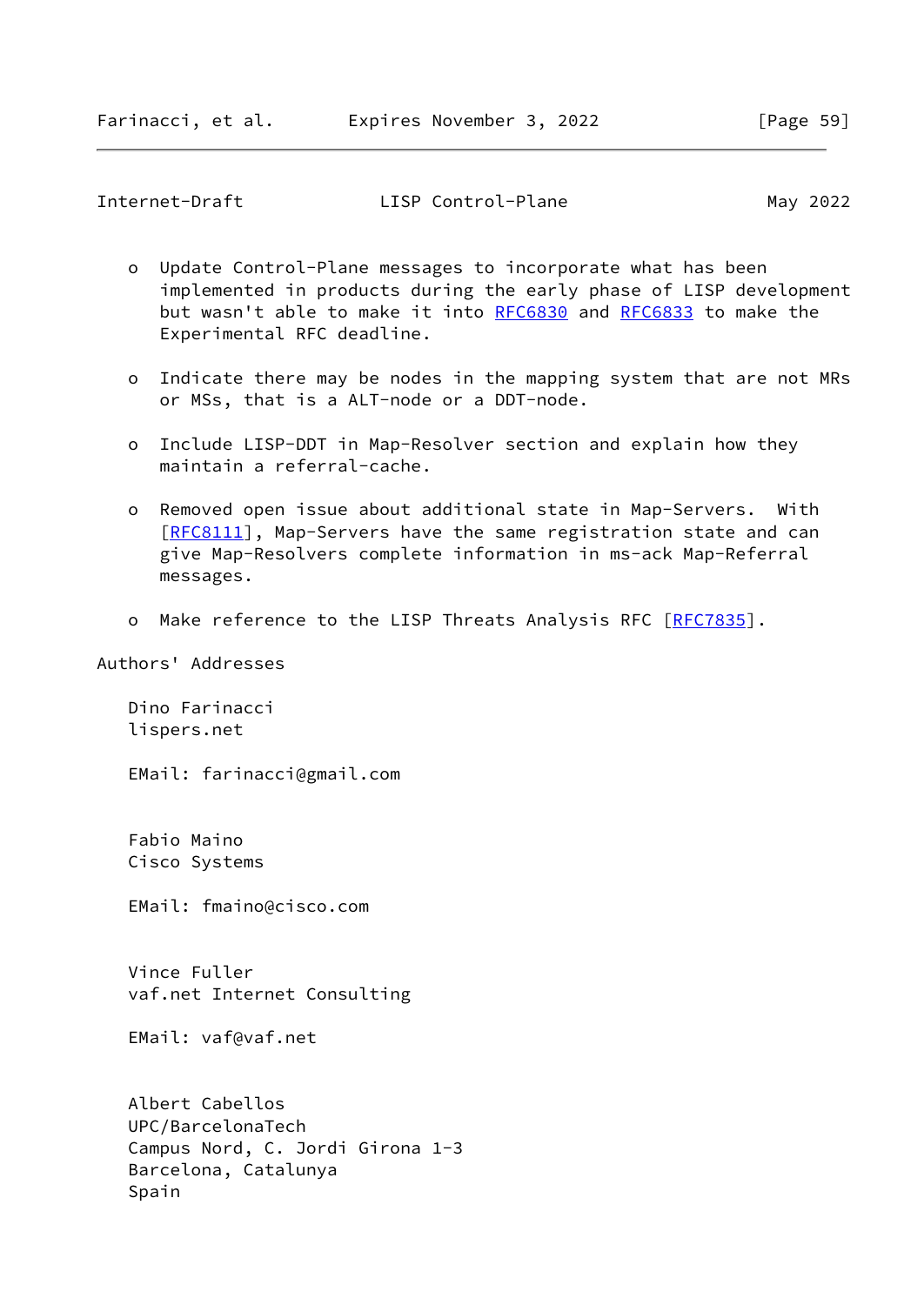<span id="page-67-0"></span>

| Internet-Draft | LISP Control-Plane | May 2022 |
|----------------|--------------------|----------|
|----------------|--------------------|----------|

- o Update Control-Plane messages to incorporate what has been implemented in products during the early phase of LISP development but wasn't able to make it into [RFC6830](https://datatracker.ietf.org/doc/pdf/rfc6830) and [RFC6833](https://datatracker.ietf.org/doc/pdf/rfc6833) to make the Experimental RFC deadline.
- o Indicate there may be nodes in the mapping system that are not MRs or MSs, that is a ALT-node or a DDT-node.
- o Include LISP-DDT in Map-Resolver section and explain how they maintain a referral-cache.
- o Removed open issue about additional state in Map-Servers. With [[RFC8111\]](https://datatracker.ietf.org/doc/pdf/rfc8111), Map-Servers have the same registration state and can give Map-Resolvers complete information in ms-ack Map-Referral messages.
- o Make reference to the LISP Threats Analysis RFC [[RFC7835\]](https://datatracker.ietf.org/doc/pdf/rfc7835).

# Authors' Addresses

 Dino Farinacci lispers.net

EMail: farinacci@gmail.com

 Fabio Maino Cisco Systems

EMail: fmaino@cisco.com

 Vince Fuller vaf.net Internet Consulting

EMail: vaf@vaf.net

 Albert Cabellos UPC/BarcelonaTech Campus Nord, C. Jordi Girona 1-3 Barcelona, Catalunya Spain